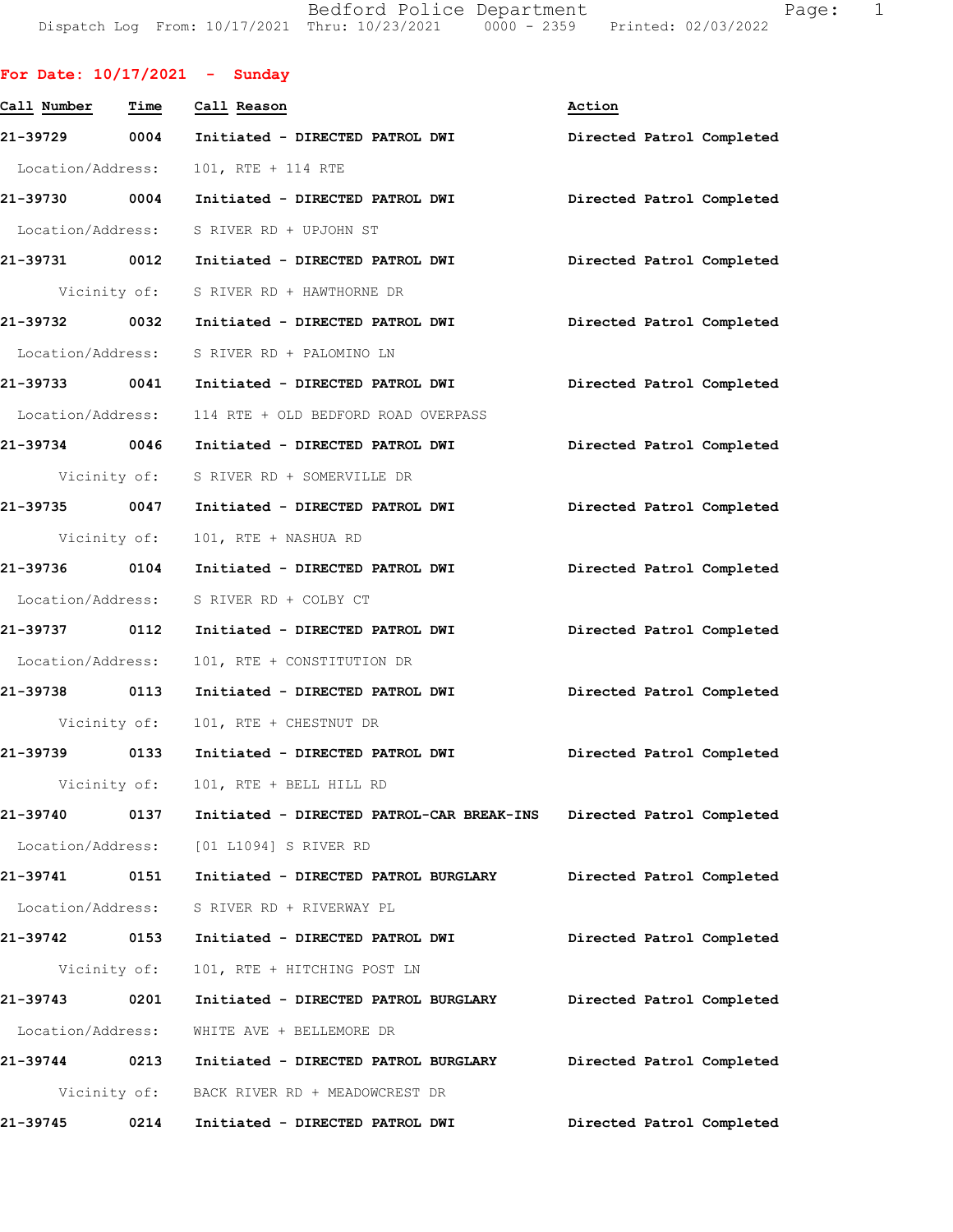Bedford Police Department Page: 1 DispatchLogFrom:10/17/2021Thru:10/23/20210000-2359Printed:02/03/2022

|                   |              | For Date: $10/17/2021$ - Sunday                                     |                           |
|-------------------|--------------|---------------------------------------------------------------------|---------------------------|
| Call Number       | Time         | Call Reason                                                         | Action                    |
| 21-39729 0004     |              | Initiated - DIRECTED PATROL DWI                                     | Directed Patrol Completed |
| Location/Address: |              | 101, RTE + 114 RTE                                                  |                           |
| 21-39730 0004     |              | Initiated - DIRECTED PATROL DWI Directed Patrol Completed           |                           |
|                   |              | Location/Address: S RIVER RD + UPJOHN ST                            |                           |
|                   |              | 21-39731 0012 Initiated - DIRECTED PATROL DWI                       | Directed Patrol Completed |
|                   |              | Vicinity of: S RIVER RD + HAWTHORNE DR                              |                           |
| 21-39732 0032     |              | Initiated - DIRECTED PATROL DWI Directed Patrol Completed           |                           |
|                   |              | Location/Address: S RIVER RD + PALOMINO LN                          |                           |
| 21-39733 0041     |              | Initiated - DIRECTED PATROL DWI                                     | Directed Patrol Completed |
|                   |              | Location/Address: 114 RTE + OLD BEDFORD ROAD OVERPASS               |                           |
| 21-39734 0046     |              | Initiated - DIRECTED PATROL DWI                                     | Directed Patrol Completed |
|                   |              | Vicinity of: S RIVER RD + SOMERVILLE DR                             |                           |
| 21-39735 0047     |              | Initiated - DIRECTED PATROL DWI                                     | Directed Patrol Completed |
|                   | Vicinity of: | 101, RTE + NASHUA RD                                                |                           |
| 21-39736 0104     |              | Initiated - DIRECTED PATROL DWI                                     | Directed Patrol Completed |
|                   |              | Location/Address: S RIVER RD + COLBY CT                             |                           |
| 21-39737 0112     |              | Initiated - DIRECTED PATROL DWI                                     | Directed Patrol Completed |
| Location/Address: |              | 101, RTE + CONSTITUTION DR                                          |                           |
| 21-39738 0113     |              | Initiated - DIRECTED PATROL DWI                                     | Directed Patrol Completed |
|                   | Vicinity of: | 101, RTE + CHESTNUT DR                                              |                           |
| 21-39739          | 0133         | Initiated - DIRECTED PATROL DWI                                     | Directed Patrol Completed |
|                   | Vicinity of: | 101, RTE + BELL HILL RD                                             |                           |
| 21-39740          | 0137         | Initiated - DIRECTED PATROL-CAR BREAK-INS Directed Patrol Completed |                           |
|                   |              | Location/Address: [01 L1094] S RIVER RD                             |                           |
| 21-39741          | 0151         | Initiated - DIRECTED PATROL BURGLARY                                | Directed Patrol Completed |
| Location/Address: |              | S RIVER RD + RIVERWAY PL                                            |                           |
| 21-39742          | 0153         | Initiated - DIRECTED PATROL DWI                                     | Directed Patrol Completed |
|                   | Vicinity of: | 101, RTE + HITCHING POST LN                                         |                           |
| 21-39743          | 0201         | Initiated - DIRECTED PATROL BURGLARY                                | Directed Patrol Completed |
| Location/Address: |              | WHITE AVE + BELLEMORE DR                                            |                           |
| 21-39744 0213     |              | Initiated - DIRECTED PATROL BURGLARY                                | Directed Patrol Completed |
|                   |              | Vicinity of: BACK RIVER RD + MEADOWCREST DR                         |                           |
| 21-39745          | 0214         | Initiated - DIRECTED PATROL DWI                                     | Directed Patrol Completed |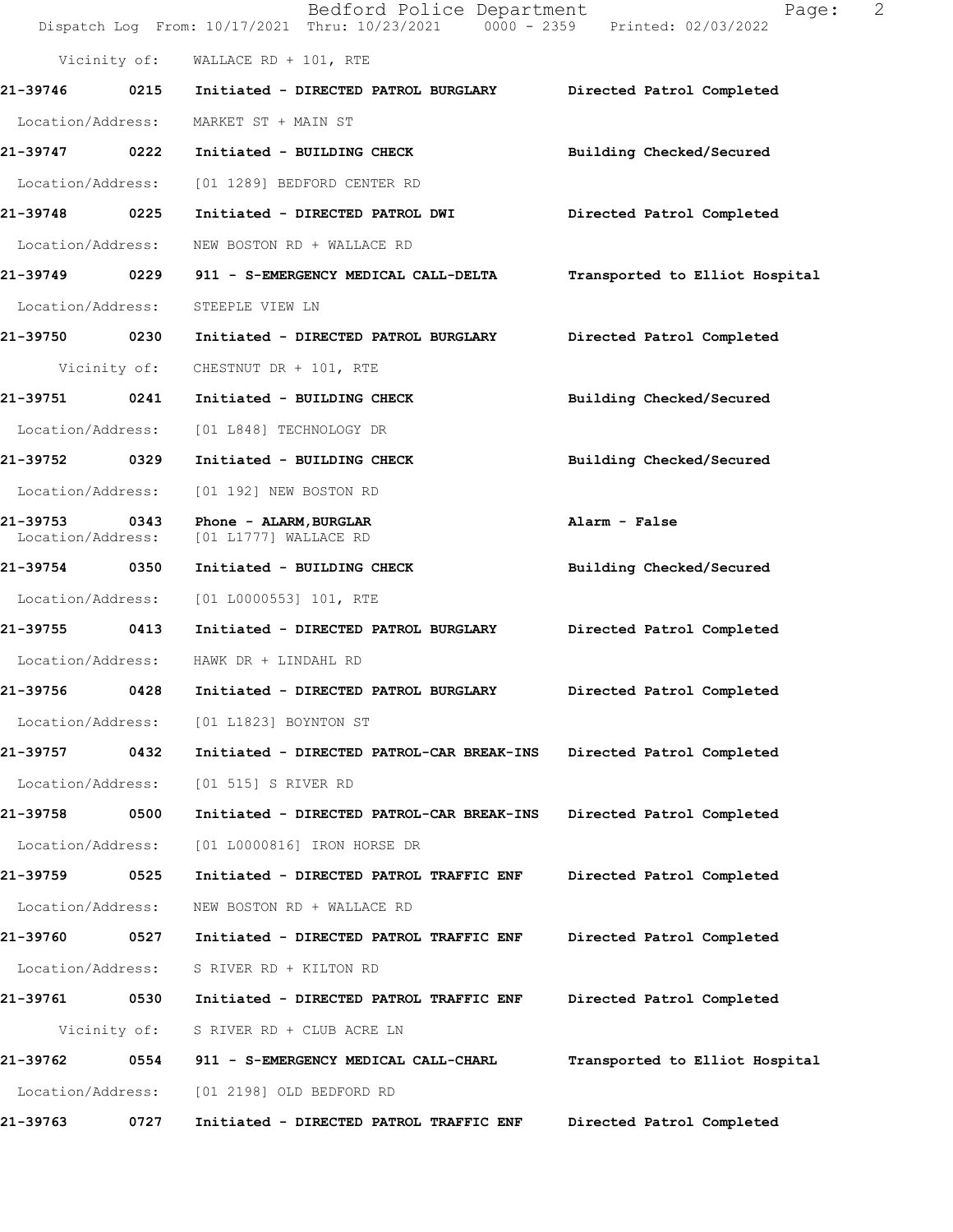|                               |              | Bedford Police Department<br>Dispatch Log From: 10/17/2021 Thru: 10/23/2021 0000 - 2359 Printed: 02/03/2022 | 2<br>Page:                     |
|-------------------------------|--------------|-------------------------------------------------------------------------------------------------------------|--------------------------------|
|                               |              | Vicinity of: WALLACE RD + 101, RTE                                                                          |                                |
| 21-39746 0215                 |              | Initiated - DIRECTED PATROL BURGLARY Directed Patrol Completed                                              |                                |
| Location/Address:             |              | MARKET ST + MAIN ST                                                                                         |                                |
| 21-39747 0222                 |              | Initiated - BUILDING CHECK                                                                                  | Building Checked/Secured       |
| Location/Address:             |              | [01 1289] BEDFORD CENTER RD                                                                                 |                                |
| 21-39748 0225                 |              | Initiated - DIRECTED PATROL DWI                                                                             | Directed Patrol Completed      |
| Location/Address:             |              | NEW BOSTON RD + WALLACE RD                                                                                  |                                |
| 21-39749 0229                 |              | 911 - S-EMERGENCY MEDICAL CALL-DELTA                                                                        | Transported to Elliot Hospital |
| Location/Address:             |              | STEEPLE VIEW LN                                                                                             |                                |
| 21-39750 0230                 |              | Initiated - DIRECTED PATROL BURGLARY                                                                        | Directed Patrol Completed      |
|                               | Vicinity of: | CHESTNUT DR + 101, RTE                                                                                      |                                |
| 21-39751 0241                 |              | Initiated - BUILDING CHECK                                                                                  | Building Checked/Secured       |
| Location/Address:             |              | [01 L848] TECHNOLOGY DR                                                                                     |                                |
| 21-39752 0329                 |              | Initiated - BUILDING CHECK                                                                                  | Building Checked/Secured       |
| Location/Address:             |              | [01 192] NEW BOSTON RD                                                                                      |                                |
| 21-39753<br>Location/Address: | 0343         | Phone - ALARM, BURGLAR<br>[01 L1777] WALLACE RD                                                             | Alarm - False                  |
| 21-39754 0350                 |              | Initiated - BUILDING CHECK                                                                                  | Building Checked/Secured       |
| Location/Address:             |              | [01 L0000553] 101, RTE                                                                                      |                                |
| 21-39755 0413                 |              | Initiated - DIRECTED PATROL BURGLARY                                                                        | Directed Patrol Completed      |
| Location/Address:             |              | HAWK DR + LINDAHL RD                                                                                        |                                |
| 21-39756                      | 0428         | Initiated - DIRECTED PATROL BURGLARY                                                                        | Directed Patrol Completed      |
| Location/Address:             |              | [01 L1823] BOYNTON ST                                                                                       |                                |
| 21-39757                      | 0432         | Initiated - DIRECTED PATROL-CAR BREAK-INS                                                                   | Directed Patrol Completed      |
| Location/Address:             |              | [01 515] S RIVER RD                                                                                         |                                |
| 21-39758                      | 0500         | Initiated - DIRECTED PATROL-CAR BREAK-INS                                                                   | Directed Patrol Completed      |
| Location/Address:             |              | [01 L0000816] IRON HORSE DR                                                                                 |                                |
| 21-39759                      | 0525         | Initiated - DIRECTED PATROL TRAFFIC ENF                                                                     | Directed Patrol Completed      |
| Location/Address:             |              | NEW BOSTON RD + WALLACE RD                                                                                  |                                |
| 21-39760                      | 0527         | Initiated - DIRECTED PATROL TRAFFIC ENF                                                                     | Directed Patrol Completed      |
| Location/Address:             |              | S RIVER RD + KILTON RD                                                                                      |                                |
| 21-39761                      | 0530         | Initiated - DIRECTED PATROL TRAFFIC ENF                                                                     | Directed Patrol Completed      |
| Vicinity of:                  |              | S RIVER RD + CLUB ACRE LN                                                                                   |                                |
| 21-39762                      | 0554         | 911 - S-EMERGENCY MEDICAL CALL-CHARL                                                                        | Transported to Elliot Hospital |
| Location/Address:             |              | [01 2198] OLD BEDFORD RD                                                                                    |                                |
| 21-39763                      | 0727         | Initiated - DIRECTED PATROL TRAFFIC ENF                                                                     | Directed Patrol Completed      |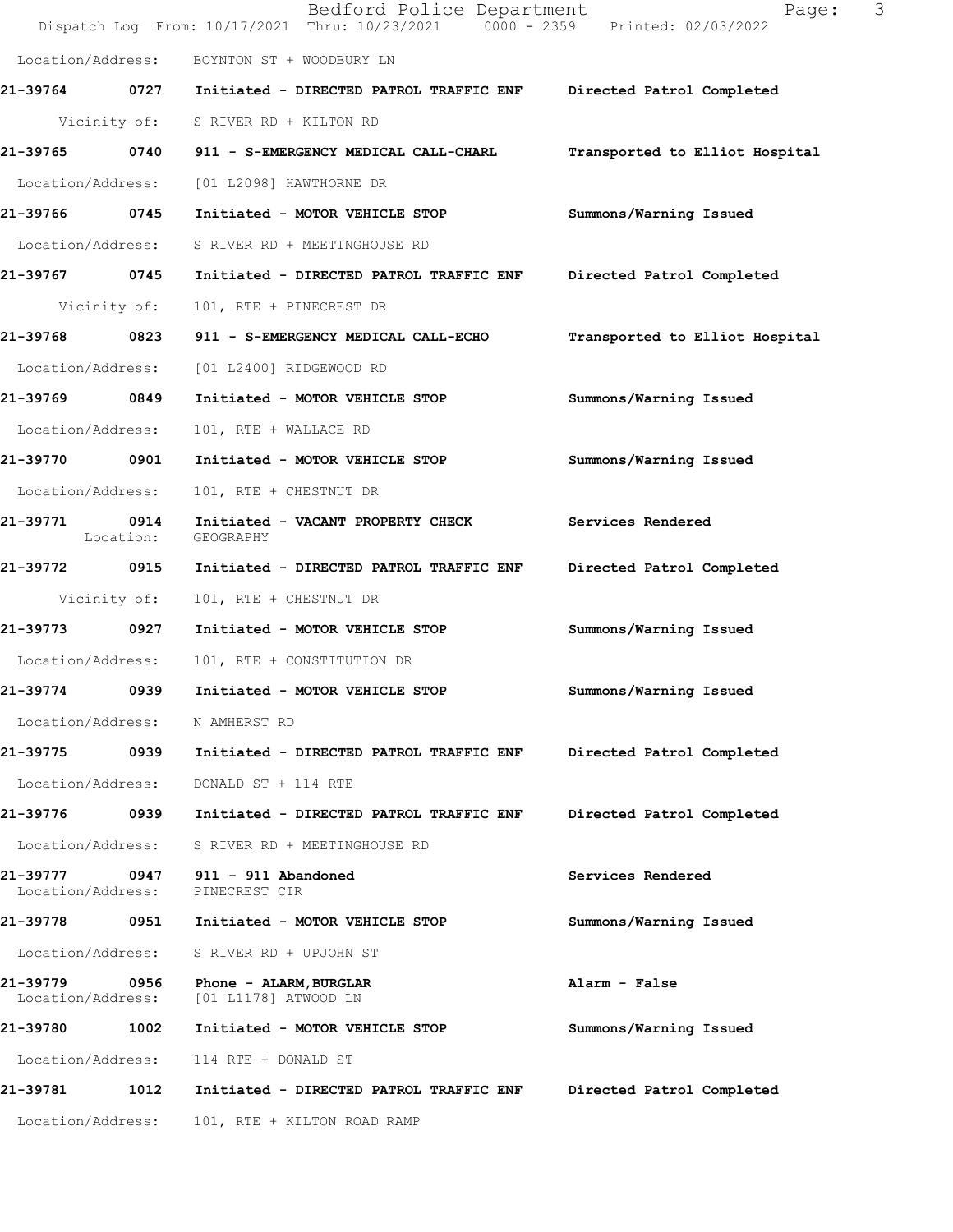|                               |                   | Bedford Police Department<br>Dispatch Log From: 10/17/2021 Thru: 10/23/2021 0000 - 2359 Printed: 02/03/2022 | 3<br>Page:                     |
|-------------------------------|-------------------|-------------------------------------------------------------------------------------------------------------|--------------------------------|
| Location/Address:             |                   | BOYNTON ST + WOODBURY LN                                                                                    |                                |
|                               |                   | 21-39764 0727 Initiated - DIRECTED PATROL TRAFFIC ENF Directed Patrol Completed                             |                                |
|                               |                   | Vicinity of: S RIVER RD + KILTON RD                                                                         |                                |
| 21-39765 0740                 |                   | 911 - S-EMERGENCY MEDICAL CALL-CHARL                                                                        | Transported to Elliot Hospital |
| Location/Address:             |                   | [01 L2098] HAWTHORNE DR                                                                                     |                                |
| 21-39766 0745                 |                   | Initiated - MOTOR VEHICLE STOP                                                                              | Summons/Warning Issued         |
| Location/Address:             |                   | S RIVER RD + MEETINGHOUSE RD                                                                                |                                |
| 21-39767 0745                 |                   | Initiated - DIRECTED PATROL TRAFFIC ENF                                                                     | Directed Patrol Completed      |
| Vicinity of:                  |                   | 101, RTE + PINECREST DR                                                                                     |                                |
| 21-39768                      | 0823              | 911 - S-EMERGENCY MEDICAL CALL-ECHO                                                                         | Transported to Elliot Hospital |
| Location/Address:             |                   | [01 L2400] RIDGEWOOD RD                                                                                     |                                |
| 21-39769 0849                 |                   | Initiated - MOTOR VEHICLE STOP                                                                              | Summons/Warning Issued         |
| Location/Address:             |                   | 101, RTE + WALLACE RD                                                                                       |                                |
| 21-39770 0901                 |                   | Initiated - MOTOR VEHICLE STOP                                                                              | Summons/Warning Issued         |
| Location/Address:             |                   | 101, RTE + CHESTNUT DR                                                                                      |                                |
| 21-39771                      | 0914<br>Location: | Initiated - VACANT PROPERTY CHECK<br>GEOGRAPHY                                                              | Services Rendered              |
| 21-39772 0915                 |                   | Initiated - DIRECTED PATROL TRAFFIC ENF                                                                     | Directed Patrol Completed      |
| Vicinity of:                  |                   | 101, RTE + CHESTNUT DR                                                                                      |                                |
| 21-39773 0927                 |                   | Initiated - MOTOR VEHICLE STOP                                                                              | Summons/Warning Issued         |
| Location/Address:             |                   | 101, RTE + CONSTITUTION DR                                                                                  |                                |
| 21-39774                      | 0939              | Initiated - MOTOR VEHICLE STOP                                                                              | Summons/Warning Issued         |
| Location/Address:             |                   | N AMHERST RD                                                                                                |                                |
| 21-39775                      | 0939              | Initiated - DIRECTED PATROL TRAFFIC ENF                                                                     | Directed Patrol Completed      |
| Location/Address:             |                   | DONALD ST + 114 RTE                                                                                         |                                |
| 21-39776                      | 0939              | Initiated - DIRECTED PATROL TRAFFIC ENF                                                                     | Directed Patrol Completed      |
| Location/Address:             |                   | S RIVER RD + MEETINGHOUSE RD                                                                                |                                |
| 21-39777<br>Location/Address: | 0947              | 911 - 911 Abandoned<br>PINECREST CIR                                                                        | Services Rendered              |
| 21-39778                      | 0951              | Initiated - MOTOR VEHICLE STOP                                                                              | Summons/Warning Issued         |
| Location/Address:             |                   | S RIVER RD + UPJOHN ST                                                                                      |                                |
| 21-39779<br>Location/Address: | 0956              | Phone - ALARM, BURGLAR<br>[01 L1178] ATWOOD LN                                                              | Alarm - False                  |
| 21-39780                      | 1002              | Initiated - MOTOR VEHICLE STOP                                                                              | Summons/Warning Issued         |
| Location/Address:             |                   | 114 RTE + DONALD ST                                                                                         |                                |
| 21-39781                      | 1012              | Initiated - DIRECTED PATROL TRAFFIC ENF                                                                     | Directed Patrol Completed      |
| Location/Address:             |                   | 101, RTE + KILTON ROAD RAMP                                                                                 |                                |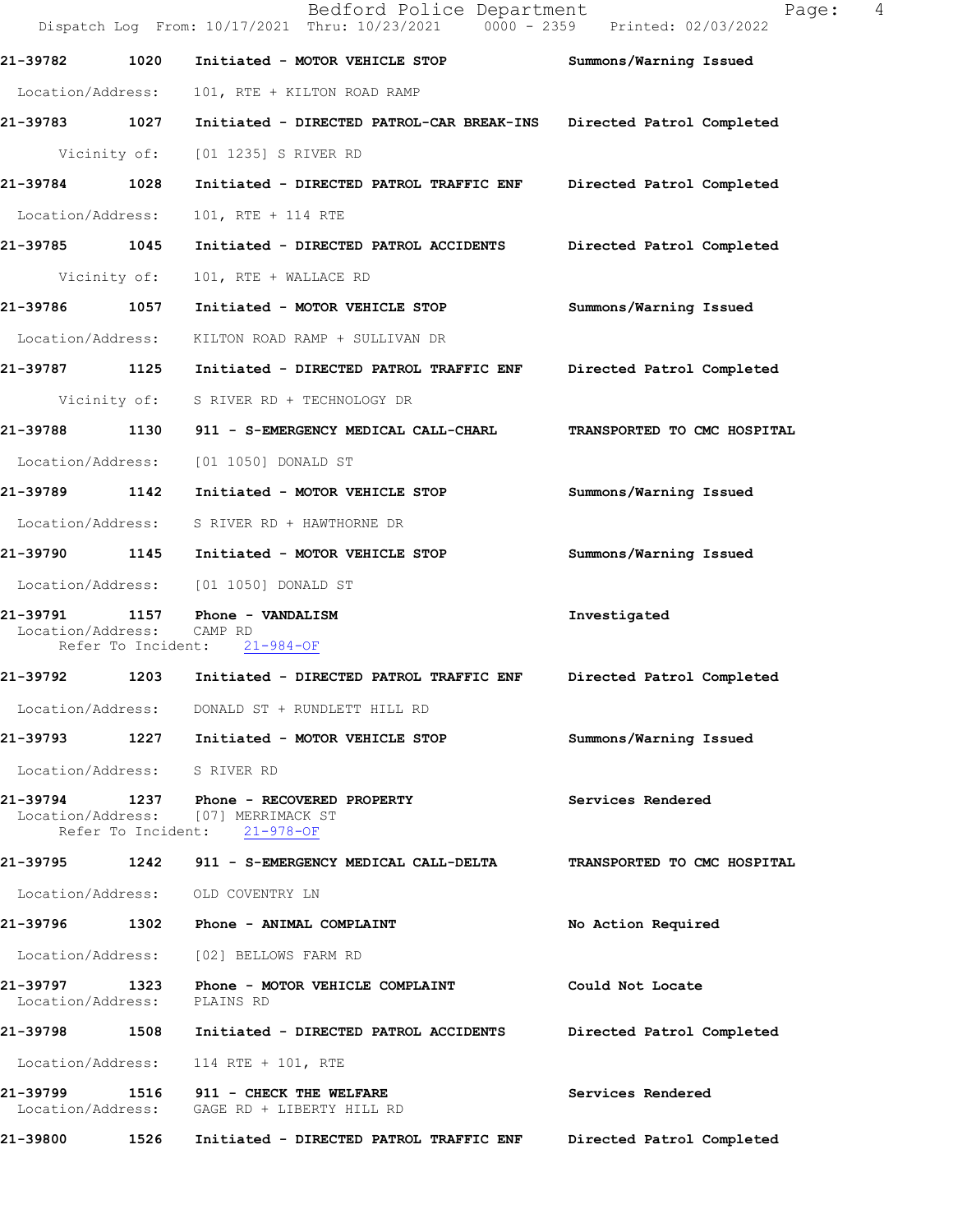|                               |              | Bedford Police Department<br>Dispatch Log From: 10/17/2021 Thru: 10/23/2021 0000 - 2359 Printed: 02/03/2022     | 4<br>Page:                  |
|-------------------------------|--------------|-----------------------------------------------------------------------------------------------------------------|-----------------------------|
| 21-39782                      | 1020         | Initiated - MOTOR VEHICLE STOP                                                                                  | Summons/Warning Issued      |
| Location/Address:             |              | 101, RTE + KILTON ROAD RAMP                                                                                     |                             |
| 21-39783 1027                 |              | Initiated - DIRECTED PATROL-CAR BREAK-INS Directed Patrol Completed                                             |                             |
| Vicinity of:                  |              | [01 1235] S RIVER RD                                                                                            |                             |
| 21-39784 1028                 |              | Initiated - DIRECTED PATROL TRAFFIC ENF Directed Patrol Completed                                               |                             |
| Location/Address:             |              | 101, RTE + 114 RTE                                                                                              |                             |
| 21-39785 1045                 |              | Initiated - DIRECTED PATROL ACCIDENTS                                                                           | Directed Patrol Completed   |
| Vicinity of:                  |              | 101, RTE + WALLACE RD                                                                                           |                             |
| 21-39786                      | 1057         | Initiated - MOTOR VEHICLE STOP                                                                                  | Summons/Warning Issued      |
| Location/Address:             |              | KILTON ROAD RAMP + SULLIVAN DR                                                                                  |                             |
| 21-39787 1125                 |              | Initiated - DIRECTED PATROL TRAFFIC ENF                                                                         | Directed Patrol Completed   |
|                               | Vicinity of: | S RIVER RD + TECHNOLOGY DR                                                                                      |                             |
| 21-39788 1130                 |              | 911 - S-EMERGENCY MEDICAL CALL-CHARL                                                                            | TRANSPORTED TO CMC HOSPITAL |
| Location/Address:             |              | [01 1050] DONALD ST                                                                                             |                             |
| 21-39789                      | 1142         | Initiated - MOTOR VEHICLE STOP                                                                                  | Summons/Warning Issued      |
| Location/Address:             |              | S RIVER RD + HAWTHORNE DR                                                                                       |                             |
| 21-39790 1145                 |              | Initiated - MOTOR VEHICLE STOP                                                                                  | Summons/Warning Issued      |
| Location/Address:             |              | [01 1050] DONALD ST                                                                                             |                             |
| 21-39791<br>Location/Address: | 1157         | Phone - VANDALISM<br>CAMP RD<br>Refer To Incident: 21-984-OF                                                    | Investigated                |
| 21-39792                      | 1203         | Initiated - DIRECTED PATROL TRAFFIC ENF                                                                         | Directed Patrol Completed   |
| Location/Address:             |              | DONALD ST + RUNDLETT HILL RD                                                                                    |                             |
|                               |              | 21-39793 1227 Initiated - MOTOR VEHICLE STOP                                                                    | Summons/Warning Issued      |
| Location/Address: S RIVER RD  |              |                                                                                                                 |                             |
|                               |              | 21-39794 1237 Phone - RECOVERED PROPERTY<br>Location/Address: [07] MERRIMACK ST<br>Refer To Incident: 21-978-OF | Services Rendered           |
|                               |              | 21-39795 1242 911 - S-EMERGENCY MEDICAL CALL-DELTA                                                              | TRANSPORTED TO CMC HOSPITAL |
|                               |              | Location/Address: OLD COVENTRY LN                                                                               |                             |
|                               |              | 21-39796 1302 Phone - ANIMAL COMPLAINT                                                                          | No Action Required          |
|                               |              | Location/Address: [02] BELLOWS FARM RD                                                                          |                             |
| Location/Address: PLAINS RD   |              | 21-39797 1323 Phone - MOTOR VEHICLE COMPLAINT                                                                   | Could Not Locate            |
|                               |              | 21-39798 1508 Initiated - DIRECTED PATROL ACCIDENTS                                                             | Directed Patrol Completed   |
|                               |              | Location/Address: 114 RTE + 101, RTE                                                                            |                             |
|                               |              | 21-39799  1516  911 - CHECK THE WELFARE<br>Location/Address: GAGE RD + LIBERTY HILL RD                          | Services Rendered           |
| 21-39800                      | 1526         | Initiated - DIRECTED PATROL TRAFFIC ENF                                                                         | Directed Patrol Completed   |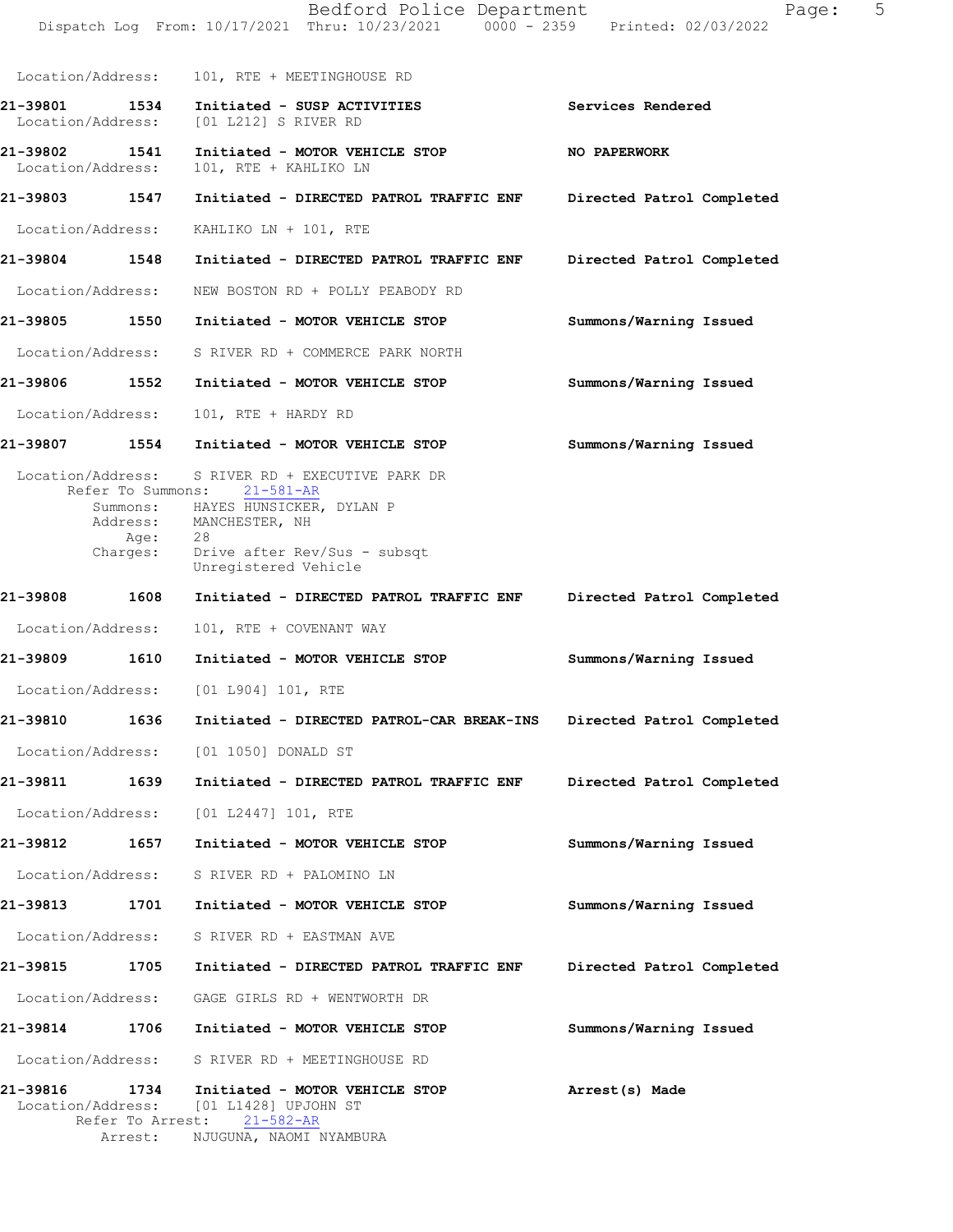|                                       |                                                                                                                  | Bedford Police Department<br>Dispatch Log From: 10/17/2021 Thru: 10/23/2021 0000 - 2359 Printed: 02/03/2022 |                           | 5<br>Page: |  |
|---------------------------------------|------------------------------------------------------------------------------------------------------------------|-------------------------------------------------------------------------------------------------------------|---------------------------|------------|--|
| Location/Address:                     |                                                                                                                  | 101, RTE + MEETINGHOUSE RD                                                                                  |                           |            |  |
| 21-39801<br>1534<br>Location/Address: | [01 L212] S RIVER RD                                                                                             | Initiated - SUSP ACTIVITIES                                                                                 | Services Rendered         |            |  |
| 21-39802 1541<br>Location/Address:    | 101, RTE + KAHLIKO LN                                                                                            | Initiated - MOTOR VEHICLE STOP                                                                              | NO PAPERWORK              |            |  |
| 21-39803 1547                         |                                                                                                                  | Initiated - DIRECTED PATROL TRAFFIC ENF                                                                     | Directed Patrol Completed |            |  |
| Location/Address:                     | KAHLIKO LN + 101, RTE                                                                                            |                                                                                                             |                           |            |  |
| 21-39804<br>1548                      |                                                                                                                  | Initiated - DIRECTED PATROL TRAFFIC ENF                                                                     | Directed Patrol Completed |            |  |
| Location/Address:                     |                                                                                                                  | NEW BOSTON RD + POLLY PEABODY RD                                                                            |                           |            |  |
| 1550<br>21-39805                      |                                                                                                                  | Initiated - MOTOR VEHICLE STOP                                                                              | Summons/Warning Issued    |            |  |
| Location/Address:                     |                                                                                                                  | S RIVER RD + COMMERCE PARK NORTH                                                                            |                           |            |  |
| 21-39806 1552                         |                                                                                                                  | Initiated - MOTOR VEHICLE STOP                                                                              | Summons/Warning Issued    |            |  |
| Location/Address:                     | 101, RTE + HARDY RD                                                                                              |                                                                                                             |                           |            |  |
| 21-39807<br>1554                      |                                                                                                                  | Initiated - MOTOR VEHICLE STOP                                                                              | Summons/Warning Issued    |            |  |
| Address:<br>Age:<br>Charges:          | Refer To Summons: 21-581-AR<br>Summons: HAYES HUNSICKER, DYLAN P<br>MANCHESTER, NH<br>28<br>Unregistered Vehicle | Drive after Rev/Sus - subsqt                                                                                |                           |            |  |
| 21-39808<br>1608                      |                                                                                                                  | Initiated - DIRECTED PATROL TRAFFIC ENF                                                                     | Directed Patrol Completed |            |  |
| Location/Address:                     | 101, RTE + COVENANT WAY                                                                                          |                                                                                                             |                           |            |  |
| 1610<br>21-39809                      |                                                                                                                  | Initiated - MOTOR VEHICLE STOP                                                                              | Summons/Warning Issued    |            |  |
| Location/Address:                     | [01 L904] 101, RTE                                                                                               |                                                                                                             |                           |            |  |
| 21-39810<br>1636                      |                                                                                                                  | Initiated - DIRECTED PATROL-CAR BREAK-INS Directed Patrol Completed                                         |                           |            |  |
| Location/Address:                     | [01 1050] DONALD ST                                                                                              |                                                                                                             |                           |            |  |
| 21-39811 1639                         |                                                                                                                  | Initiated - DIRECTED PATROL TRAFFIC ENF                                                                     | Directed Patrol Completed |            |  |
| Location/Address:                     | [01 L2447] 101, RTE                                                                                              |                                                                                                             |                           |            |  |
| 1657<br>21-39812                      |                                                                                                                  | Initiated - MOTOR VEHICLE STOP                                                                              | Summons/Warning Issued    |            |  |
| Location/Address:                     | S RIVER RD + PALOMINO LN                                                                                         |                                                                                                             |                           |            |  |
| 21-39813<br>1701                      |                                                                                                                  | Initiated - MOTOR VEHICLE STOP                                                                              | Summons/Warning Issued    |            |  |
| Location/Address:                     | S RIVER RD + EASTMAN AVE                                                                                         |                                                                                                             |                           |            |  |
| 21-39815<br>1705                      |                                                                                                                  | Initiated - DIRECTED PATROL TRAFFIC ENF                                                                     | Directed Patrol Completed |            |  |
| Location/Address:                     |                                                                                                                  | GAGE GIRLS RD + WENTWORTH DR                                                                                |                           |            |  |
| 21-39814 1706                         |                                                                                                                  | Initiated - MOTOR VEHICLE STOP                                                                              | Summons/Warning Issued    |            |  |
| Location/Address:                     |                                                                                                                  | S RIVER RD + MEETINGHOUSE RD                                                                                |                           |            |  |
| 21-39816<br>1734<br>Location/Address: | [01 L1428] UPJOHN ST<br>Refer To Arrest: 21-582-AR                                                               | Initiated - MOTOR VEHICLE STOP                                                                              | Arrest(s) Made            |            |  |
| Arrest:                               | NJUGUNA, NAOMI NYAMBURA                                                                                          |                                                                                                             |                           |            |  |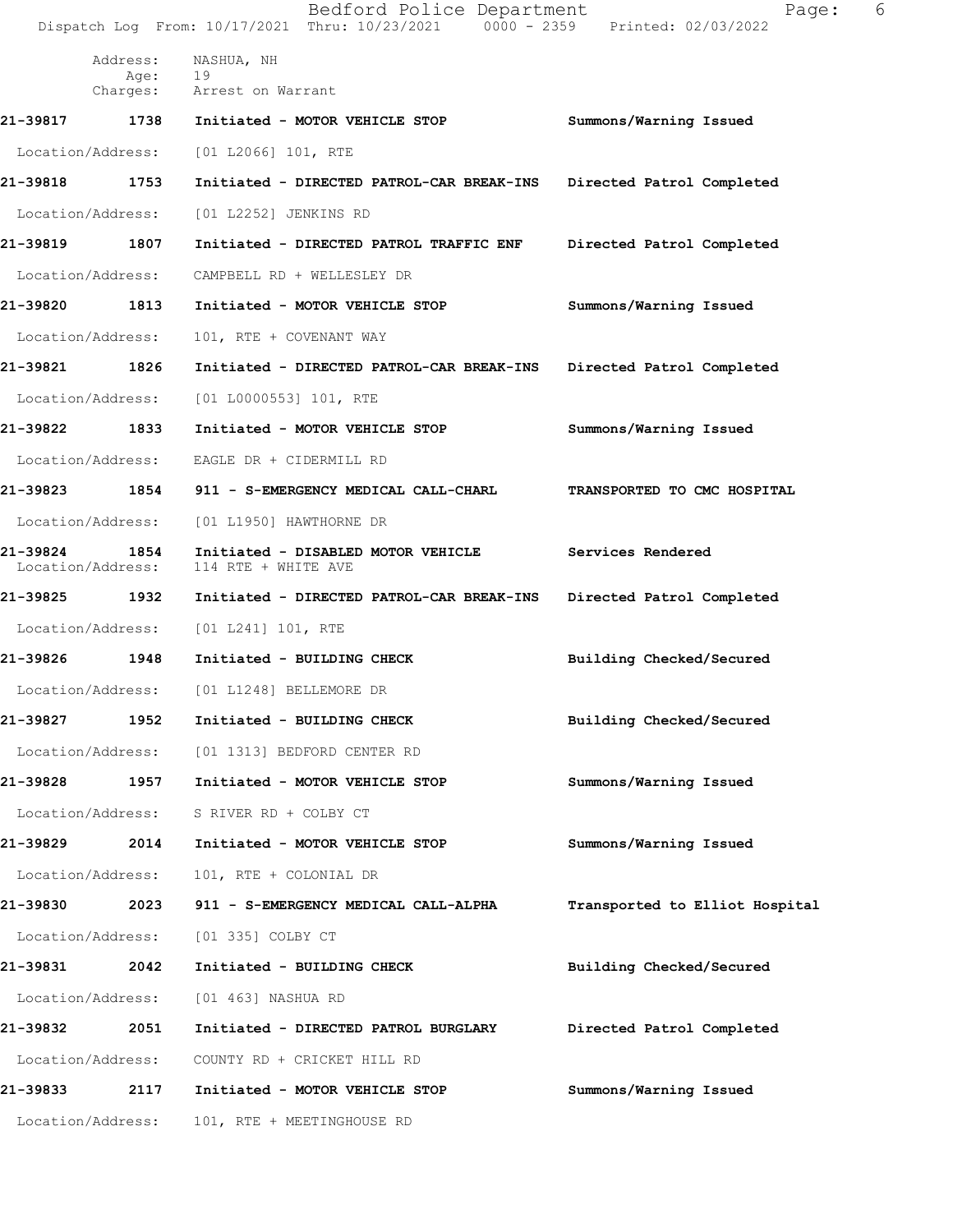Bedford Police Department Fage: 6 Dispatch Log From: 10/17/2021 Thru: 10/23/2021 0000 - 2359 Printed: 02/03/2022 Address: NASHUA, NH<br>Age: 19 Age:<br>Charges: Arrest on Warrant 21-39817 1738 Initiated - MOTOR VEHICLE STOP Summons/Warning Issued Location/Address: [01 L2066] 101, RTE 21-39818 1753 Initiated - DIRECTED PATROL-CAR BREAK-INS Directed Patrol Completed Location/Address: [01 L2252] JENKINS RD 21-39819 1807 Initiated - DIRECTED PATROL TRAFFIC ENF Directed Patrol Completed Location/Address: CAMPBELL RD + WELLESLEY DR 21-39820 1813 Initiated - MOTOR VEHICLE STOP Summons/Warning Issued Location/Address: 101, RTE + COVENANT WAY 21-39821 1826 Initiated - DIRECTED PATROL-CAR BREAK-INS Directed Patrol Completed Location/Address: [01 L0000553] 101, RTE 21-39822 1833 Initiated - MOTOR VEHICLE STOP Summons/Warning Issued Location/Address: EAGLE DR + CIDERMILL RD 21-39823 1854 911 - S-EMERGENCY MEDICAL CALL-CHARL TRANSPORTED TO CMC HOSPITAL Location/Address: [01 L1950] HAWTHORNE DR 21-39824 1854 Initiated - DISABLED MOTOR VEHICLE Services Rendered<br>Location/Address: 114 RTE + WHITE AVE 114 RTE + WHITE AVE 21-39825 1932 Initiated - DIRECTED PATROL-CAR BREAK-INS Directed Patrol Completed Location/Address: [01 L241] 101, RTE 21-39826 1948 Initiated - BUILDING CHECK Building Checked/Secured Location/Address: [01 L1248] BELLEMORE DR 21-39827 1952 Initiated - BUILDING CHECK Building Checked/Secured Location/Address: [01 1313] BEDFORD CENTER RD 21-39828 1957 Initiated - MOTOR VEHICLE STOP Summons/Warning Issued Location/Address: S RIVER RD + COLBY CT 21-39829 2014 Initiated - MOTOR VEHICLE STOP Summons/Warning Issued Location/Address: 101, RTE + COLONIAL DR 21-39830 2023 911 - S-EMERGENCY MEDICAL CALL-ALPHA Transported to Elliot Hospital Location/Address: [01 335] COLBY CT 21-39831 2042 Initiated - BUILDING CHECK Building Checked/Secured Location/Address: [01 463] NASHUA RD 21-39832 2051 Initiated - DIRECTED PATROL BURGLARY Directed Patrol Completed Location/Address: COUNTY RD + CRICKET HILL RD 21-39833 2117 Initiated - MOTOR VEHICLE STOP Summons/Warning Issued Location/Address: 101, RTE + MEETINGHOUSE RD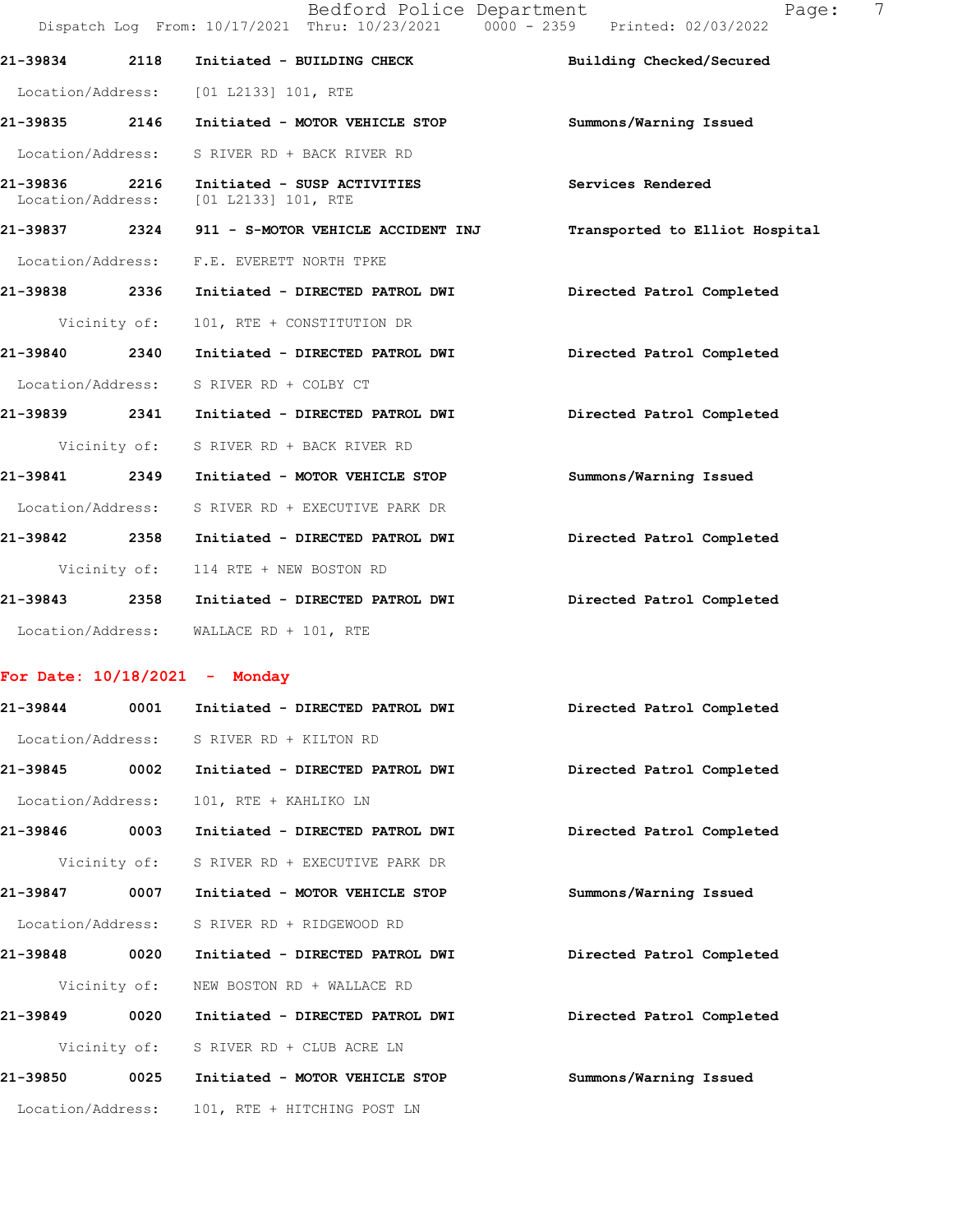|                   | Bedford Police Department<br>Dispatch Log From: 10/17/2021 Thru: 10/23/2021 0000 - 2359 Printed: 02/03/2022 | 7<br>Page:                     |
|-------------------|-------------------------------------------------------------------------------------------------------------|--------------------------------|
| 21-39834 2118     | Initiated - BUILDING CHECK                                                                                  | Building Checked/Secured       |
| Location/Address: | $[01 L2133] 101$ , RTE                                                                                      |                                |
| 21-39835 2146     | Initiated - MOTOR VEHICLE STOP                                                                              | Summons/Warning Issued         |
| Location/Address: | S RIVER RD + BACK RIVER RD                                                                                  |                                |
| 21-39836 2216     | Initiated - SUSP ACTIVITIES<br>Location/Address: [01 L2133] 101, RTE                                        | Services Rendered              |
| 21-39837 2324     | 911 - S-MOTOR VEHICLE ACCIDENT INJ                                                                          | Transported to Elliot Hospital |
| Location/Address: | F.E. EVERETT NORTH TPKE                                                                                     |                                |
| 21-39838 2336     | Initiated - DIRECTED PATROL DWI                                                                             | Directed Patrol Completed      |
| Vicinity of:      | 101, RTE + CONSTITUTION DR                                                                                  |                                |
| 21-39840 2340     | Initiated - DIRECTED PATROL DWI                                                                             | Directed Patrol Completed      |
| Location/Address: | S RIVER RD + COLBY CT                                                                                       |                                |
| 21-39839 2341     | Initiated - DIRECTED PATROL DWI                                                                             | Directed Patrol Completed      |
| Vicinity of:      | S RIVER RD + BACK RIVER RD                                                                                  |                                |
| 21-39841 2349     | Initiated - MOTOR VEHICLE STOP                                                                              | Summons/Warning Issued         |
| Location/Address: | S RIVER RD + EXECUTIVE PARK DR                                                                              |                                |
| 21-39842 2358     | Initiated - DIRECTED PATROL DWI                                                                             | Directed Patrol Completed      |
| Vicinity of:      | 114 RTE + NEW BOSTON RD                                                                                     |                                |
| 21-39843 2358     | Initiated - DIRECTED PATROL DWI                                                                             | Directed Patrol Completed      |
| Location/Address: | WALLACE RD + 101, RTE                                                                                       |                                |

## For Date:  $10/18/2021$  - Monday

| 0001<br>21-39844  | Initiated - DIRECTED PATROL DWI             | Directed Patrol Completed |
|-------------------|---------------------------------------------|---------------------------|
| Location/Address: | S RIVER RD + KILTON RD                      |                           |
| 0002<br>21-39845  | Initiated - DIRECTED PATROL DWI             | Directed Patrol Completed |
| Location/Address: | 101, RTE + KAHLIKO LN                       |                           |
| 0003<br>21-39846  | Initiated - DIRECTED PATROL DWI             | Directed Patrol Completed |
|                   | Vicinity of: S RIVER RD + EXECUTIVE PARK DR |                           |
| 21-39847<br>0007  | Initiated - MOTOR VEHICLE STOP              | Summons/Warning Issued    |
| Location/Address: | S RIVER RD + RIDGEWOOD RD                   |                           |
| 0020<br>21-39848  | Initiated - DIRECTED PATROL DWI             | Directed Patrol Completed |
|                   | Vicinity of: NEW BOSTON RD + WALLACE RD     |                           |
| 21-39849<br>0020  | Initiated - DIRECTED PATROL DWI             | Directed Patrol Completed |
|                   | Vicinity of: S RIVER RD + CLUB ACRE LN      |                           |
| 21-39850<br>0025  | Initiated - MOTOR VEHICLE STOP              | Summons/Warning Issued    |
| Location/Address: | 101, RTE + HITCHING POST LN                 |                           |
|                   |                                             |                           |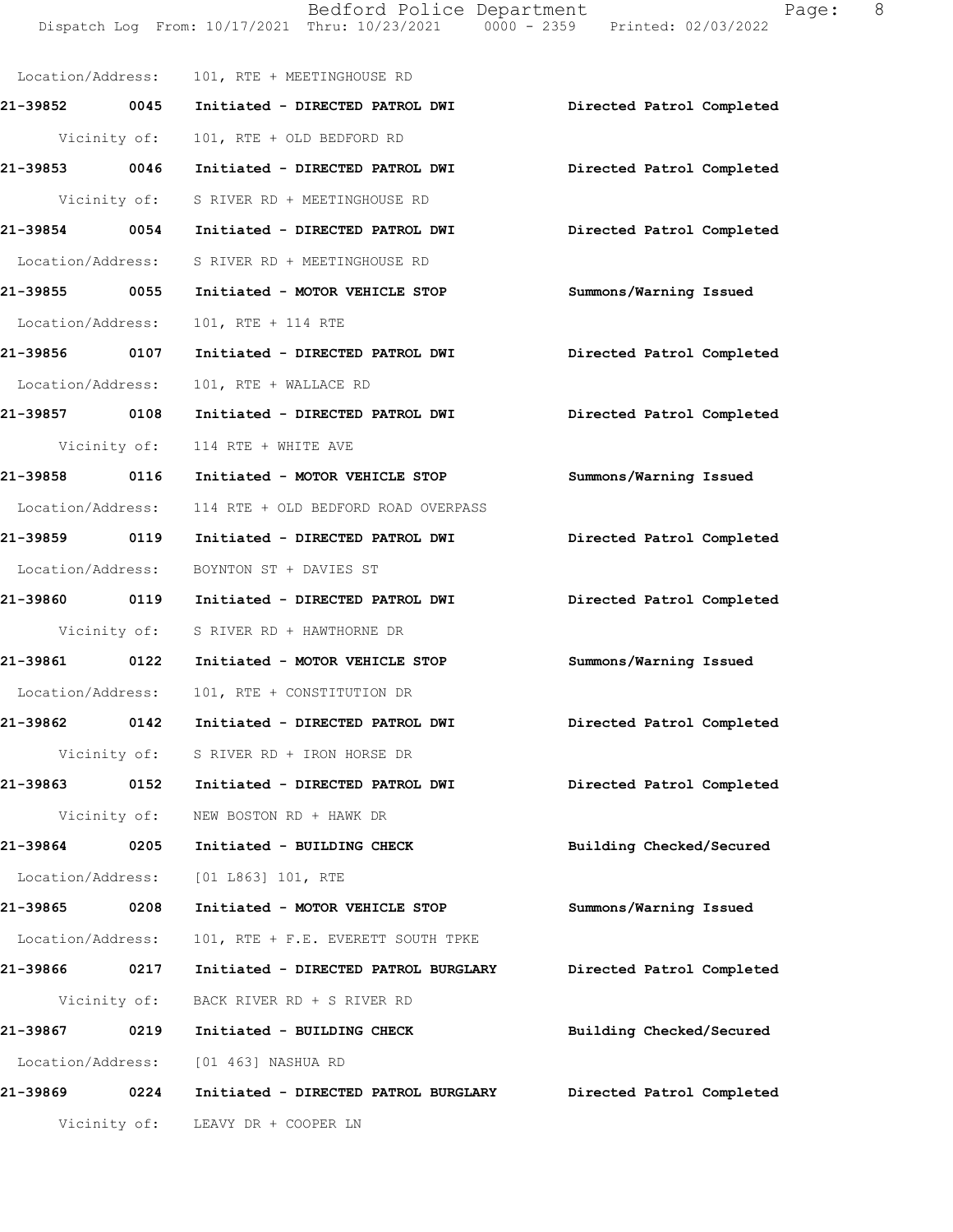Bedford Police Department Page: 8 Dispatch Log From: 10/17/2021 Thru: 10/23/2021 0000 - 2359 Printed: 02/03/2022 Location/Address: 101, RTE + MEETINGHOUSE RD

21-39852 0045 Initiated - DIRECTED PATROL DWI Directed Patrol Completed

Vicinity of: 101, RTE + OLD BEDFORD RD 21-39853 0046 Initiated - DIRECTED PATROL DWI Directed Patrol Completed Vicinity of: S RIVER RD + MEETINGHOUSE RD 21-39854 0054 Initiated - DIRECTED PATROL DWI Directed Patrol Completed Location/Address: S RIVER RD + MEETINGHOUSE RD 21-39855 0055 Initiated - MOTOR VEHICLE STOP Summons/Warning Issued Location/Address: 101, RTE + 114 RTE 21-39856 0107 Initiated - DIRECTED PATROL DWI Directed Patrol Completed Location/Address: 101, RTE + WALLACE RD 21-39857 0108 Initiated - DIRECTED PATROL DWI Directed Patrol Completed Vicinity of: 114 RTE + WHITE AVE 21-39858 0116 Initiated - MOTOR VEHICLE STOP Summons/Warning Issued Location/Address: 114 RTE + OLD BEDFORD ROAD OVERPASS 21-39859 0119 Initiated - DIRECTED PATROL DWI Directed Patrol Completed Location/Address: BOYNTON ST + DAVIES ST 21-39860 0119 Initiated - DIRECTED PATROL DWI Directed Patrol Completed Vicinity of: S RIVER RD + HAWTHORNE DR 21-39861 0122 Initiated - MOTOR VEHICLE STOP Summons/Warning Issued Location/Address: 101, RTE + CONSTITUTION DR 21-39862 0142 Initiated - DIRECTED PATROL DWI Directed Patrol Completed Vicinity of: S RIVER RD + IRON HORSE DR 21-39863 0152 Initiated - DIRECTED PATROL DWI Directed Patrol Completed Vicinity of: NEW BOSTON RD + HAWK DR 21-39864 0205 Initiated - BUILDING CHECK Building Checked/Secured Location/Address: [01 L863] 101, RTE 21-39865 0208 Initiated - MOTOR VEHICLE STOP Summons/Warning Issued Location/Address: 101, RTE + F.E. EVERETT SOUTH TPKE 21-39866 0217 Initiated - DIRECTED PATROL BURGLARY Directed Patrol Completed Vicinity of: BACK RIVER RD + S RIVER RD 21-39867 0219 Initiated - BUILDING CHECK Building Checked/Secured Location/Address: [01 463] NASHUA RD 21-39869 0224 Initiated - DIRECTED PATROL BURGLARY Directed Patrol Completed Vicinity of: LEAVY DR + COOPER LN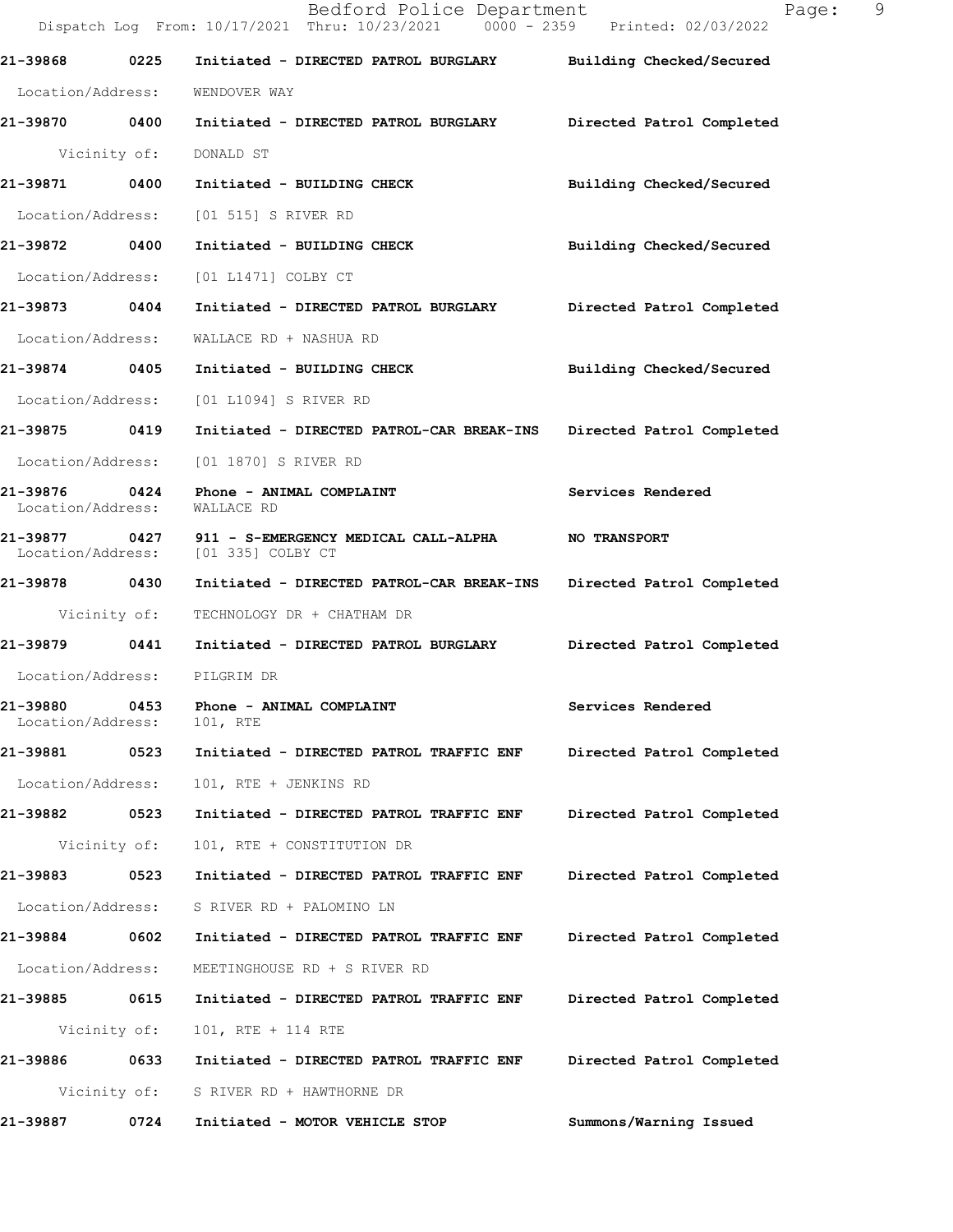Dispatch Log From: 10/17/2021 Thru: 10/23/2021 0000 - 2359 Printed: 02/03/2022 21-39868 0225 Initiated - DIRECTED PATROL BURGLARY Building Checked/Secured Location/Address: WENDOVER WAY 21-39870 0400 Initiated - DIRECTED PATROL BURGLARY Directed Patrol Completed Vicinity of: DONALD ST 21-39871 0400 Initiated - BUILDING CHECK Building Checked/Secured Location/Address: [01 515] S RIVER RD 21-39872 0400 Initiated - BUILDING CHECK Building Checked/Secured Location/Address: [01 L1471] COLBY CT 21-39873 0404 Initiated - DIRECTED PATROL BURGLARY Directed Patrol Completed Location/Address: WALLACE RD + NASHUA RD 21-39874 0405 Initiated - BUILDING CHECK Building Checked/Secured Location/Address: [01 L1094] S RIVER RD 21-39875 0419 Initiated - DIRECTED PATROL-CAR BREAK-INS Directed Patrol Completed Location/Address: [01 1870] S RIVER RD 21-39876 0424 Phone - ANIMAL COMPLAINT **Services Rendered** Location/Address: WALLACE RD Location/Address: 21-39877 0427 911 - S-EMERGENCY MEDICAL CALL-ALPHA NO TRANSPORT<br>Location/Address: [01 335] COLBY CT Location/Address: 21-39878 0430 Initiated - DIRECTED PATROL-CAR BREAK-INS Directed Patrol Completed Vicinity of: TECHNOLOGY DR + CHATHAM DR 21-39879 0441 Initiated - DIRECTED PATROL BURGLARY Directed Patrol Completed Location/Address: PILGRIM DR 21-39880 0453 Phone - ANIMAL COMPLAINT **Services Rendered Services** Rendered Location/Address: 21-39881 0523 Initiated - DIRECTED PATROL TRAFFIC ENF Directed Patrol Completed Location/Address: 101, RTE + JENKINS RD 21-39882 0523 Initiated - DIRECTED PATROL TRAFFIC ENF Directed Patrol Completed Vicinity of: 101, RTE + CONSTITUTION DR 21-39883 0523 Initiated - DIRECTED PATROL TRAFFIC ENF Directed Patrol Completed Location/Address: S RIVER RD + PALOMINO LN 21-39884 0602 Initiated - DIRECTED PATROL TRAFFIC ENF Directed Patrol Completed Location/Address: MEETINGHOUSE RD + S RIVER RD 21-39885 0615 Initiated - DIRECTED PATROL TRAFFICENF Directed Patrol Completed Vicinity of: 101, RTE + 114 RTE 21-39886 6633 Initiated - DIRECTED PATROL TRAFFICENF Directed Patrol Completed Vicinity of: S RIVER RD + HAWTHORNE DR 21-39887 0724 Initiated - MOTOR VEHICLE STOP Summons/Warning Issued

Bedford Police Department Fage: 9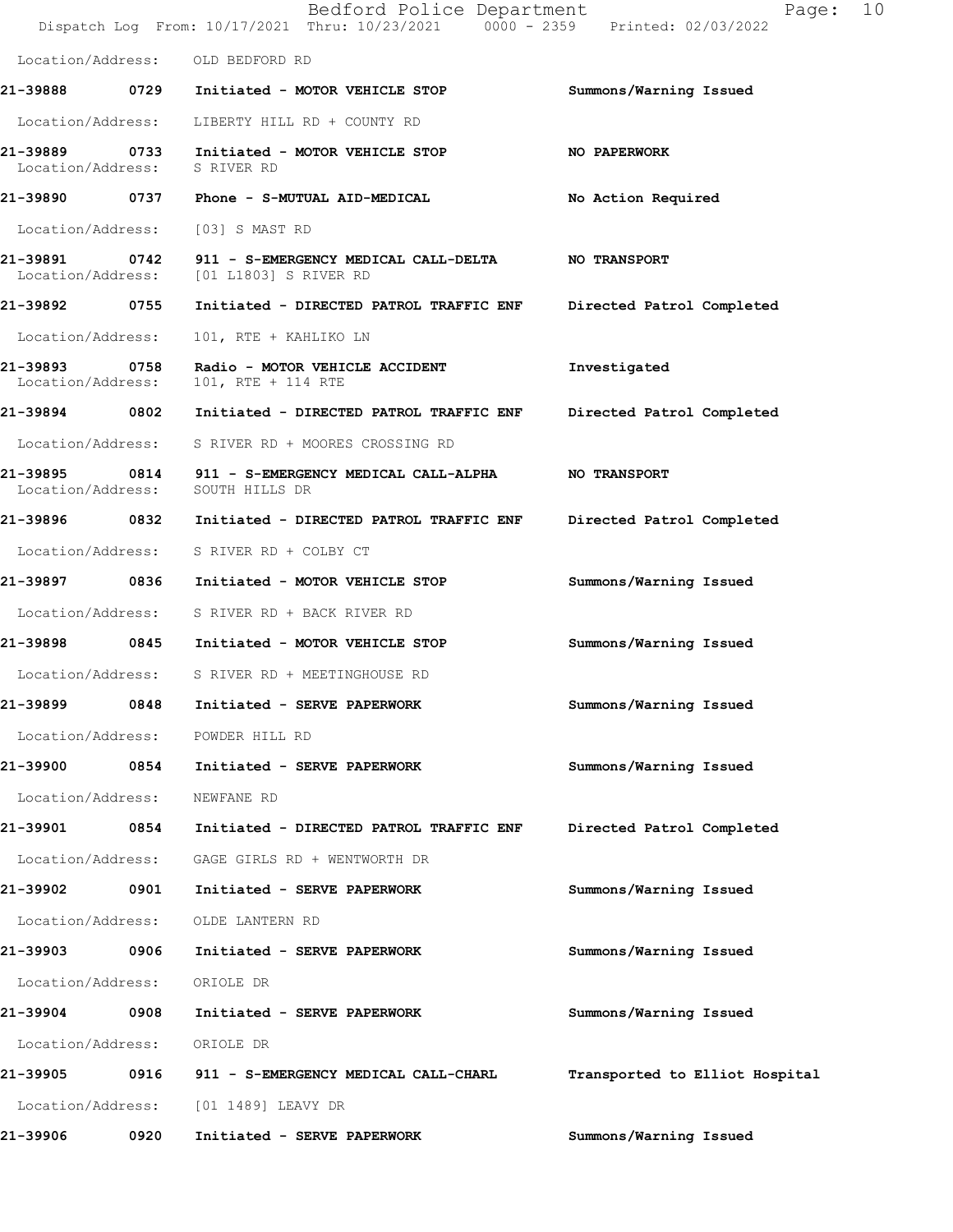|                                    |      | Bedford Police Department<br>Dispatch Log From: 10/17/2021 Thru: 10/23/2021 0000 - 2359 Printed: 02/03/2022 | Page:                          | 10 |
|------------------------------------|------|-------------------------------------------------------------------------------------------------------------|--------------------------------|----|
|                                    |      | Location/Address: OLD BEDFORD RD                                                                            |                                |    |
|                                    |      |                                                                                                             | Summons/Warning Issued         |    |
|                                    |      | Location/Address: LIBERTY HILL RD + COUNTY RD                                                               |                                |    |
|                                    |      | 21-39889 0733 Initiated - MOTOR VEHICLE STOP<br>Location/Address: S RIVER RD                                | <b>NO PAPERWORK</b>            |    |
|                                    |      | 21-39890  0737  Phone - S-MUTUAL AID-MEDICAL                                                                | No Action Required             |    |
| Location/Address:                  |      | [03] S MAST RD                                                                                              |                                |    |
|                                    |      | 21-39891 0742 911 - S-EMERGENCY MEDICAL CALL-DELTA<br>Location/Address: [01 L1803] S RIVER RD               | <b>NO TRANSPORT</b>            |    |
| 21-39892 0755                      |      | Initiated - DIRECTED PATROL TRAFFIC ENF                                                                     | Directed Patrol Completed      |    |
| Location/Address:                  |      | 101, RTE + KAHLIKO LN                                                                                       |                                |    |
| 21-39893 0758<br>Location/Address: |      | Radio - MOTOR VEHICLE ACCIDENT<br>101, RTE + 114 RTE                                                        | Investigated                   |    |
| 21-39894 0802                      |      | Initiated - DIRECTED PATROL TRAFFIC ENF                                                                     | Directed Patrol Completed      |    |
|                                    |      | Location/Address: S RIVER RD + MOORES CROSSING RD                                                           |                                |    |
| Location/Address:                  |      | 21-39895 0814 911 - S-EMERGENCY MEDICAL CALL-ALPHA<br>SOUTH HILLS DR                                        | NO TRANSPORT                   |    |
| 21-39896 0832                      |      | Initiated - DIRECTED PATROL TRAFFIC ENF                                                                     | Directed Patrol Completed      |    |
| Location/Address:                  |      | S RIVER RD + COLBY CT                                                                                       |                                |    |
| 21-39897 0836                      |      | Initiated - MOTOR VEHICLE STOP                                                                              | Summons/Warning Issued         |    |
|                                    |      | Location/Address: S RIVER RD + BACK RIVER RD                                                                |                                |    |
|                                    |      | 21-39898 0845 Initiated - MOTOR VEHICLE STOP                                                                | Summons/Warning Issued         |    |
|                                    |      | Location/Address: S RIVER RD + MEETINGHOUSE RD                                                              |                                |    |
|                                    |      | 21-39899 0848 Initiated - SERVE PAPERWORK                                                                   | Summons/Warning Issued         |    |
| Location/Address:                  |      | POWDER HILL RD                                                                                              |                                |    |
| 21-39900 0854                      |      | Initiated - SERVE PAPERWORK                                                                                 | Summons/Warning Issued         |    |
| Location/Address:                  |      | NEWFANE RD                                                                                                  |                                |    |
| 21-39901 0854                      |      | Initiated - DIRECTED PATROL TRAFFIC ENF                                                                     | Directed Patrol Completed      |    |
| Location/Address:                  |      | GAGE GIRLS RD + WENTWORTH DR                                                                                |                                |    |
| 21-39902                           | 0901 | Initiated - SERVE PAPERWORK                                                                                 | Summons/Warning Issued         |    |
| Location/Address:                  |      | OLDE LANTERN RD                                                                                             |                                |    |
| 21-39903 0906                      |      | Initiated - SERVE PAPERWORK                                                                                 | Summons/Warning Issued         |    |
| Location/Address:                  |      | ORIOLE DR                                                                                                   |                                |    |
| 21-39904 0908                      |      | Initiated - SERVE PAPERWORK                                                                                 | Summons/Warning Issued         |    |
| Location/Address:                  |      | ORIOLE DR                                                                                                   |                                |    |
| 21-39905 0916                      |      | 911 - S-EMERGENCY MEDICAL CALL-CHARL                                                                        | Transported to Elliot Hospital |    |
| Location/Address:                  |      | [01 1489] LEAVY DR                                                                                          |                                |    |
| 21-39906                           | 0920 | Initiated - SERVE PAPERWORK                                                                                 | Summons/Warning Issued         |    |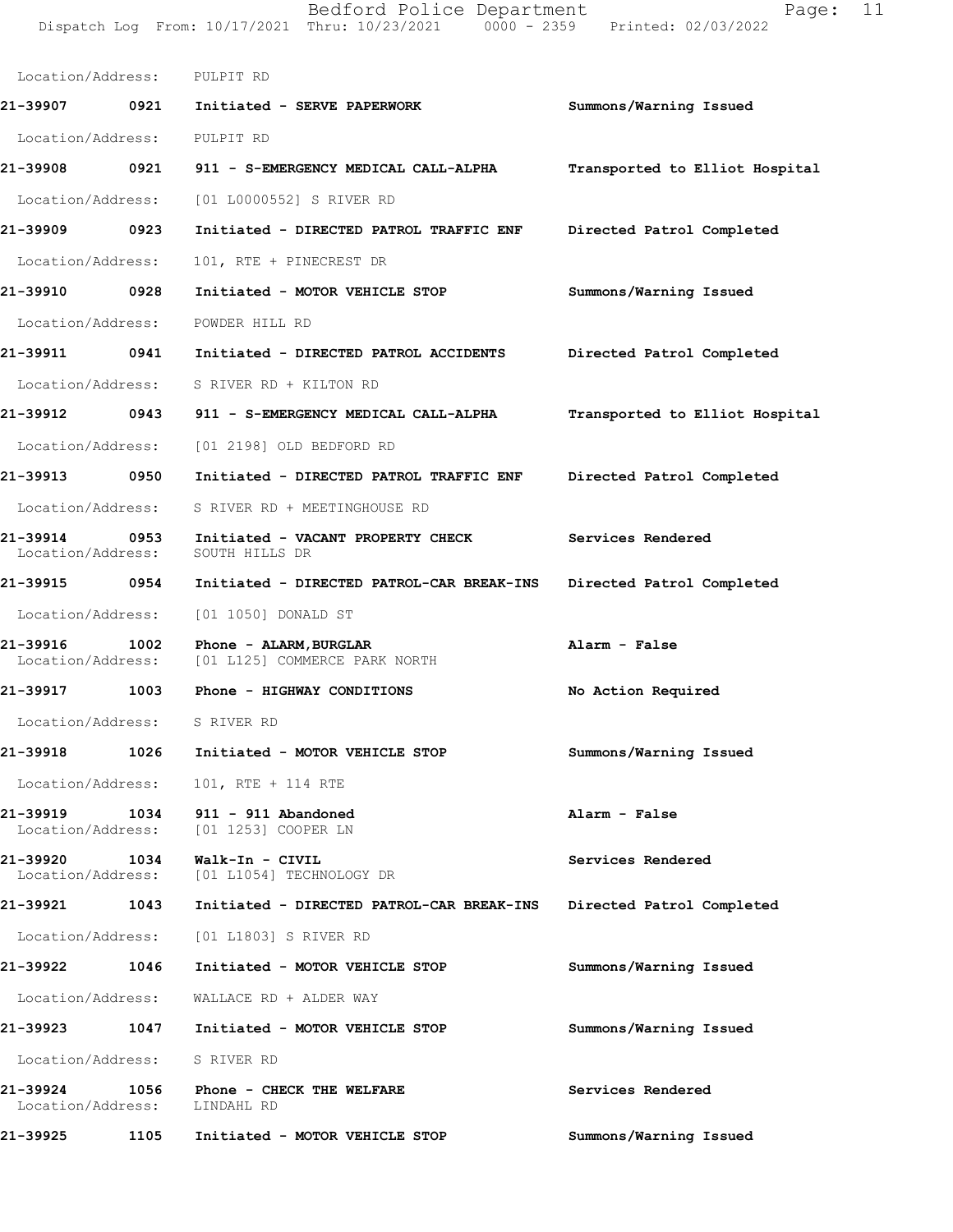Bedford Police Department Page: 11 DispatchLogFrom:10/17/2021Thru:10/23/20210000-2359Printed:02/03/2022

| Page: |  |
|-------|--|
|-------|--|

| Location/Address: PULPIT RD              |      |                                                                     |                                |
|------------------------------------------|------|---------------------------------------------------------------------|--------------------------------|
| 21-39907 0921                            |      | Initiated - SERVE PAPERWORK                                         | Summons/Warning Issued         |
| Location/Address:                        |      | PULPIT RD                                                           |                                |
| 21-39908                                 | 0921 | 911 - S-EMERGENCY MEDICAL CALL-ALPHA                                | Transported to Elliot Hospital |
| Location/Address:                        |      | [01 L0000552] S RIVER RD                                            |                                |
| 21–39909 0923                            |      | Initiated - DIRECTED PATROL TRAFFIC ENF                             | Directed Patrol Completed      |
| Location/Address:                        |      | 101, RTE + PINECREST DR                                             |                                |
| 21-39910 0928                            |      | Initiated - MOTOR VEHICLE STOP                                      | Summons/Warning Issued         |
| Location/Address:                        |      | POWDER HILL RD                                                      |                                |
| 21-39911 0941                            |      | Initiated - DIRECTED PATROL ACCIDENTS                               | Directed Patrol Completed      |
| Location/Address:                        |      | S RIVER RD + KILTON RD                                              |                                |
| 21-39912 0943                            |      | 911 - S-EMERGENCY MEDICAL CALL-ALPHA                                | Transported to Elliot Hospital |
|                                          |      | Location/Address: [01 2198] OLD BEDFORD RD                          |                                |
| 21-39913 0950                            |      | Initiated - DIRECTED PATROL TRAFFIC ENF                             | Directed Patrol Completed      |
| Location/Address:                        |      | S RIVER RD + MEETINGHOUSE RD                                        |                                |
| 21-39914<br>Location/Address:            | 0953 | Initiated - VACANT PROPERTY CHECK<br>SOUTH HILLS DR                 | Services Rendered              |
| 21-39915    0954                         |      | Initiated - DIRECTED PATROL-CAR BREAK-INS                           | Directed Patrol Completed      |
|                                          |      | Location/Address: [01 1050] DONALD ST                               |                                |
| 21-39916<br>Location/Address:            | 1002 | Phone - ALARM, BURGLAR<br>[01 L125] COMMERCE PARK NORTH             | Alarm - False                  |
| 21-39917                                 | 1003 | Phone - HIGHWAY CONDITIONS                                          | No Action Required             |
| Location/Address: S RIVER RD             |      |                                                                     |                                |
|                                          |      | 21-39918 1026 Initiated - MOTOR VEHICLE STOP                        | Summons/Warning Issued         |
|                                          |      | Location/Address: 101, RTE + 114 RTE                                |                                |
|                                          |      | Location/Address: [01 1253] COOPER LN                               | Alarm - False                  |
| 21-39920 1034                            |      | Walk-In - CIVIL<br>Location/Address: [01 L1054] TECHNOLOGY DR       | Services Rendered              |
| 21-39921                                 | 1043 | Initiated - DIRECTED PATROL-CAR BREAK-INS Directed Patrol Completed |                                |
|                                          |      | Location/Address: [01 L1803] S RIVER RD                             |                                |
| 21-39922                                 | 1046 | Initiated - MOTOR VEHICLE STOP                                      | Summons/Warning Issued         |
|                                          |      | Location/Address: WALLACE RD + ALDER WAY                            |                                |
|                                          |      |                                                                     | Summons/Warning Issued         |
| Location/Address: S RIVER RD             |      |                                                                     |                                |
| 21-39924<br>Location/Address: LINDAHL RD |      | 1056 Phone - CHECK THE WELFARE                                      | Services Rendered              |
| 21-39925                                 | 1105 | Initiated - MOTOR VEHICLE STOP                                      | Summons/Warning Issued         |
|                                          |      |                                                                     |                                |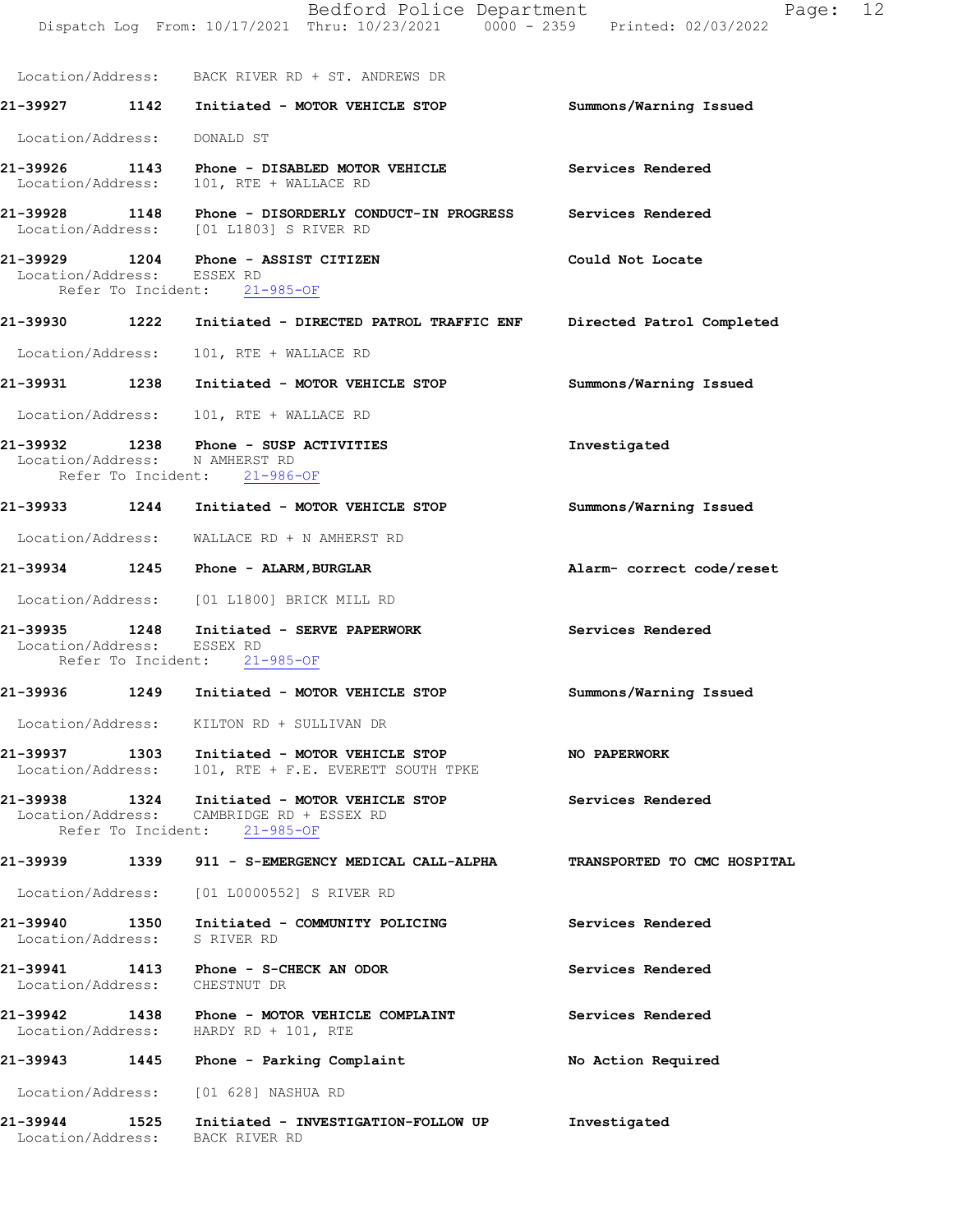|                               |      | Bedford Police Department<br>Dispatch Log From: 10/17/2021 Thru: 10/23/2021 0000 - 2359 Printed: 02/03/2022               | Page: 12                    |  |
|-------------------------------|------|---------------------------------------------------------------------------------------------------------------------------|-----------------------------|--|
|                               |      | Location/Address: BACK RIVER RD + ST. ANDREWS DR                                                                          |                             |  |
|                               |      | 21-39927 1142 Initiated - MOTOR VEHICLE STOP                                                                              | Summons/Warning Issued      |  |
| Location/Address:             |      | DONALD ST                                                                                                                 |                             |  |
|                               |      | 21-39926 1143 Phone - DISABLED MOTOR VEHICLE<br>Location/Address: 101, RTE + WALLACE RD                                   | Services Rendered           |  |
|                               |      | 21-39928 1148 Phone - DISORDERLY CONDUCT-IN PROGRESS Services Rendered<br>Location/Address: [01 L1803] S RIVER RD         |                             |  |
| Location/Address: ESSEX RD    |      | 21-39929 1204 Phone - ASSIST CITIZEN<br>Refer To Incident: 21-985-OF                                                      | Could Not Locate            |  |
|                               |      | 21-39930 1222 Initiated - DIRECTED PATROL TRAFFIC ENF                                                                     | Directed Patrol Completed   |  |
| Location/Address:             |      | 101, RTE + WALLACE RD                                                                                                     |                             |  |
|                               |      | 21-39931 1238 Initiated - MOTOR VEHICLE STOP                                                                              | Summons/Warning Issued      |  |
|                               |      | Location/Address: 101, RTE + WALLACE RD                                                                                   |                             |  |
|                               |      | 21-39932 1238 Phone - SUSP ACTIVITIES<br>Location/Address: N AMHERST RD<br>Refer To Incident: 21-986-OF                   | Investigated                |  |
|                               |      | 21-39933 1244 Initiated - MOTOR VEHICLE STOP                                                                              | Summons/Warning Issued      |  |
|                               |      | Location/Address: WALLACE RD + N AMHERST RD                                                                               |                             |  |
|                               |      | 21-39934 1245 Phone - ALARM, BURGLAR                                                                                      | Alarm- correct code/reset   |  |
|                               |      | Location/Address: [01 L1800] BRICK MILL RD                                                                                |                             |  |
| Location/Address: ESSEX RD    |      | 21-39935 1248 Initiated - SERVE PAPERWORK<br>Refer To Incident: 21-985-OF                                                 | Services Rendered           |  |
| 21-39936                      | 1249 | Initiated - MOTOR VEHICLE STOP                                                                                            | Summons/Warning Issued      |  |
|                               |      | Location/Address: KILTON RD + SULLIVAN DR                                                                                 |                             |  |
|                               |      | 21-39937 1303 Initiated - MOTOR VEHICLE STOP<br>Location/Address: 101, RTE + F.E. EVERETT SOUTH TPKE                      | NO PAPERWORK                |  |
|                               |      | 21-39938 1324 Initiated - MOTOR VEHICLE STOP<br>Location/Address: CAMBRIDGE RD + ESSEX RD<br>Refer To Incident: 21-985-OF | Services Rendered           |  |
|                               |      |                                                                                                                           | TRANSPORTED TO CMC HOSPITAL |  |
|                               |      | Location/Address: [01 L0000552] S RIVER RD                                                                                |                             |  |
| Location/Address: S RIVER RD  |      | 21-39940 1350 Initiated - COMMUNITY POLICING                                                                              | Services Rendered           |  |
| Location/Address: CHESTNUT DR |      | 21-39941 1413 Phone - S-CHECK AN ODOR                                                                                     | Services Rendered           |  |
|                               |      | 21-39942 1438 Phone - MOTOR VEHICLE COMPLAINT<br>Location/Address: HARDY RD + 101, RTE                                    | Services Rendered           |  |
|                               |      | 21-39943 1445 Phone - Parking Complaint                                                                                   | No Action Required          |  |
|                               |      | Location/Address: [01 628] NASHUA RD                                                                                      |                             |  |
|                               |      | 21-39944 1525 Initiated - INVESTIGATION-FOLLOW UP<br>Location/Address: BACK RIVER RD                                      | Investigated                |  |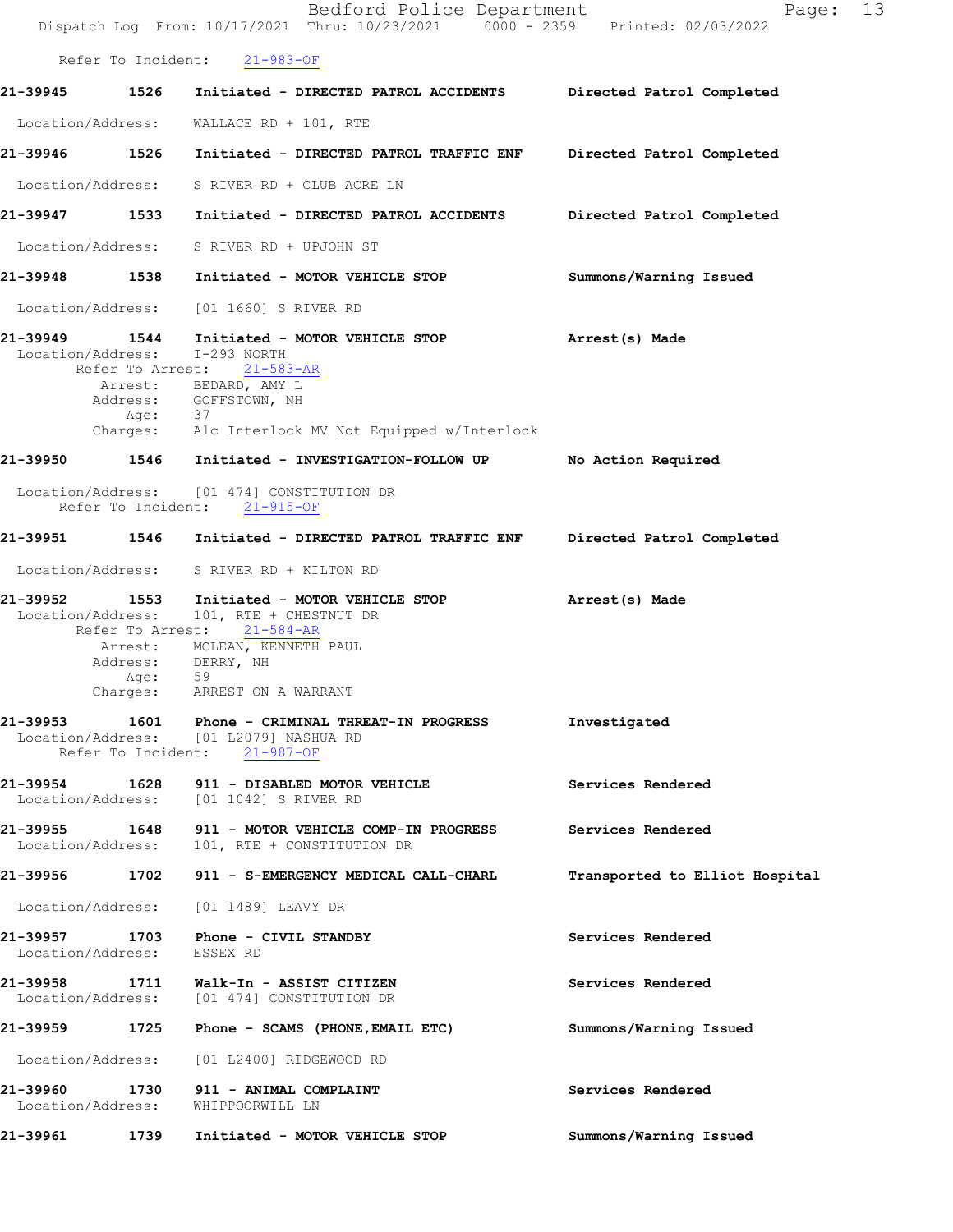|                               |                                  | Bedford Police Department<br>Dispatch Log From: 10/17/2021 Thru: 10/23/2021 0000 - 2359 Printed: 02/03/2022                                                             | 13<br>Page:                    |
|-------------------------------|----------------------------------|-------------------------------------------------------------------------------------------------------------------------------------------------------------------------|--------------------------------|
|                               | Refer To Incident:               | $21 - 983 - OF$                                                                                                                                                         |                                |
| 21–39945                      | 1526                             | Initiated - DIRECTED PATROL ACCIDENTS Directed Patrol Completed                                                                                                         |                                |
| Location/Address:             |                                  | WALLACE RD + $101$ , RTE                                                                                                                                                |                                |
| 21-39946                      | 1526                             | Initiated - DIRECTED PATROL TRAFFIC ENF Directed Patrol Completed                                                                                                       |                                |
|                               |                                  | Location/Address: S RIVER RD + CLUB ACRE LN                                                                                                                             |                                |
| 21-39947 1533                 |                                  | Initiated - DIRECTED PATROL ACCIDENTS                                                                                                                                   | Directed Patrol Completed      |
|                               |                                  | Location/Address: S RIVER RD + UPJOHN ST                                                                                                                                |                                |
| 21-39948 1538                 |                                  | Initiated - MOTOR VEHICLE STOP                                                                                                                                          | Summons/Warning Issued         |
| Location/Address:             |                                  | [01 1660] S RIVER RD                                                                                                                                                    |                                |
| 21-39949<br>Location/Address: | 1544                             | Initiated - MOTOR VEHICLE STOP<br>I-293 NORTH<br>Refer To Arrest: 21-583-AR<br>Arrest: BEDARD, AMY L<br>Address: GOFFSTOWN, NH                                          | Arrest(s) Made                 |
|                               |                                  | Age: 37<br>Charges: Alc Interlock MV Not Equipped w/Interlock                                                                                                           |                                |
| 21-39950                      |                                  | 1546 Initiated - INVESTIGATION-FOLLOW UP                                                                                                                                | No Action Required             |
|                               |                                  | Location/Address: [01 474] CONSTITUTION DR<br>Refer To Incident: 21-915-OF                                                                                              |                                |
| 21-39951                      |                                  | 1546 Initiated - DIRECTED PATROL TRAFFIC ENF                                                                                                                            | Directed Patrol Completed      |
| Location/Address:             |                                  | S RIVER RD + KILTON RD                                                                                                                                                  |                                |
| 21-39952<br>Location/Address: | 1553<br>Refer To Arrest:<br>Age: | Initiated - MOTOR VEHICLE STOP<br>101, RTE + CHESTNUT DR<br>$21 - 584 - AR$<br>Arrest: MCLEAN, KENNETH PAUL<br>Address: DERRY, NH<br>59<br>Charges: ARREST ON A WARRANT | Arrest(s) Made                 |
|                               |                                  | 21-39953 1601 Phone - CRIMINAL THREAT-IN PROGRESS<br>Location/Address: [01 L2079] NASHUA RD<br>Refer To Incident: 21-987-OF                                             | Investigated                   |
|                               |                                  | 21-39954 1628 911 - DISABLED MOTOR VEHICLE<br>Location/Address: [01 1042] S RIVER RD                                                                                    | Services Rendered              |
|                               |                                  | 21-39955 1648 911 - MOTOR VEHICLE COMP-IN PROGRESS<br>Location/Address: 101, RTE + CONSTITUTION DR                                                                      | Services Rendered              |
|                               |                                  | 21-39956 1702 911 - S-EMERGENCY MEDICAL CALL-CHARL                                                                                                                      | Transported to Elliot Hospital |
|                               |                                  | Location/Address: [01 1489] LEAVY DR                                                                                                                                    |                                |
| Location/Address: ESSEX RD    |                                  | 21-39957 1703 Phone - CIVIL STANDBY                                                                                                                                     | Services Rendered              |
|                               |                                  | 21-39958 1711 Walk-In - ASSIST CITIZEN<br>Location/Address: [01 474] CONSTITUTION DR                                                                                    | Services Rendered              |
|                               |                                  |                                                                                                                                                                         | Summons/Warning Issued         |
|                               |                                  | Location/Address: [01 L2400] RIDGEWOOD RD                                                                                                                               |                                |
|                               |                                  | 21-39960 1730 911 - ANIMAL COMPLAINT<br>Location/Address: WHIPPOORWILL LN                                                                                               | Services Rendered              |
| 21-39961                      | 1739                             | Initiated - MOTOR VEHICLE STOP                                                                                                                                          | Summons/Warning Issued         |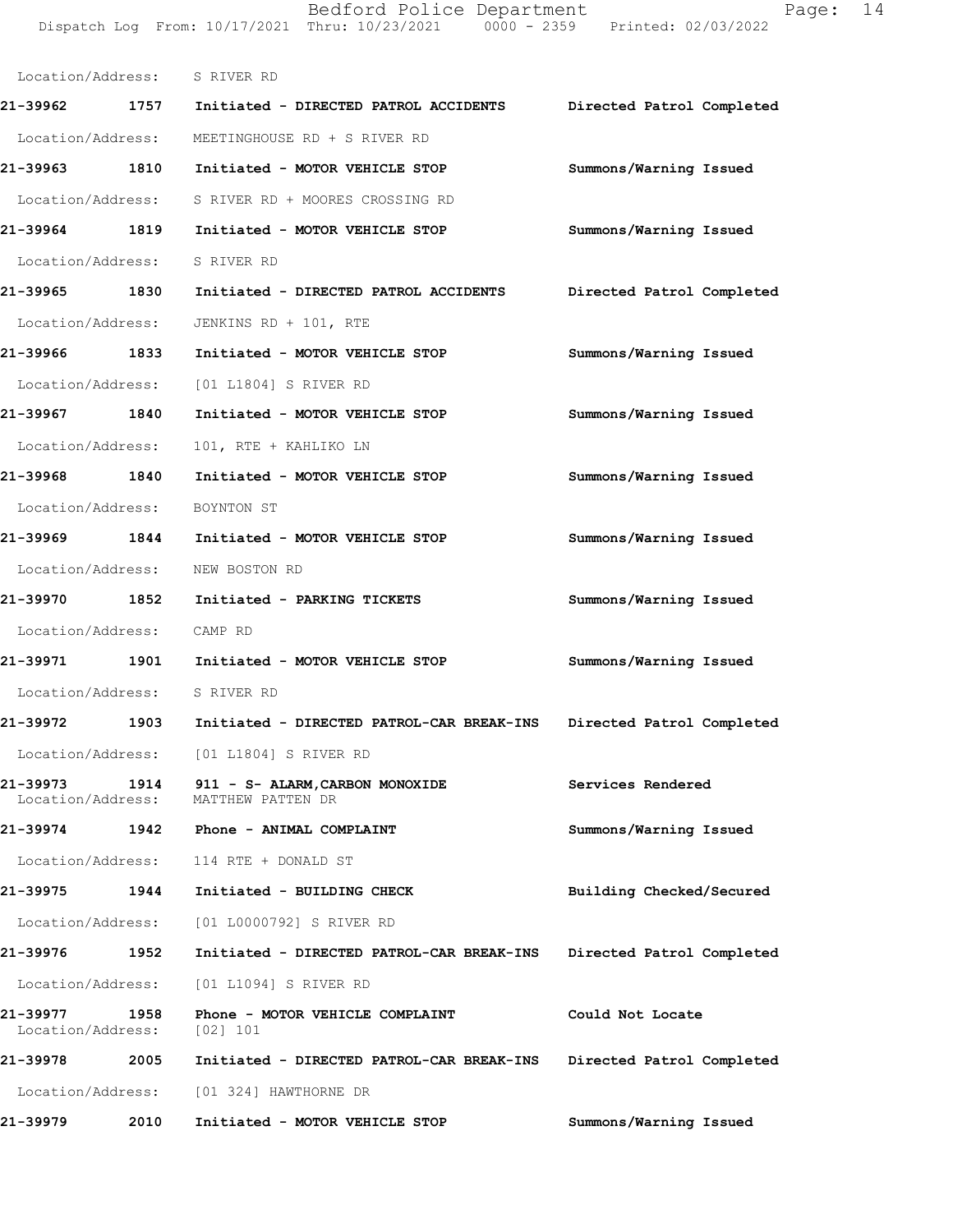Bedford Police Department Page: 14 DispatchLogFrom:10/17/2021Thru:10/23/20210000-2359Printed:02/03/2022

| Location/Address: S RIVER RD  |      |                                                      |                           |
|-------------------------------|------|------------------------------------------------------|---------------------------|
|                               |      | 21-39962 1757 Initiated - DIRECTED PATROL ACCIDENTS  | Directed Patrol Completed |
|                               |      | Location/Address: MEETINGHOUSE RD + S RIVER RD       |                           |
|                               |      | 21-39963 1810 Initiated - MOTOR VEHICLE STOP         | Summons/Warning Issued    |
|                               |      | Location/Address: S RIVER RD + MOORES CROSSING RD    |                           |
| 21-39964 1819                 |      | Initiated - MOTOR VEHICLE STOP                       | Summons/Warning Issued    |
|                               |      | Location/Address: S RIVER RD                         |                           |
| 21-39965 1830                 |      | Initiated - DIRECTED PATROL ACCIDENTS                | Directed Patrol Completed |
| Location/Address:             |      | JENKINS RD + 101, RTE                                |                           |
| 21-39966 1833                 |      | Initiated - MOTOR VEHICLE STOP                       | Summons/Warning Issued    |
|                               |      | Location/Address: [01 L1804] S RIVER RD              |                           |
| 21-39967 1840                 |      | Initiated - MOTOR VEHICLE STOP                       | Summons/Warning Issued    |
| Location/Address:             |      | 101, RTE + KAHLIKO LN                                |                           |
| 21-39968 1840                 |      | Initiated - MOTOR VEHICLE STOP                       | Summons/Warning Issued    |
| Location/Address: BOYNTON ST  |      |                                                      |                           |
| 21–39969 1844                 |      | Initiated - MOTOR VEHICLE STOP                       | Summons/Warning Issued    |
|                               |      | Location/Address: NEW BOSTON RD                      |                           |
| 21-39970 1852                 |      | Initiated - PARKING TICKETS                          | Summons/Warning Issued    |
| Location/Address: CAMP RD     |      |                                                      |                           |
| 21-39971 1901                 |      | Initiated - MOTOR VEHICLE STOP                       | Summons/Warning Issued    |
| Location/Address: S RIVER RD  |      |                                                      |                           |
| 21-39972 1903                 |      | Initiated - DIRECTED PATROL-CAR BREAK-INS            | Directed Patrol Completed |
| Location/Address:             |      | [01 L1804] S RIVER RD                                |                           |
| 21-39973<br>Location/Address: | 1914 | 911 - S- ALARM, CARBON MONOXIDE<br>MATTHEW PATTEN DR | Services Rendered         |
| 21-39974                      | 1942 | Phone - ANIMAL COMPLAINT                             | Summons/Warning Issued    |
| Location/Address:             |      | 114 RTE + DONALD ST                                  |                           |
| 21-39975                      | 1944 | Initiated - BUILDING CHECK                           | Building Checked/Secured  |
| Location/Address:             |      | [01 L0000792] S RIVER RD                             |                           |
| 21-39976                      | 1952 | Initiated - DIRECTED PATROL-CAR BREAK-INS            | Directed Patrol Completed |
| Location/Address:             |      | [01 L1094] S RIVER RD                                |                           |
| 21-39977<br>Location/Address: | 1958 | Phone - MOTOR VEHICLE COMPLAINT<br>$[02]$ 101        | Could Not Locate          |
| 21-39978                      | 2005 | Initiated - DIRECTED PATROL-CAR BREAK-INS            | Directed Patrol Completed |
| Location/Address:             |      | [01 324] HAWTHORNE DR                                |                           |
| 21-39979                      | 2010 | Initiated - MOTOR VEHICLE STOP                       | Summons/Warning Issued    |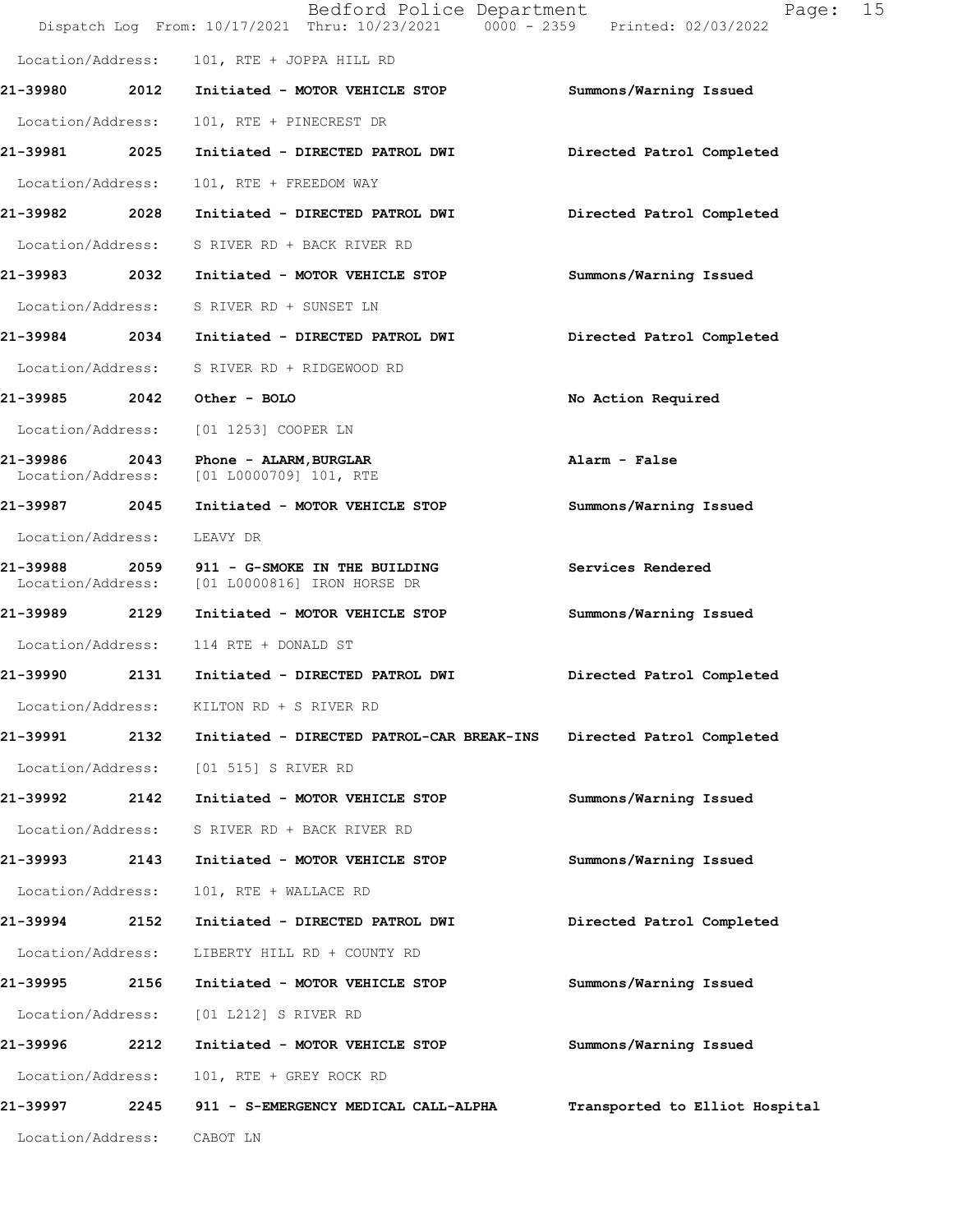|                                    |      | Bedford Police Department<br>Dispatch Log From: 10/17/2021 Thru: 10/23/2021 0000 - 2359 Printed: 02/03/2022 | 15<br>Page:                    |
|------------------------------------|------|-------------------------------------------------------------------------------------------------------------|--------------------------------|
| Location/Address:                  |      | 101, RTE + JOPPA HILL RD                                                                                    |                                |
| 21-39980                           | 2012 | Initiated - MOTOR VEHICLE STOP                                                                              | Summons/Warning Issued         |
| Location/Address:                  |      | 101, RTE + PINECREST DR                                                                                     |                                |
| 21-39981 2025                      |      | Initiated - DIRECTED PATROL DWI                                                                             | Directed Patrol Completed      |
| Location/Address:                  |      | 101, RTE + FREEDOM WAY                                                                                      |                                |
| 21-39982 2028                      |      | Initiated - DIRECTED PATROL DWI                                                                             | Directed Patrol Completed      |
| Location/Address:                  |      | S RIVER RD + BACK RIVER RD                                                                                  |                                |
| 21-39983    2032                   |      | Initiated - MOTOR VEHICLE STOP                                                                              | Summons/Warning Issued         |
|                                    |      | Location/Address: S RIVER RD + SUNSET LN                                                                    |                                |
|                                    |      | 21-39984 2034 Initiated - DIRECTED PATROL DWI                                                               | Directed Patrol Completed      |
| Location/Address:                  |      | S RIVER RD + RIDGEWOOD RD                                                                                   |                                |
|                                    |      | 21-39985 2042 Other - BOLO                                                                                  | No Action Required             |
| Location/Address:                  |      | [01 1253] COOPER LN                                                                                         |                                |
| 21-39986 2043<br>Location/Address: |      | Phone - ALARM, BURGLAR<br>[01 L0000709] 101, RTE                                                            | Alarm - False                  |
| 21-39987 2045                      |      | Initiated - MOTOR VEHICLE STOP                                                                              | Summons/Warning Issued         |
| Location/Address:                  |      | LEAVY DR                                                                                                    |                                |
| 21-39988<br>Location/Address:      | 2059 | 911 - G-SMOKE IN THE BUILDING<br>[01 L0000816] IRON HORSE DR                                                | Services Rendered              |
| 21-39989 2129                      |      | Initiated - MOTOR VEHICLE STOP                                                                              | Summons/Warning Issued         |
| Location/Address:                  |      | 114 RTE + DONALD ST                                                                                         |                                |
| 21-39990                           |      | 2131 Initiated - DIRECTED PATROL DWI                                                                        | Directed Patrol Completed      |
| Location/Address:                  |      | KILTON RD + S RIVER RD                                                                                      |                                |
| 21-39991                           | 2132 | Initiated - DIRECTED PATROL-CAR BREAK-INS                                                                   | Directed Patrol Completed      |
| Location/Address:                  |      | [01 515] S RIVER RD                                                                                         |                                |
| 21-39992                           | 2142 | Initiated - MOTOR VEHICLE STOP                                                                              | Summons/Warning Issued         |
| Location/Address:                  |      | S RIVER RD + BACK RIVER RD                                                                                  |                                |
| 21-39993                           | 2143 | Initiated - MOTOR VEHICLE STOP                                                                              | Summons/Warning Issued         |
| Location/Address:                  |      | 101, RTE + WALLACE RD                                                                                       |                                |
| 21-39994                           | 2152 | Initiated - DIRECTED PATROL DWI                                                                             | Directed Patrol Completed      |
| Location/Address:                  |      | LIBERTY HILL RD + COUNTY RD                                                                                 |                                |
| 21–39995                           | 2156 | Initiated - MOTOR VEHICLE STOP                                                                              | Summons/Warning Issued         |
| Location/Address:                  |      | [01 L212] S RIVER RD                                                                                        |                                |
| 21-39996                           | 2212 | Initiated - MOTOR VEHICLE STOP                                                                              | Summons/Warning Issued         |
| Location/Address:                  |      | 101, RTE + GREY ROCK RD                                                                                     |                                |
| 21-39997                           | 2245 | 911 - S-EMERGENCY MEDICAL CALL-ALPHA                                                                        | Transported to Elliot Hospital |
| Location/Address:                  |      | CABOT LN                                                                                                    |                                |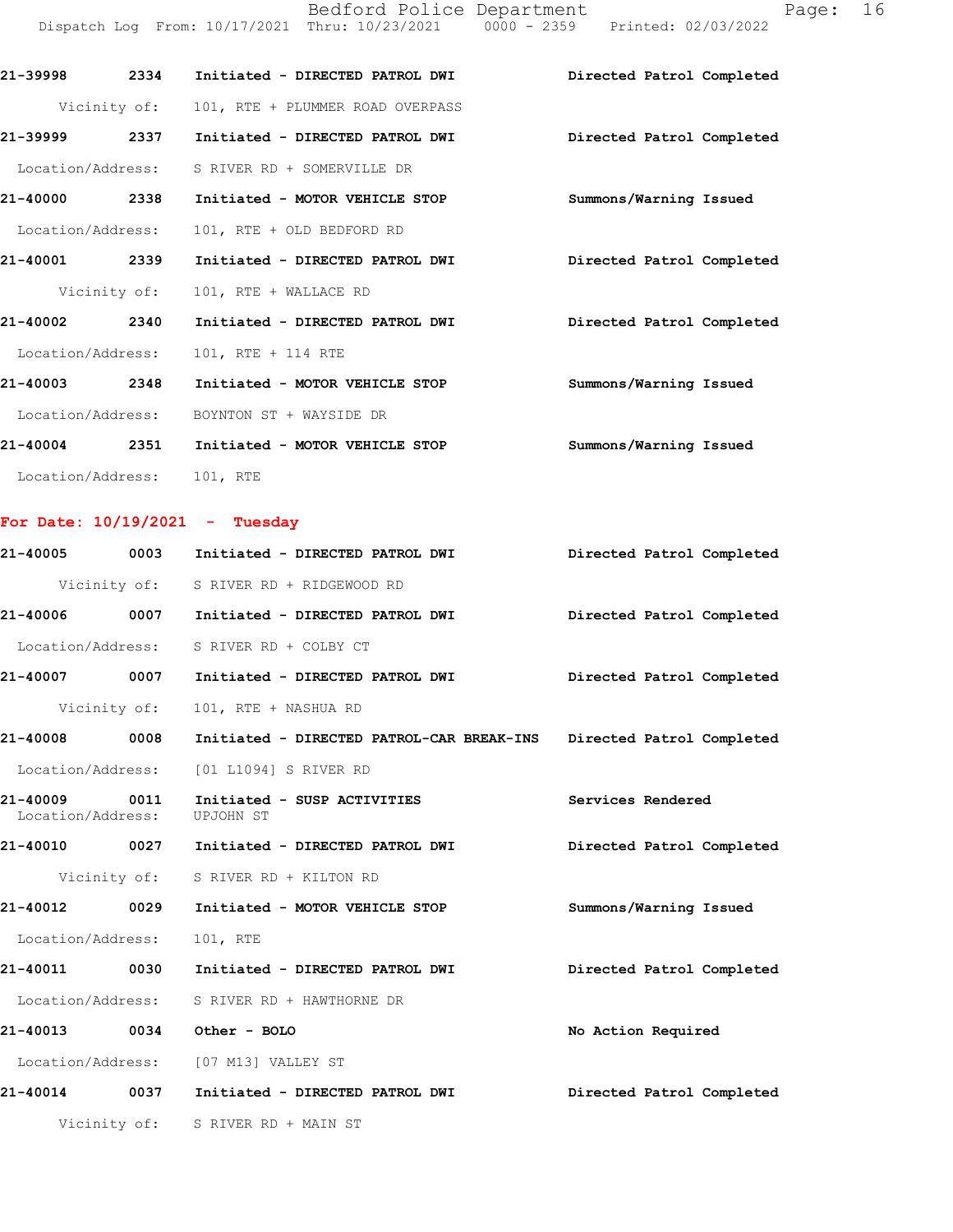Bedford Police Department Page: 16 DispatchLogFrom:10/17/2021Thru:10/23/20210000-2359Printed:02/03/2022

| 21-39998          | 2334 | Initiated - DIRECTED PATROL DWI               | Directed Patrol Completed |
|-------------------|------|-----------------------------------------------|---------------------------|
|                   |      | Vicinity of: 101, RTE + PLUMMER ROAD OVERPASS |                           |
| 21-39999          | 2337 | Initiated - DIRECTED PATROL DWI               | Directed Patrol Completed |
| Location/Address: |      | S RIVER RD + SOMERVILLE DR                    |                           |
| 21-40000          | 2338 | Initiated - MOTOR VEHICLE STOP                | Summons/Warning Issued    |
| Location/Address: |      | 101, RTE + OLD BEDFORD RD                     |                           |
| 21-40001          | 2339 | Initiated - DIRECTED PATROL DWI               | Directed Patrol Completed |
|                   |      | Vicinity of: 101, RTE + WALLACE RD            |                           |
| 21-40002          | 2340 | Initiated - DIRECTED PATROL DWI               | Directed Patrol Completed |
| Location/Address: |      | 101, RTE + 114 RTE                            |                           |
| 21-40003          | 2348 | Initiated - MOTOR VEHICLE STOP                | Summons/Warning Issued    |
| Location/Address: |      | BOYNTON ST + WAYSIDE DR                       |                           |
| 21-40004          | 2351 | Initiated - MOTOR VEHICLE STOP                | Summons/Warning Issued    |
| Location/Address: |      | 101, RTE                                      |                           |

## For Date:  $10/19/2021$  - Tuesday

| 21-40005                           | 0003 | Initiated - DIRECTED PATROL DWI                                     | Directed Patrol Completed |
|------------------------------------|------|---------------------------------------------------------------------|---------------------------|
|                                    |      | Vicinity of: S RIVER RD + RIDGEWOOD RD                              |                           |
| 21-40006 0007                      |      | Initiated - DIRECTED PATROL DWI Directed Patrol Completed           |                           |
|                                    |      | Location/Address: S RIVER RD + COLBY CT                             |                           |
| 21-40007 0007                      |      | Initiated - DIRECTED PATROL DWI                                     | Directed Patrol Completed |
|                                    |      | Vicinity of: 101, RTE + NASHUA RD                                   |                           |
| 21-40008 0008                      |      | Initiated - DIRECTED PATROL-CAR BREAK-INS Directed Patrol Completed |                           |
|                                    |      | Location/Address: [01 L1094] S RIVER RD                             |                           |
| 21-40009 0011<br>Location/Address: |      | Initiated - SUSP ACTIVITIES<br>UPJOHN ST                            | Services Rendered         |
|                                    |      | 21-40010 0027 Initiated - DIRECTED PATROL DWI                       | Directed Patrol Completed |
|                                    |      | Vicinity of: S RIVER RD + KILTON RD                                 |                           |
| 21-40012 0029                      |      | Initiated - MOTOR VEHICLE STOP                                      | Summons/Warning Issued    |
| Location/Address: 101, RTE         |      |                                                                     |                           |
| 21-40011 0030                      |      | Initiated - DIRECTED PATROL DWI                                     | Directed Patrol Completed |
|                                    |      | Location/Address: S RIVER RD + HAWTHORNE DR                         |                           |
| 21-40013 0034                      |      | Other - BOLO                                                        | No Action Required        |
|                                    |      | Location/Address: [07 M13] VALLEY ST                                |                           |
| 21-40014 0037                      |      | Initiated - DIRECTED PATROL DWI                                     | Directed Patrol Completed |
|                                    |      | Vicinity of: S RIVER RD + MAIN ST                                   |                           |
|                                    |      |                                                                     |                           |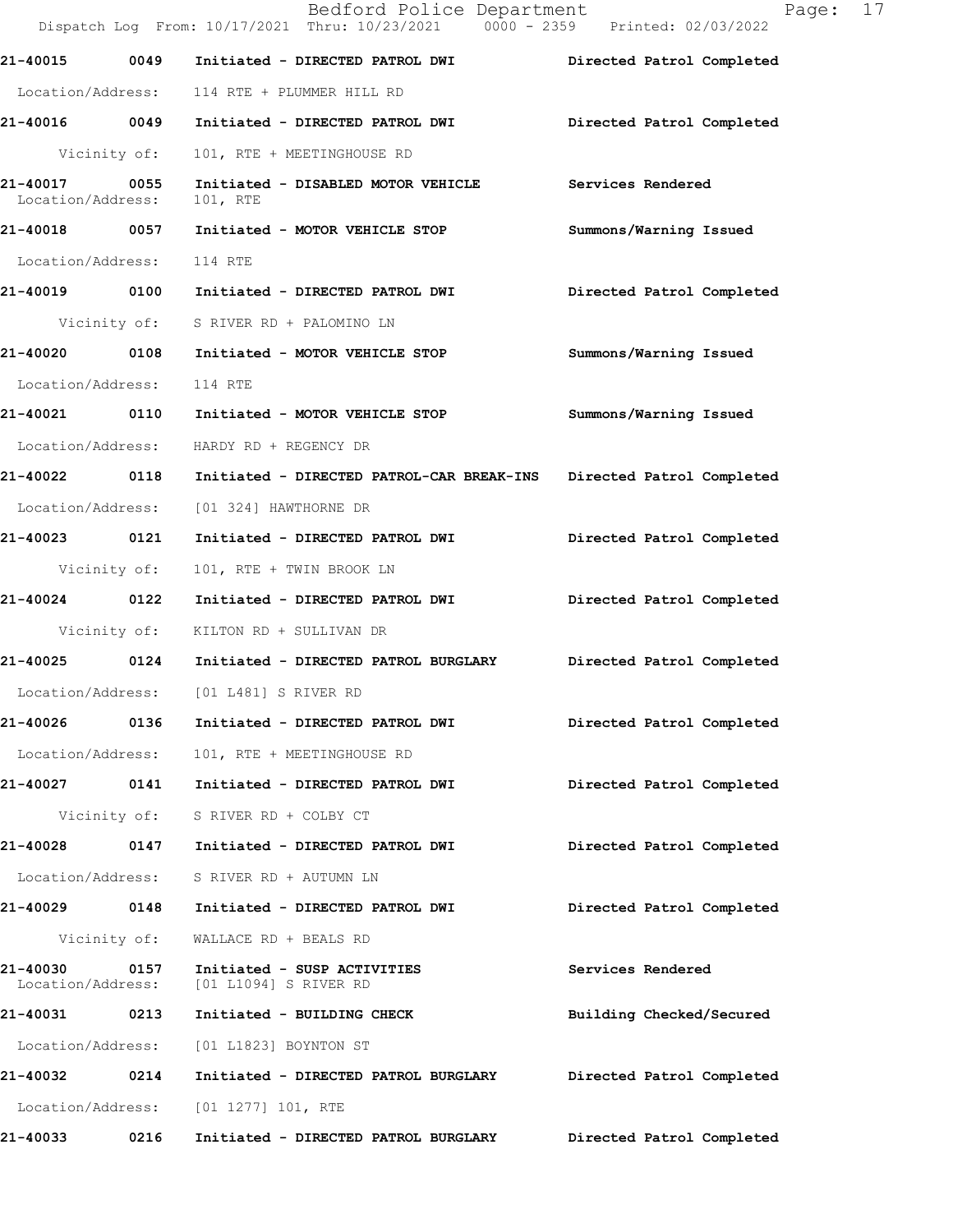|                               |      | Bedford Police Department<br>Dispatch Log From: 10/17/2021 Thru: 10/23/2021 0000 - 2359 Printed: 02/03/2022 | Page: 17                  |
|-------------------------------|------|-------------------------------------------------------------------------------------------------------------|---------------------------|
|                               |      | 21-40015 0049 Initiated - DIRECTED PATROL DWI                                                               | Directed Patrol Completed |
| Location/Address:             |      | 114 RTE + PLUMMER HILL RD                                                                                   |                           |
|                               |      |                                                                                                             | Directed Patrol Completed |
| Vicinity of:                  |      | 101, RTE + MEETINGHOUSE RD                                                                                  |                           |
| 21-40017<br>Location/Address: | 0055 | Initiated - DISABLED MOTOR VEHICLE<br>101, RTE                                                              | Services Rendered         |
| 21-40018 0057                 |      | Initiated - MOTOR VEHICLE STOP                                                                              | Summons/Warning Issued    |
| Location/Address:             |      | 114 RTE                                                                                                     |                           |
| 21-40019 0100                 |      | Initiated - DIRECTED PATROL DWI                                                                             | Directed Patrol Completed |
|                               |      | Vicinity of: S RIVER RD + PALOMINO LN                                                                       |                           |
|                               |      | 21-40020 0108 Initiated - MOTOR VEHICLE STOP                                                                | Summons/Warning Issued    |
| Location/Address:             |      | 114 RTE                                                                                                     |                           |
|                               |      |                                                                                                             | Summons/Warning Issued    |
|                               |      | Location/Address: HARDY RD + REGENCY DR                                                                     |                           |
|                               |      | 21-40022   0118   Initiated - DIRECTED PATROL-CAR BREAK-INS                                                 | Directed Patrol Completed |
|                               |      | Location/Address: [01 324] HAWTHORNE DR                                                                     |                           |
| 21-40023 0121                 |      | Initiated - DIRECTED PATROL DWI                                                                             | Directed Patrol Completed |
| Vicinity of:                  |      | 101, RTE + TWIN BROOK LN                                                                                    |                           |
| 21-40024 0122                 |      | Initiated - DIRECTED PATROL DWI                                                                             | Directed Patrol Completed |
|                               |      | Vicinity of: KILTON RD + SULLIVAN DR                                                                        |                           |
|                               |      | 21-40025 0124 Initiated - DIRECTED PATROL BURGLARY Directed Patrol Completed                                |                           |
| Location/Address:             |      | [01 L481] S RIVER RD                                                                                        |                           |
| 21-40026                      | 0136 | Initiated - DIRECTED PATROL DWI                                                                             | Directed Patrol Completed |
| Location/Address:             |      | 101, RTE + MEETINGHOUSE RD                                                                                  |                           |
| 21-40027 0141                 |      | Initiated - DIRECTED PATROL DWI                                                                             | Directed Patrol Completed |
| Vicinity of:                  |      | S RIVER RD + COLBY CT                                                                                       |                           |
| 21-40028                      | 0147 | Initiated - DIRECTED PATROL DWI                                                                             | Directed Patrol Completed |
| Location/Address:             |      | S RIVER RD + AUTUMN LN                                                                                      |                           |
| 21-40029                      | 0148 | Initiated - DIRECTED PATROL DWI                                                                             | Directed Patrol Completed |
| Vicinity of:                  |      | WALLACE RD + BEALS RD                                                                                       |                           |
| 21-40030<br>Location/Address: | 0157 | Initiated - SUSP ACTIVITIES<br>[01 L1094] S RIVER RD                                                        | Services Rendered         |
| 21-40031                      | 0213 | Initiated - BUILDING CHECK                                                                                  | Building Checked/Secured  |
| Location/Address:             |      | [01 L1823] BOYNTON ST                                                                                       |                           |
| 21-40032                      | 0214 | Initiated - DIRECTED PATROL BURGLARY                                                                        | Directed Patrol Completed |
| Location/Address:             |      | $[01 1277] 101$ , RTE                                                                                       |                           |
| 21-40033                      | 0216 | Initiated - DIRECTED PATROL BURGLARY                                                                        | Directed Patrol Completed |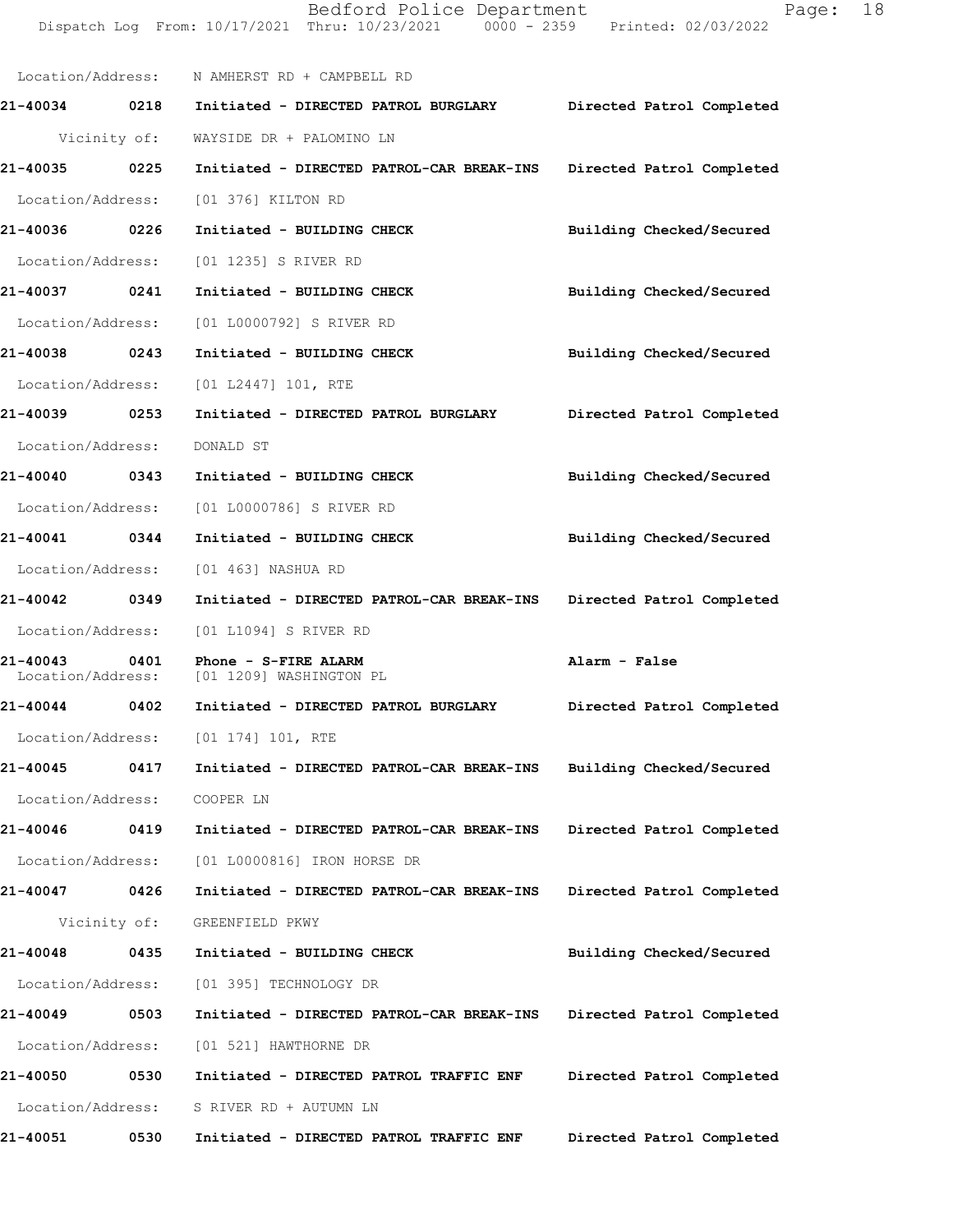Dispatch Log From: 10/17/2021 Thru: 10/23/2021 0000 - 2359 Printed: 02/03/2022 Location/Address: N AMHERST RD + CAMPBELL RD 21-40034 0218 Initiated - DIRECTED PATROL BURGLARY Directed Patrol Completed Vicinity of: WAYSIDE DR + PALOMINO LN 21-40035 0225 Initiated - DIRECTED PATROL-CAR BREAK-INS Directed Patrol Completed Location/Address: [01 376] KILTON RD 21-40036 0226 Initiated - BUILDING CHECK Building Checked/Secured Location/Address: [01 1235] S RIVER RD 21-40037 0241 Initiated - BUILDING CHECK Building Checked/Secured Location/Address: [01 L0000792] S RIVER RD 21-40038 0243 Initiated - BUILDING CHECK Building Checked/Secured Location/Address: [01 L2447] 101, RTE 21-40039 0253 Initiated - DIRECTED PATROL BURGLARY Directed Patrol Completed Location/Address: DONALD ST 21-40040 0343 Initiated - BUILDING CHECK Building Checked/Secured Location/Address: [01 L0000786] S RIVER RD 21-40041 0344 Initiated - BUILDING CHECK Building Checked/Secured Location/Address: [01 463] NASHUA RD 21-40042 0349 Initiated - DIRECTED PATROL-CAR BREAK-INS Directed Patrol Completed Location/Address: [01 L1094] S RIVER RD 21-40043 0401 Phone - S-FIRE ALARM CONSTRUCTED Alarm - False<br>
Location/Address: [01 1209] WASHINGTON PL [01 1209] WASHINGTON PL 21-40044 0402 Initiated - DIRECTED PATROL BURGLARY Directed Patrol Completed Location/Address: [01 174] 101, RTE 21-40045 0417 Initiated - DIRECTED PATROL-CAR BREAK-INS Building Checked/Secured Location/Address: COOPER LN 21-40046 0419 Initiated - DIRECTED PATROL-CAR BREAK-INS Directed Patrol Completed Location/Address: [01 L0000816] IRON HORSE DR 21-40047 0426 Initiated - DIRECTED PATROL-CAR BREAK-INS Directed Patrol Completed Vicinity of: GREENFIELD PKWY 21-40048 0435 Initiated - BUILDING CHECK Building Checked/Secured Location/Address: [01 395] TECHNOLOGY DR 21-40049 0503 Initiated - DIRECTED PATROL-CAR BREAK-INS Directed Patrol Completed Location/Address: [01 521] HAWTHORNE DR 21-40050 0530 Initiated - DIRECTED PATROL TRAFFIC ENF Directed Patrol Completed Location/Address: S RIVER RD + AUTUMN LN 21-40051 0530 Initiated - DIRECTED PATROL TRAFFIC ENF Directed Patrol Completed

Bedford Police Department Fage: 18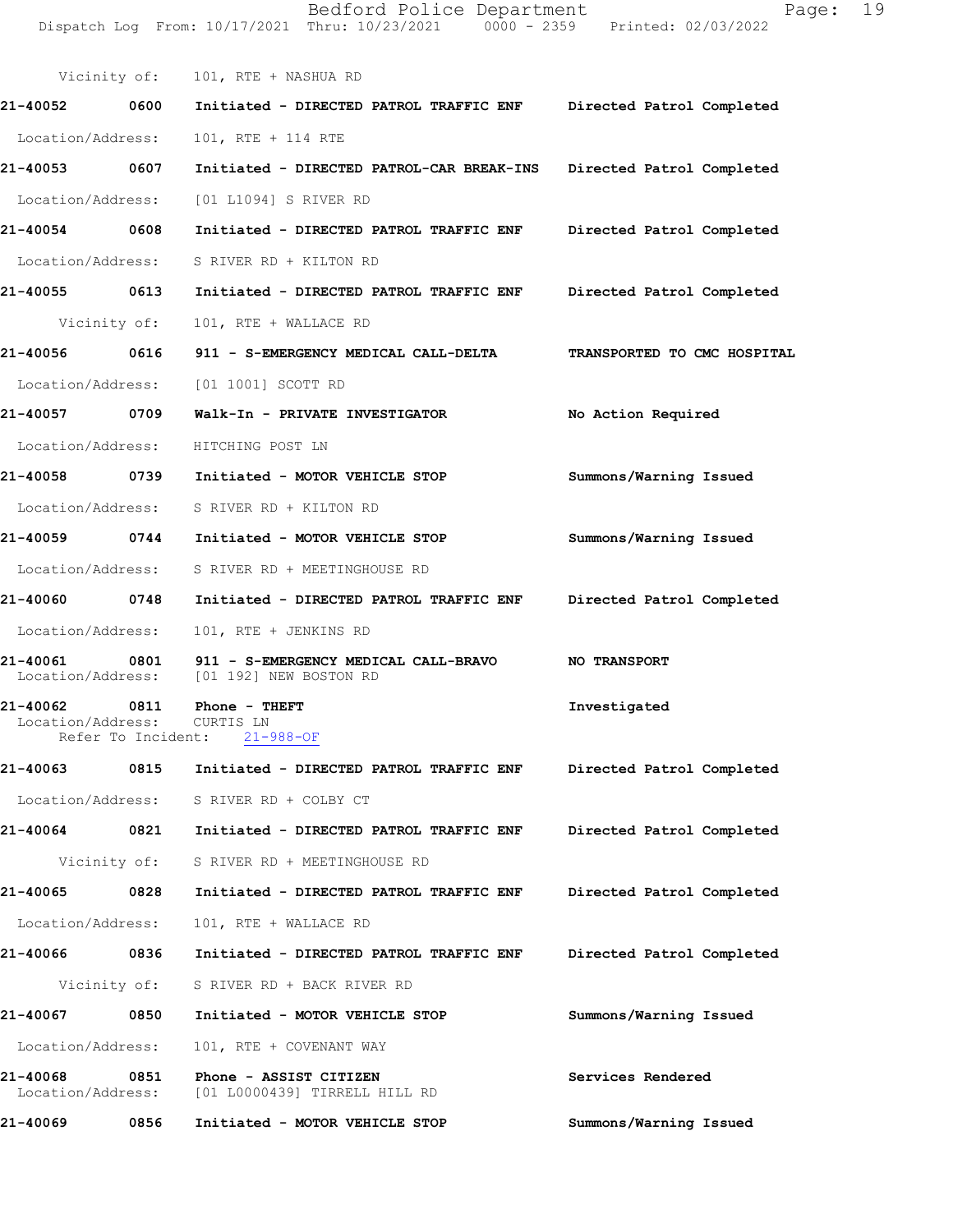|                                         |                    | Dispatch Log From: 10/17/2021 Thru: 10/23/2021 0000 - 2359 Printed: 02/03/2022                |                             |  |  |
|-----------------------------------------|--------------------|-----------------------------------------------------------------------------------------------|-----------------------------|--|--|
|                                         |                    | Vicinity of: 101, RTE + NASHUA RD                                                             |                             |  |  |
| 21-40052 0600                           |                    | Initiated - DIRECTED PATROL TRAFFIC ENF Directed Patrol Completed                             |                             |  |  |
| Location/Address:                       |                    | 101, RTE + 114 RTE                                                                            |                             |  |  |
| 21-40053 0607                           |                    | Initiated - DIRECTED PATROL-CAR BREAK-INS Directed Patrol Completed                           |                             |  |  |
|                                         |                    | Location/Address: [01 L1094] S RIVER RD                                                       |                             |  |  |
| 21-40054 0608                           |                    | Initiated - DIRECTED PATROL TRAFFIC ENF Directed Patrol Completed                             |                             |  |  |
|                                         |                    | Location/Address: S RIVER RD + KILTON RD                                                      |                             |  |  |
|                                         |                    | 21-40055 0613 Initiated - DIRECTED PATROL TRAFFIC ENF Directed Patrol Completed               |                             |  |  |
|                                         | Vicinity of:       | 101, RTE + WALLACE RD                                                                         |                             |  |  |
| 21-40056 0616                           |                    | 911 - S-EMERGENCY MEDICAL CALL-DELTA                                                          | TRANSPORTED TO CMC HOSPITAL |  |  |
|                                         |                    | Location/Address: [01 1001] SCOTT RD                                                          |                             |  |  |
| 21-40057 0709                           |                    | Walk-In - PRIVATE INVESTIGATOR                                                                | No Action Required          |  |  |
|                                         |                    | Location/Address: HITCHING POST LN                                                            |                             |  |  |
|                                         |                    |                                                                                               | Summons/Warning Issued      |  |  |
|                                         |                    | Location/Address: S RIVER RD + KILTON RD                                                      |                             |  |  |
|                                         |                    |                                                                                               | Summons/Warning Issued      |  |  |
|                                         |                    | Location/Address: S RIVER RD + MEETINGHOUSE RD                                                |                             |  |  |
| 21-40060 0748                           |                    | Initiated - DIRECTED PATROL TRAFFIC ENF Directed Patrol Completed                             |                             |  |  |
| Location/Address:                       |                    | 101, RTE + JENKINS RD                                                                         |                             |  |  |
| 21-40061 0801                           |                    | 911 - S-EMERGENCY MEDICAL CALL-BRAVO NO TRANSPORT<br>Location/Address: [01 192] NEW BOSTON RD |                             |  |  |
| 21-40062<br>Location/Address: CURTIS LN | 0811               | Phone - THEFT                                                                                 | Investigated                |  |  |
|                                         | Refer To Incident: | $21 - 988 - OF$                                                                               |                             |  |  |
| 21-40063                                |                    | 0815 Initiated - DIRECTED PATROL TRAFFIC ENF                                                  | Directed Patrol Completed   |  |  |
|                                         |                    | Location/Address: S RIVER RD + COLBY CT                                                       |                             |  |  |
|                                         |                    |                                                                                               | Directed Patrol Completed   |  |  |
|                                         |                    | Vicinity of: S RIVER RD + MEETINGHOUSE RD                                                     |                             |  |  |
| 21-40065                                | 0828               | Initiated - DIRECTED PATROL TRAFFIC ENF                                                       | Directed Patrol Completed   |  |  |
| Location/Address:                       |                    | 101, RTE + WALLACE RD                                                                         |                             |  |  |
| 21-40066                                | 0836               | Initiated - DIRECTED PATROL TRAFFIC ENF                                                       | Directed Patrol Completed   |  |  |
|                                         |                    | Vicinity of: S RIVER RD + BACK RIVER RD                                                       |                             |  |  |
| 21-40067                                | 0850               | Initiated - MOTOR VEHICLE STOP                                                                | Summons/Warning Issued      |  |  |
| Location/Address:                       |                    | 101, RTE + COVENANT WAY                                                                       |                             |  |  |
| 21-40068<br>Location/Address:           | 0851               | Phone - ASSIST CITIZEN<br>[01 L0000439] TIRRELL HILL RD                                       | Services Rendered           |  |  |
| 21-40069                                | 0856               | Initiated - MOTOR VEHICLE STOP                                                                | Summons/Warning Issued      |  |  |

Bedford Police Department Page: 19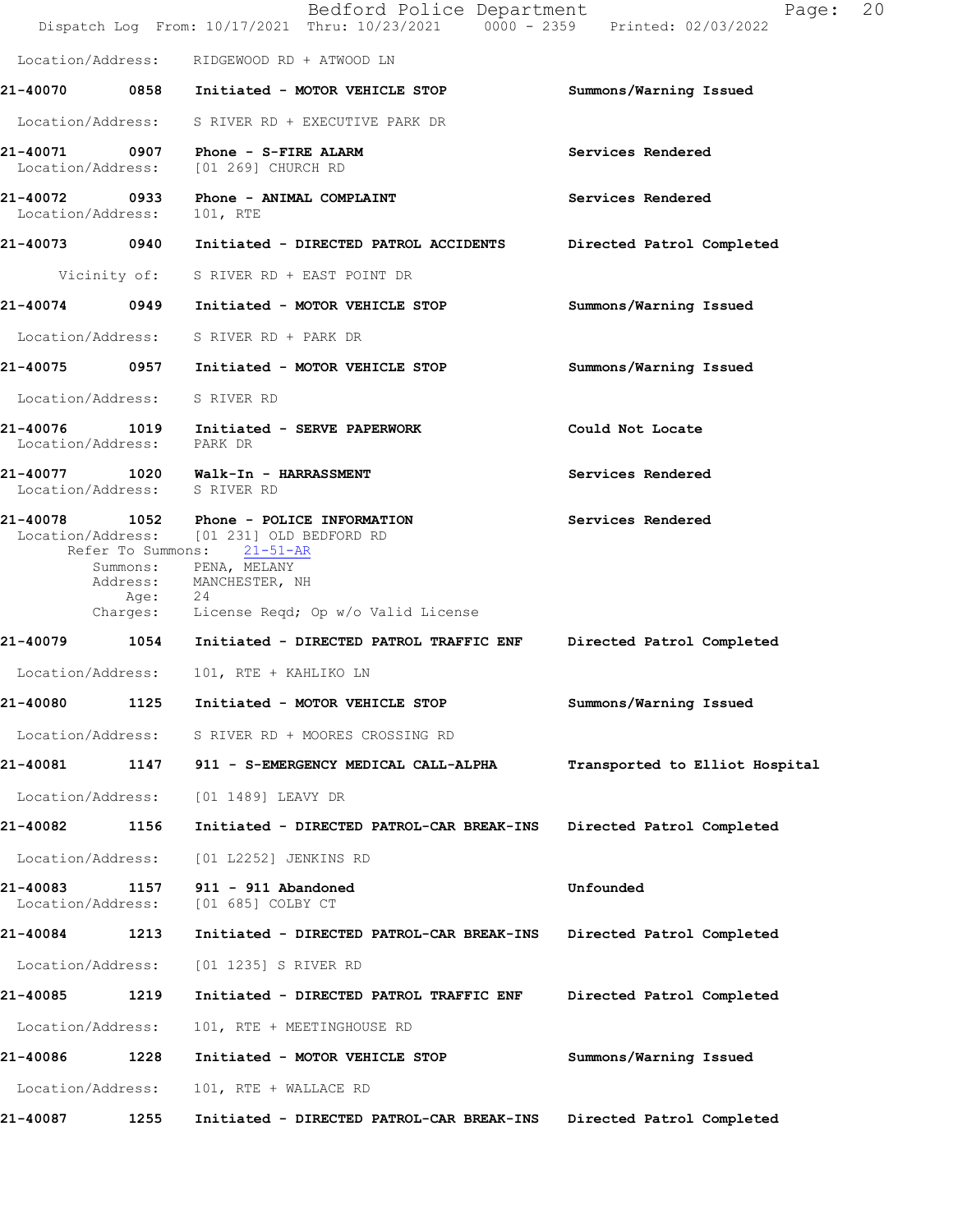|                               |         | Bedford Police Department<br>Dispatch Log From: 10/17/2021 Thru: 10/23/2021 0000 - 2359 Printed: 02/03/2022                                                                                                            | Page:                          | 20 |
|-------------------------------|---------|------------------------------------------------------------------------------------------------------------------------------------------------------------------------------------------------------------------------|--------------------------------|----|
|                               |         | Location/Address: RIDGEWOOD RD + ATWOOD LN                                                                                                                                                                             |                                |    |
|                               |         | 21-40070 0858 Initiated - MOTOR VEHICLE STOP                                                                                                                                                                           | Summons/Warning Issued         |    |
|                               |         | Location/Address: S RIVER RD + EXECUTIVE PARK DR                                                                                                                                                                       |                                |    |
|                               |         | 21-40071 0907 Phone - S-FIRE ALARM<br>Location/Address: [01 269] CHURCH RD                                                                                                                                             | Services Rendered              |    |
| Location/Address:             |         | 21-40072 0933 Phone - ANIMAL COMPLAINT<br>101, RTE                                                                                                                                                                     | Services Rendered              |    |
|                               |         | 21-40073 0940 Initiated - DIRECTED PATROL ACCIDENTS Directed Patrol Completed                                                                                                                                          |                                |    |
|                               |         | Vicinity of: S RIVER RD + EAST POINT DR                                                                                                                                                                                |                                |    |
|                               |         | 21-40074 0949 Initiated - MOTOR VEHICLE STOP                                                                                                                                                                           | Summons/Warning Issued         |    |
|                               |         | Location/Address: S RIVER RD + PARK DR                                                                                                                                                                                 |                                |    |
|                               |         | 21-40075 0957 Initiated - MOTOR VEHICLE STOP                                                                                                                                                                           | Summons/Warning Issued         |    |
| Location/Address: S RIVER RD  |         |                                                                                                                                                                                                                        |                                |    |
| Location/Address: PARK DR     |         | 21-40076 1019 Initiated - SERVE PAPERWORK                                                                                                                                                                              | Could Not Locate               |    |
| Location/Address: S RIVER RD  |         | 21-40077 1020 Walk-In - HARRASSMENT                                                                                                                                                                                    | Services Rendered              |    |
|                               | Age: 24 | 21-40078 1052 Phone - POLICE INFORMATION<br>Location/Address: [01 231] OLD BEDFORD RD<br>Refer To Summons: 21-51-AR<br>Summons: PENA, MELANY<br>Address: MANCHESTER, NH<br>Charges: License Reqd; Op w/o Valid License | Services Rendered              |    |
|                               |         | 21-40079 1054 Initiated - DIRECTED PATROL TRAFFIC ENF Directed Patrol Completed                                                                                                                                        |                                |    |
|                               |         | Location/Address: 101, RTE + KAHLIKO LN                                                                                                                                                                                |                                |    |
|                               |         | 21-40080 1125 Initiated - MOTOR VEHICLE STOP                                                                                                                                                                           | Summons/Warning Issued         |    |
| Location/Address:             |         | S RIVER RD + MOORES CROSSING RD                                                                                                                                                                                        |                                |    |
| 21-40081                      | 1147    | 911 - S-EMERGENCY MEDICAL CALL-ALPHA                                                                                                                                                                                   | Transported to Elliot Hospital |    |
| Location/Address:             |         | [01 1489] LEAVY DR                                                                                                                                                                                                     |                                |    |
| 21-40082                      | 1156    | Initiated - DIRECTED PATROL-CAR BREAK-INS                                                                                                                                                                              | Directed Patrol Completed      |    |
| Location/Address:             |         | [01 L2252] JENKINS RD                                                                                                                                                                                                  |                                |    |
| 21-40083<br>Location/Address: | 1157    | 911 - 911 Abandoned<br>[01 685] COLBY CT                                                                                                                                                                               | Unfounded                      |    |
| 21-40084                      | 1213    | Initiated - DIRECTED PATROL-CAR BREAK-INS                                                                                                                                                                              | Directed Patrol Completed      |    |
| Location/Address:             |         | [01 1235] S RIVER RD                                                                                                                                                                                                   |                                |    |
| 21-40085                      | 1219    | Initiated - DIRECTED PATROL TRAFFIC ENF                                                                                                                                                                                | Directed Patrol Completed      |    |
| Location/Address:             |         | 101, RTE + MEETINGHOUSE RD                                                                                                                                                                                             |                                |    |
| 21-40086                      | 1228    | Initiated - MOTOR VEHICLE STOP                                                                                                                                                                                         | Summons/Warning Issued         |    |
| Location/Address:             |         | 101, RTE + WALLACE RD                                                                                                                                                                                                  |                                |    |
| 21-40087                      | 1255    | Initiated - DIRECTED PATROL-CAR BREAK-INS                                                                                                                                                                              | Directed Patrol Completed      |    |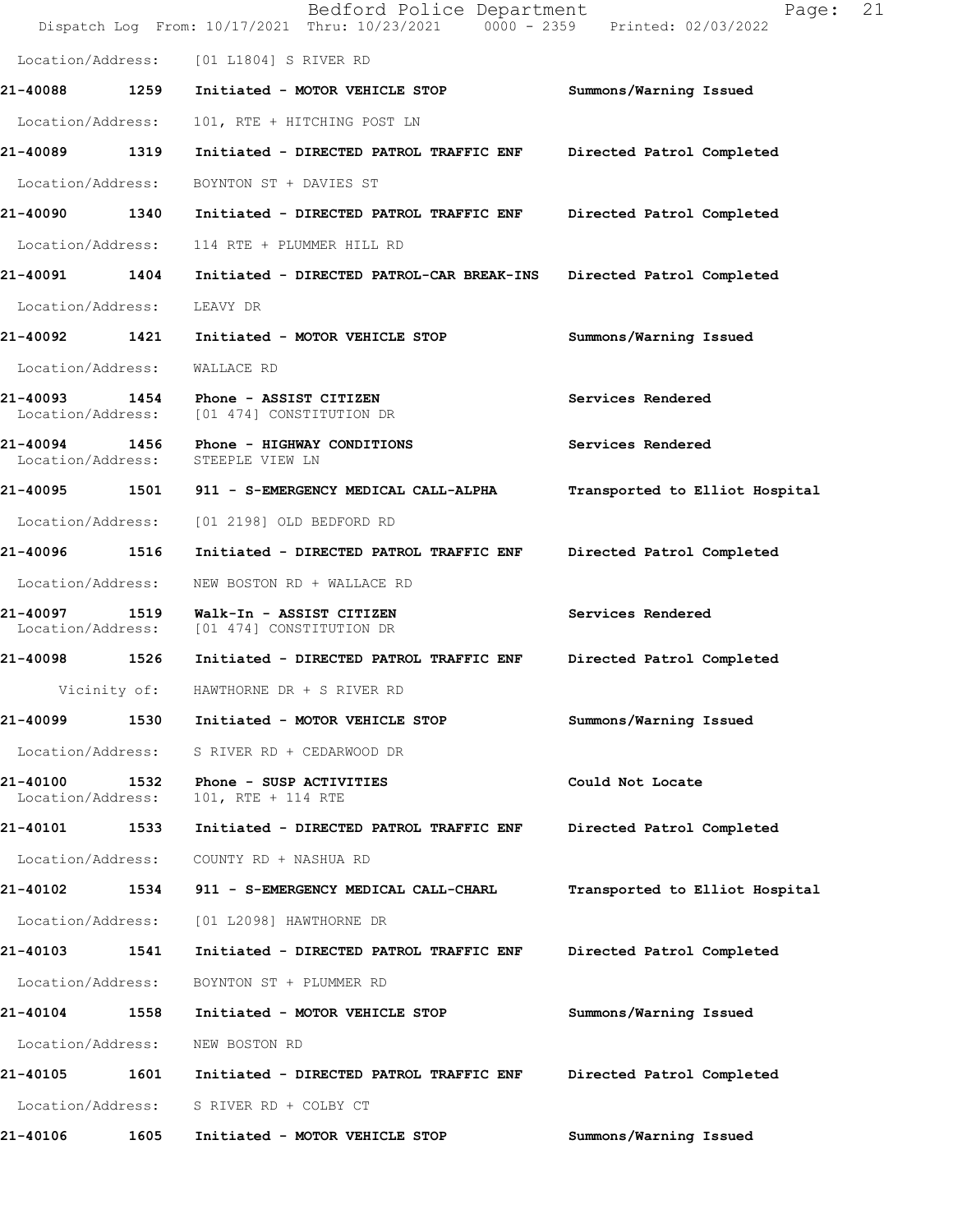|                               |      | Bedford Police Department<br>Dispatch Log From: 10/17/2021 Thru: 10/23/2021 0000 - 2359 Printed: 02/03/2022 | Page:                          | 21 |
|-------------------------------|------|-------------------------------------------------------------------------------------------------------------|--------------------------------|----|
|                               |      | Location/Address: [01 L1804] S RIVER RD                                                                     |                                |    |
| 21-40088 1259                 |      | Initiated - MOTOR VEHICLE STOP                                                                              | Summons/Warning Issued         |    |
| Location/Address:             |      | 101, RTE + HITCHING POST LN                                                                                 |                                |    |
| 21-40089 1319                 |      | Initiated - DIRECTED PATROL TRAFFIC ENF                                                                     | Directed Patrol Completed      |    |
| Location/Address:             |      | BOYNTON ST + DAVIES ST                                                                                      |                                |    |
| 21-40090 1340                 |      | Initiated - DIRECTED PATROL TRAFFIC ENF                                                                     | Directed Patrol Completed      |    |
| Location/Address:             |      | 114 RTE + PLUMMER HILL RD                                                                                   |                                |    |
| 21-40091 1404                 |      | Initiated - DIRECTED PATROL-CAR BREAK-INS                                                                   | Directed Patrol Completed      |    |
| Location/Address:             |      | LEAVY DR                                                                                                    |                                |    |
| 21-40092 1421                 |      | Initiated - MOTOR VEHICLE STOP                                                                              | Summons/Warning Issued         |    |
| Location/Address:             |      | WALLACE RD                                                                                                  |                                |    |
| Location/Address:             |      | 21-40093 1454 Phone - ASSIST CITIZEN<br>[01 474] CONSTITUTION DR                                            | Services Rendered              |    |
| 21-40094 1456                 |      | Phone - HIGHWAY CONDITIONS<br>Location/Address: STEEPLE VIEW LN                                             | Services Rendered              |    |
| 21-40095 1501                 |      | 911 - S-EMERGENCY MEDICAL CALL-ALPHA                                                                        | Transported to Elliot Hospital |    |
| Location/Address:             |      | [01 2198] OLD BEDFORD RD                                                                                    |                                |    |
| 21-40096 1516                 |      | Initiated - DIRECTED PATROL TRAFFIC ENF                                                                     | Directed Patrol Completed      |    |
| Location/Address:             |      | NEW BOSTON RD + WALLACE RD                                                                                  |                                |    |
| 21-40097<br>Location/Address: | 1519 | Walk-In - ASSIST CITIZEN<br>[01 474] CONSTITUTION DR                                                        | Services Rendered              |    |
| 21-40098 1526                 |      | Initiated - DIRECTED PATROL TRAFFIC ENF                                                                     | Directed Patrol Completed      |    |
|                               |      | Vicinity of: HAWTHORNE DR + S RIVER RD                                                                      |                                |    |
| 21-40099                      | 1530 | Initiated - MOTOR VEHICLE STOP                                                                              | Summons/Warning Issued         |    |
| Location/Address:             |      | S RIVER RD + CEDARWOOD DR                                                                                   |                                |    |
| 21-40100<br>Location/Address: | 1532 | Phone - SUSP ACTIVITIES<br>101, RTE + 114 RTE                                                               | Could Not Locate               |    |
| 21-40101                      | 1533 | Initiated - DIRECTED PATROL TRAFFIC ENF                                                                     | Directed Patrol Completed      |    |
| Location/Address:             |      | COUNTY RD + NASHUA RD                                                                                       |                                |    |
| 21-40102                      | 1534 | 911 - S-EMERGENCY MEDICAL CALL-CHARL                                                                        | Transported to Elliot Hospital |    |
| Location/Address:             |      | [01 L2098] HAWTHORNE DR                                                                                     |                                |    |
| 21-40103                      | 1541 | Initiated - DIRECTED PATROL TRAFFIC ENF                                                                     | Directed Patrol Completed      |    |
| Location/Address:             |      | BOYNTON ST + PLUMMER RD                                                                                     |                                |    |
| 21-40104                      | 1558 | Initiated - MOTOR VEHICLE STOP                                                                              | Summons/Warning Issued         |    |
| Location/Address:             |      | NEW BOSTON RD                                                                                               |                                |    |
| 21-40105                      | 1601 | Initiated - DIRECTED PATROL TRAFFIC ENF                                                                     | Directed Patrol Completed      |    |
| Location/Address:             |      | S RIVER RD + COLBY CT                                                                                       |                                |    |
| 21-40106                      | 1605 | Initiated - MOTOR VEHICLE STOP                                                                              | Summons/Warning Issued         |    |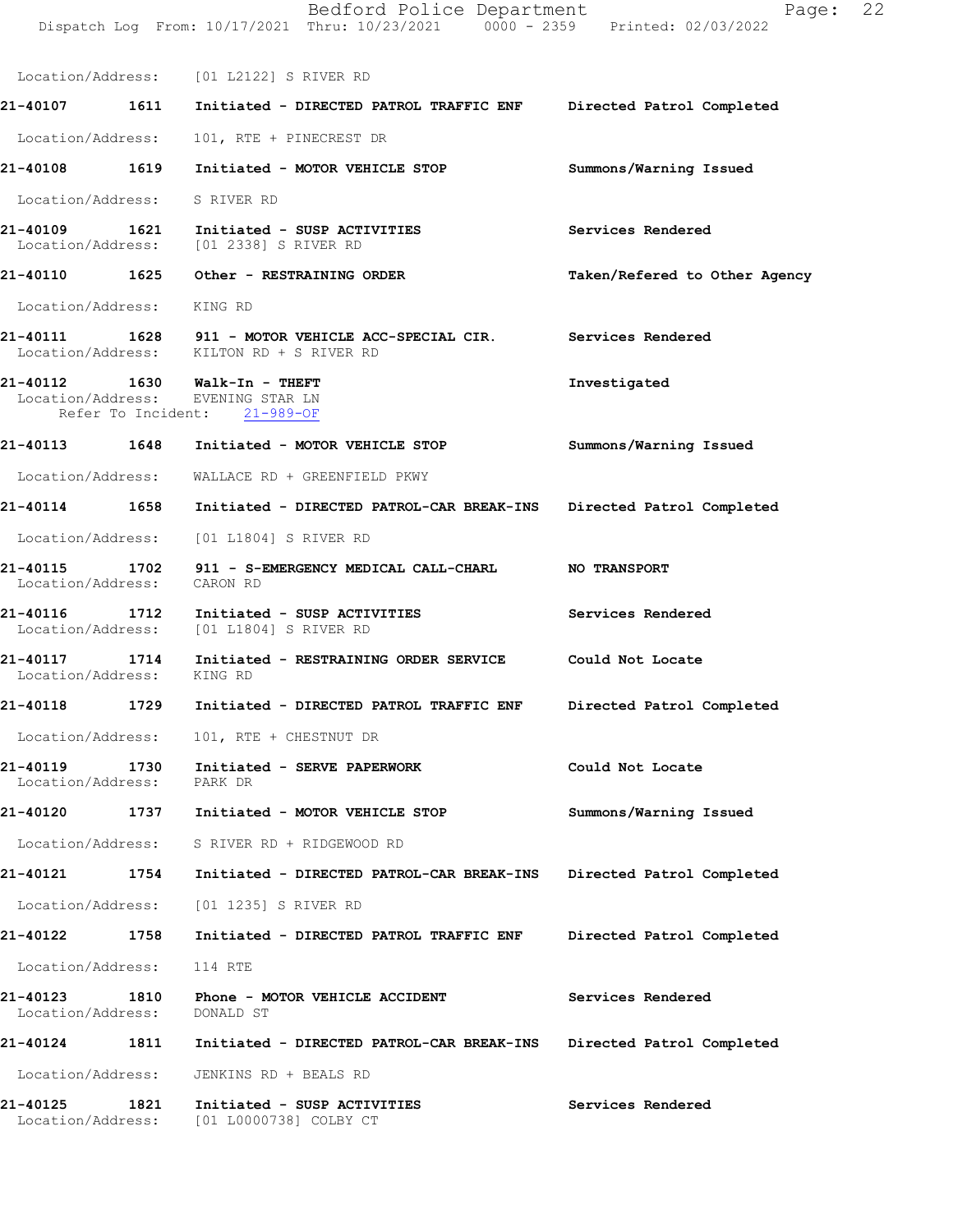|                               |      | Bedford Police Department<br>Dispatch Log From: 10/17/2021 Thru: 10/23/2021 0000 - 2359 Printed: 02/03/2022 | Page:                         | 22 |
|-------------------------------|------|-------------------------------------------------------------------------------------------------------------|-------------------------------|----|
|                               |      | Location/Address: [01 L2122] S RIVER RD                                                                     |                               |    |
|                               |      | 21-40107 1611 Initiated - DIRECTED PATROL TRAFFIC ENF Directed Patrol Completed                             |                               |    |
| Location/Address:             |      | 101, RTE + PINECREST DR                                                                                     |                               |    |
|                               |      | 21-40108 1619 Initiated - MOTOR VEHICLE STOP                                                                | Summons/Warning Issued        |    |
| Location/Address: S RIVER RD  |      |                                                                                                             |                               |    |
|                               |      | 21-40109 1621 Initiated - SUSP ACTIVITIES<br>Location/Address: [01 2338] S RIVER RD                         | Services Rendered             |    |
|                               |      | 21-40110 1625 Other - RESTRAINING ORDER                                                                     | Taken/Refered to Other Agency |    |
| Location/Address: KING RD     |      |                                                                                                             |                               |    |
|                               |      | 21-40111 1628 911 - MOTOR VEHICLE ACC-SPECIAL CIR.<br>Location/Address: KILTON RD + S RIVER RD              | Services Rendered             |    |
|                               |      | Location/Address: EVENING STAR LN<br>Refer To Incident: 21-989-OF                                           | Investigated                  |    |
|                               |      | 21-40113 1648 Initiated - MOTOR VEHICLE STOP                                                                | Summons/Warning Issued        |    |
|                               |      | Location/Address: WALLACE RD + GREENFIELD PKWY                                                              |                               |    |
|                               |      | 21-40114 1658 Initiated - DIRECTED PATROL-CAR BREAK-INS Directed Patrol Completed                           |                               |    |
| Location/Address:             |      | [01 L1804] S RIVER RD                                                                                       |                               |    |
| Location/Address:             |      | 21-40115 1702 911 - S-EMERGENCY MEDICAL CALL-CHARL NO TRANSPORT<br>CARON RD                                 |                               |    |
|                               |      | 21-40116 1712 Initiated - SUSP ACTIVITIES<br>Location/Address: [01 L1804] S RIVER RD                        | Services Rendered             |    |
| Location/Address: KING RD     |      | 21-40117 1714 Initiated - RESTRAINING ORDER SERVICE                                                         | Could Not Locate              |    |
| 21-40118                      | 1729 | Initiated - DIRECTED PATROL TRAFFIC ENF                                                                     | Directed Patrol Completed     |    |
| Location/Address:             |      | 101, RTE + CHESTNUT DR                                                                                      |                               |    |
| 21-40119<br>Location/Address: | 1730 | Initiated - SERVE PAPERWORK<br>PARK DR                                                                      | Could Not Locate              |    |
| 21-40120                      | 1737 | Initiated - MOTOR VEHICLE STOP                                                                              | Summons/Warning Issued        |    |
| Location/Address:             |      | S RIVER RD + RIDGEWOOD RD                                                                                   |                               |    |
| 21-40121 1754                 |      | Initiated - DIRECTED PATROL-CAR BREAK-INS                                                                   | Directed Patrol Completed     |    |
| Location/Address:             |      | [01 1235] S RIVER RD                                                                                        |                               |    |
| 21-40122 1758                 |      | Initiated - DIRECTED PATROL TRAFFIC ENF                                                                     | Directed Patrol Completed     |    |
| Location/Address:             |      | 114 RTE                                                                                                     |                               |    |
| 21-40123<br>Location/Address: | 1810 | Phone - MOTOR VEHICLE ACCIDENT<br>DONALD ST                                                                 | Services Rendered             |    |
| 21-40124 1811                 |      | Initiated - DIRECTED PATROL-CAR BREAK-INS                                                                   | Directed Patrol Completed     |    |
| Location/Address:             |      | JENKINS RD + BEALS RD                                                                                       |                               |    |
| 21-40125<br>Location/Address: | 1821 | Initiated - SUSP ACTIVITIES<br>[01 L0000738] COLBY CT                                                       | Services Rendered             |    |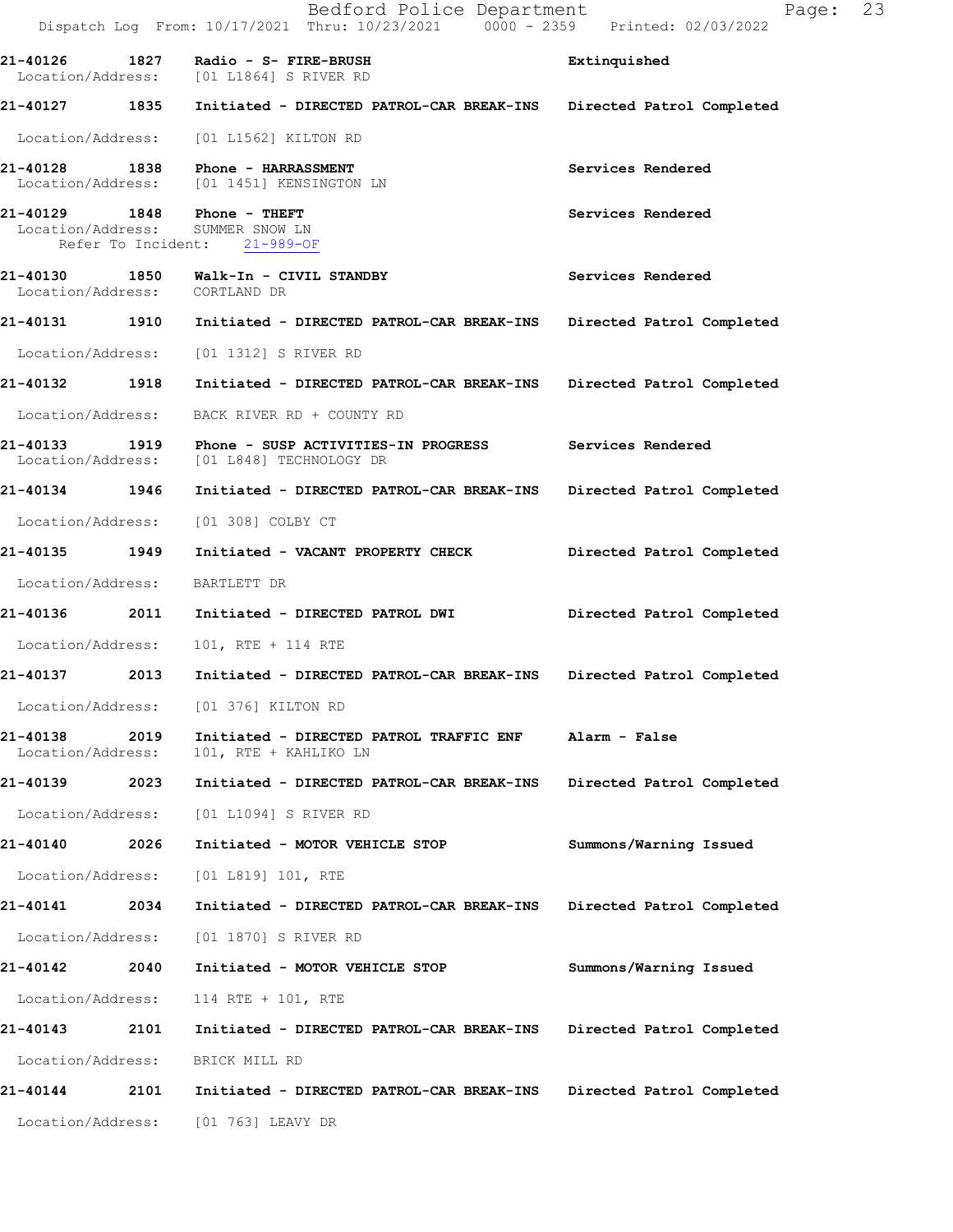|                                                  |      | Bedford Police Department<br>Dispatch Log From: 10/17/2021 Thru: 10/23/2021 0000 - 2359 Printed: 02/03/2022 | 23<br>Page:               |
|--------------------------------------------------|------|-------------------------------------------------------------------------------------------------------------|---------------------------|
|                                                  |      | 21-40126 1827 Radio - S- FIRE-BRUSH<br>Location/Address: [01 L1864] S RIVER RD                              | Extinquished              |
| 21-40127 1835                                    |      | Initiated - DIRECTED PATROL-CAR BREAK-INS                                                                   | Directed Patrol Completed |
| Location/Address:                                |      | [01 L1562] KILTON RD                                                                                        |                           |
| 21-40128                                         |      | 1838 Phone - HARRASSMENT<br>Location/Address: [01 1451] KENSINGTON LN                                       | Services Rendered         |
| 21-40129 1848 Phone - THEFT<br>Location/Address: |      | SUMMER SNOW LN<br>Refer To Incident: 21-989-OF                                                              | Services Rendered         |
| 21-40130<br>Location/Address: CORTLAND DR        |      | 1850 Walk-In - CIVIL STANDBY                                                                                | Services Rendered         |
| 21-40131 1910                                    |      | Initiated - DIRECTED PATROL-CAR BREAK-INS                                                                   | Directed Patrol Completed |
| Location/Address:                                |      | [01 1312] S RIVER RD                                                                                        |                           |
| 21-40132 1918                                    |      | Initiated - DIRECTED PATROL-CAR BREAK-INS                                                                   | Directed Patrol Completed |
| Location/Address:                                |      | BACK RIVER RD + COUNTY RD                                                                                   |                           |
| 21-40133                                         |      | 1919 Phone - SUSP ACTIVITIES-IN PROGRESS<br>Location/Address: [01 L848] TECHNOLOGY DR                       | Services Rendered         |
| 21-40134 1946                                    |      | Initiated - DIRECTED PATROL-CAR BREAK-INS                                                                   | Directed Patrol Completed |
| Location/Address:                                |      | [01 308] COLBY CT                                                                                           |                           |
| 21-40135 1949                                    |      | Initiated - VACANT PROPERTY CHECK                                                                           | Directed Patrol Completed |
| Location/Address:                                |      | BARTLETT DR                                                                                                 |                           |
|                                                  |      | 21-40136  2011 Initiated - DIRECTED PATROL DWI                                                              | Directed Patrol Completed |
| Location/Address:                                |      | 101, RTE + 114 RTE                                                                                          |                           |
| 21-40137                                         | 2013 | Initiated - DIRECTED PATROL-CAR BREAK-INS                                                                   | Directed Patrol Completed |
| Location/Address:                                |      | [01 376] KILTON RD                                                                                          |                           |
| 21-40138<br>Location/Address:                    | 2019 | Initiated - DIRECTED PATROL TRAFFIC ENF<br>101, RTE + KAHLIKO LN                                            | Alarm - False             |
| 21-40139                                         | 2023 | Initiated - DIRECTED PATROL-CAR BREAK-INS                                                                   | Directed Patrol Completed |
| Location/Address:                                |      | [01 L1094] S RIVER RD                                                                                       |                           |
| 21-40140                                         | 2026 | Initiated - MOTOR VEHICLE STOP                                                                              | Summons/Warning Issued    |
| Location/Address:                                |      | [01 L819] 101, RTE                                                                                          |                           |
| 21-40141                                         | 2034 | Initiated - DIRECTED PATROL-CAR BREAK-INS                                                                   | Directed Patrol Completed |
| Location/Address:                                |      | [01 1870] S RIVER RD                                                                                        |                           |
| 21-40142                                         | 2040 | Initiated - MOTOR VEHICLE STOP                                                                              | Summons/Warning Issued    |
| Location/Address:                                |      | 114 RTE + 101, RTE                                                                                          |                           |
| 21-40143                                         | 2101 | Initiated - DIRECTED PATROL-CAR BREAK-INS                                                                   | Directed Patrol Completed |
| Location/Address:                                |      | BRICK MILL RD                                                                                               |                           |
| 21-40144                                         | 2101 | Initiated - DIRECTED PATROL-CAR BREAK-INS                                                                   | Directed Patrol Completed |
|                                                  |      | Location/Address: [01 763] LEAVY DR                                                                         |                           |
|                                                  |      |                                                                                                             |                           |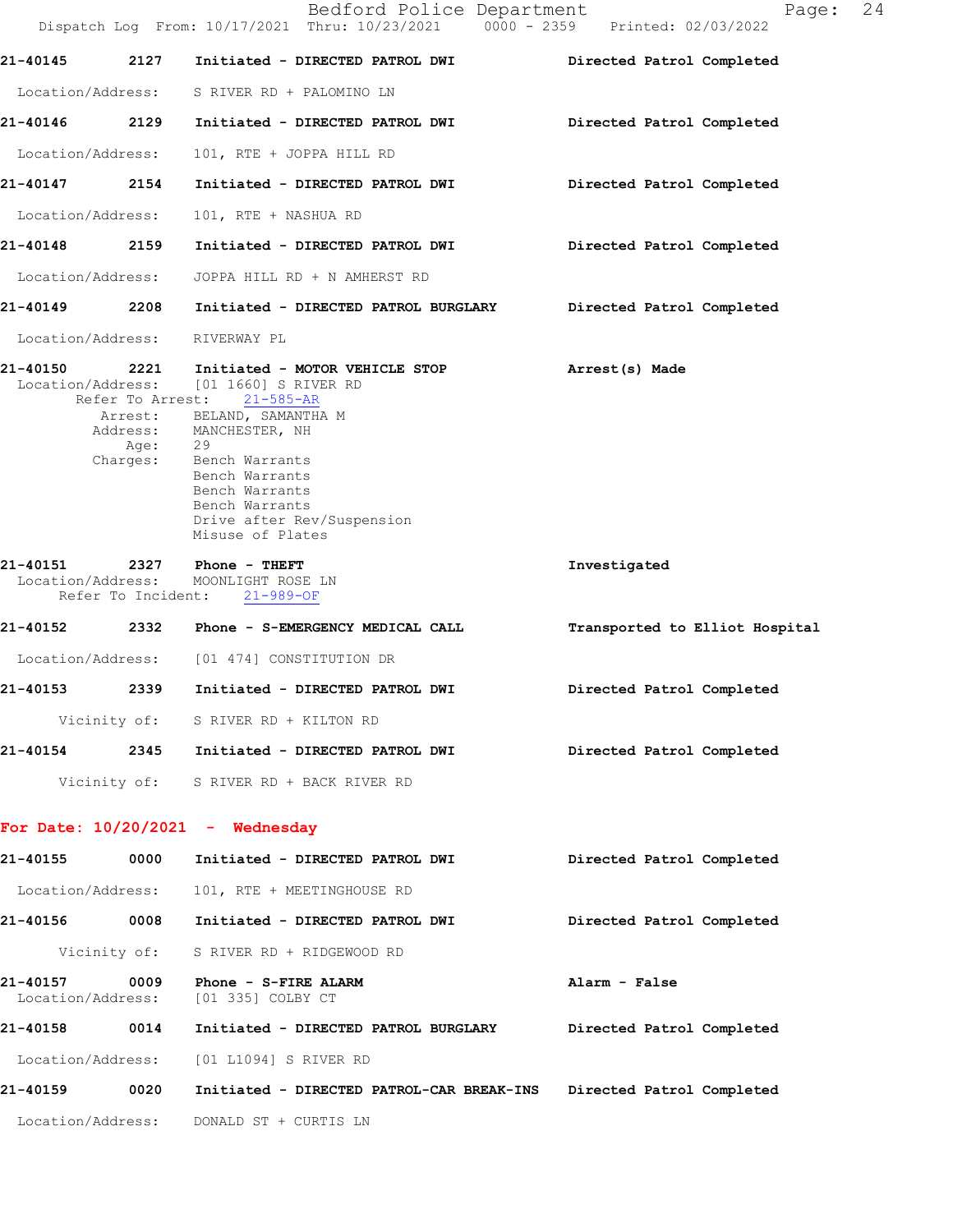|                               |                  | Dispatch Log From: 10/17/2021 Thru: 10/23/2021 0000 - 2359 Printed: 02/03/2022                                                                                                                                                                                                                                | Bedford Police Department |                                | Page: | 24 |
|-------------------------------|------------------|---------------------------------------------------------------------------------------------------------------------------------------------------------------------------------------------------------------------------------------------------------------------------------------------------------------|---------------------------|--------------------------------|-------|----|
| 21-40145                      | 2127             | Initiated - DIRECTED PATROL DWI                                                                                                                                                                                                                                                                               |                           | Directed Patrol Completed      |       |    |
|                               |                  | Location/Address: S RIVER RD + PALOMINO LN                                                                                                                                                                                                                                                                    |                           |                                |       |    |
|                               |                  | 21-40146 2129 Initiated - DIRECTED PATROL DWI                                                                                                                                                                                                                                                                 |                           | Directed Patrol Completed      |       |    |
| Location/Address:             |                  | 101, RTE + JOPPA HILL RD                                                                                                                                                                                                                                                                                      |                           |                                |       |    |
| 21-40147 2154                 |                  | Initiated - DIRECTED PATROL DWI                                                                                                                                                                                                                                                                               |                           | Directed Patrol Completed      |       |    |
| Location/Address:             |                  | 101, RTE + NASHUA RD                                                                                                                                                                                                                                                                                          |                           |                                |       |    |
| 21-40148                      | 2159             | Initiated - DIRECTED PATROL DWI                                                                                                                                                                                                                                                                               |                           | Directed Patrol Completed      |       |    |
|                               |                  | Location/Address: JOPPA HILL RD + N AMHERST RD                                                                                                                                                                                                                                                                |                           |                                |       |    |
|                               |                  | 21-40149 2208 Initiated - DIRECTED PATROL BURGLARY                                                                                                                                                                                                                                                            |                           | Directed Patrol Completed      |       |    |
| Location/Address:             |                  | RIVERWAY PL                                                                                                                                                                                                                                                                                                   |                           |                                |       |    |
|                               | Age:<br>Charges: | 21-40150 2221 Initiated - MOTOR VEHICLE STOP<br>Location/Address: [01 1660] S RIVER RD<br>Refer To Arrest: 21-585-AR<br>Arrest: BELAND, SAMANTHA M<br>Address: MANCHESTER, NH<br>29<br>Bench Warrants<br>Bench Warrants<br>Bench Warrants<br>Bench Warrants<br>Drive after Rev/Suspension<br>Misuse of Plates |                           | Arrest(s) Made                 |       |    |
| 21-40151                      |                  | 2327 Phone - THEFT<br>Location/Address: MOONLIGHT ROSE LN<br>Refer To Incident: 21-989-OF                                                                                                                                                                                                                     |                           | Investigated                   |       |    |
|                               |                  | 21-40152 2332 Phone - S-EMERGENCY MEDICAL CALL                                                                                                                                                                                                                                                                |                           | Transported to Elliot Hospital |       |    |
|                               |                  | Location/Address: [01 474] CONSTITUTION DR                                                                                                                                                                                                                                                                    |                           |                                |       |    |
| 21-40153                      | 2339             | Initiated - DIRECTED PATROL DWI                                                                                                                                                                                                                                                                               |                           | Directed Patrol Completed      |       |    |
|                               |                  | Vicinity of: S RIVER RD + KILTON RD                                                                                                                                                                                                                                                                           |                           |                                |       |    |
|                               |                  | 21-40154 2345 Initiated - DIRECTED PATROL DWI                                                                                                                                                                                                                                                                 |                           | Directed Patrol Completed      |       |    |
|                               |                  | Vicinity of: S RIVER RD + BACK RIVER RD                                                                                                                                                                                                                                                                       |                           |                                |       |    |
|                               |                  | For Date: $10/20/2021$ - Wednesday                                                                                                                                                                                                                                                                            |                           |                                |       |    |
| 21-40155                      | 0000             | Initiated - DIRECTED PATROL DWI                                                                                                                                                                                                                                                                               |                           | Directed Patrol Completed      |       |    |
| Location/Address:             |                  | 101, RTE + MEETINGHOUSE RD                                                                                                                                                                                                                                                                                    |                           |                                |       |    |
| 21-40156 0008                 |                  | Initiated - DIRECTED PATROL DWI                                                                                                                                                                                                                                                                               |                           | Directed Patrol Completed      |       |    |
| Vicinity of:                  |                  | S RIVER RD + RIDGEWOOD RD                                                                                                                                                                                                                                                                                     |                           |                                |       |    |
| 21-40157<br>Location/Address: | 0009             | Phone - S-FIRE ALARM<br>[01 335] COLBY CT                                                                                                                                                                                                                                                                     |                           | Alarm - False                  |       |    |
| 21-40158 0014                 |                  | Initiated - DIRECTED PATROL BURGLARY                                                                                                                                                                                                                                                                          |                           | Directed Patrol Completed      |       |    |
| Location/Address:             |                  | [01 L1094] S RIVER RD                                                                                                                                                                                                                                                                                         |                           |                                |       |    |
| 21-40159                      | 0020             | Initiated - DIRECTED PATROL-CAR BREAK-INS                                                                                                                                                                                                                                                                     |                           | Directed Patrol Completed      |       |    |
|                               |                  | Location/Address: DONALD ST + CURTIS LN                                                                                                                                                                                                                                                                       |                           |                                |       |    |
|                               |                  |                                                                                                                                                                                                                                                                                                               |                           |                                |       |    |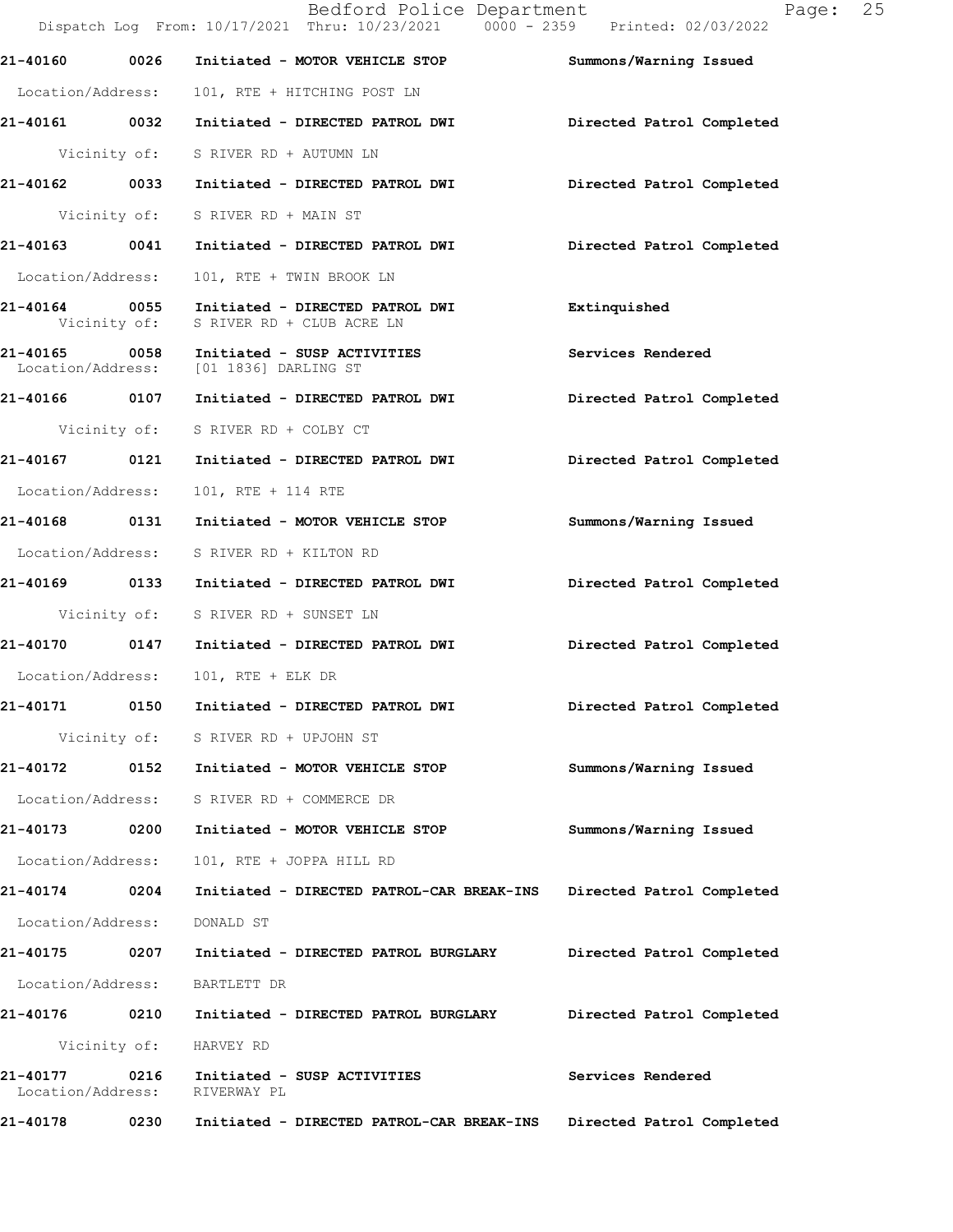|                                    |      | Bedford Police Department<br>Dispatch Log From: 10/17/2021 Thru: 10/23/2021 0000 - 2359 Printed: 02/03/2022 | 25<br>Page:               |
|------------------------------------|------|-------------------------------------------------------------------------------------------------------------|---------------------------|
| 21-40160 0026                      |      | Initiated - MOTOR VEHICLE STOP                                                                              | Summons/Warning Issued    |
| Location/Address:                  |      | 101, RTE + HITCHING POST LN                                                                                 |                           |
|                                    |      |                                                                                                             | Directed Patrol Completed |
|                                    |      | Vicinity of: S RIVER RD + AUTUMN LN                                                                         |                           |
|                                    |      |                                                                                                             | Directed Patrol Completed |
|                                    |      | Vicinity of: S RIVER RD + MAIN ST                                                                           |                           |
|                                    |      |                                                                                                             | Directed Patrol Completed |
| Location/Address:                  |      | 101, RTE + TWIN BROOK LN                                                                                    |                           |
| Vicinity of:                       |      | 21-40164 0055 Initiated - DIRECTED PATROL DWI<br>S RIVER RD + CLUB ACRE LN                                  | Extinquished              |
|                                    |      | 21-40165 0058 Initiated - SUSP ACTIVITIES<br>Location/Address: [01 1836] DARLING ST                         | <b>Services Rendered</b>  |
|                                    |      |                                                                                                             | Directed Patrol Completed |
|                                    |      | Vicinity of: S RIVER RD + COLBY CT                                                                          |                           |
|                                    |      | 21-40167   0121   Initiated - DIRECTED PATROL DWI                                                           | Directed Patrol Completed |
| Location/Address:                  |      | 101, RTE + 114 RTE                                                                                          |                           |
|                                    |      | 21-40168 0131 Initiated - MOTOR VEHICLE STOP                                                                | Summons/Warning Issued    |
|                                    |      | Location/Address: S RIVER RD + KILTON RD                                                                    |                           |
|                                    |      |                                                                                                             | Directed Patrol Completed |
|                                    |      | Vicinity of: S RIVER RD + SUNSET LN                                                                         |                           |
|                                    |      |                                                                                                             | Directed Patrol Completed |
|                                    |      | Location/Address: 101, RTE + ELK DR                                                                         |                           |
| 21-40171                           | 0150 | Initiated - DIRECTED PATROL DWI                                                                             | Directed Patrol Completed |
|                                    |      | Vicinity of: S RIVER RD + UPJOHN ST                                                                         |                           |
| 21-40172 0152                      |      | Initiated - MOTOR VEHICLE STOP                                                                              | Summons/Warning Issued    |
| Location/Address:                  |      | S RIVER RD + COMMERCE DR                                                                                    |                           |
| 21-40173                           | 0200 | Initiated - MOTOR VEHICLE STOP                                                                              | Summons/Warning Issued    |
| Location/Address:                  |      | 101, RTE + JOPPA HILL RD                                                                                    |                           |
| 21-40174 0204                      |      | Initiated - DIRECTED PATROL-CAR BREAK-INS                                                                   | Directed Patrol Completed |
| Location/Address:                  |      | DONALD ST                                                                                                   |                           |
| 21-40175 0207                      |      | Initiated - DIRECTED PATROL BURGLARY                                                                        | Directed Patrol Completed |
| Location/Address:                  |      | BARTLETT DR                                                                                                 |                           |
|                                    |      |                                                                                                             | Directed Patrol Completed |
| Vicinity of:                       |      | HARVEY RD                                                                                                   |                           |
| 21-40177 0216<br>Location/Address: |      | Initiated - SUSP ACTIVITIES<br>RIVERWAY PL                                                                  | Services Rendered         |
| 21-40178                           | 0230 | Initiated - DIRECTED PATROL-CAR BREAK-INS                                                                   | Directed Patrol Completed |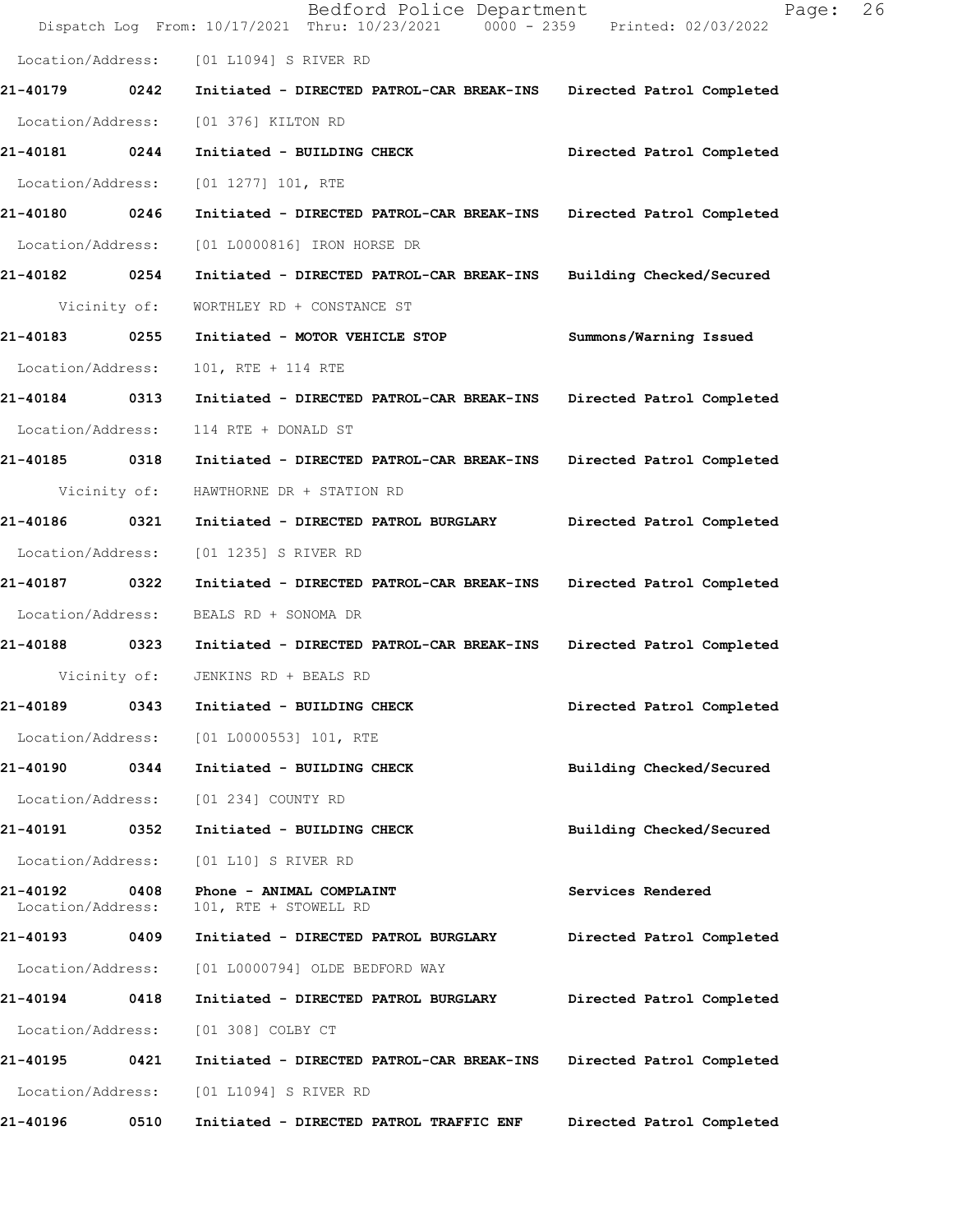|                               |      | Bedford Police Department<br>Dispatch Log From: 10/17/2021 Thru: 10/23/2021 0000 - 2359 Printed: 02/03/2022 | 26<br>Page:               |
|-------------------------------|------|-------------------------------------------------------------------------------------------------------------|---------------------------|
| Location/Address:             |      | [01 L1094] S RIVER RD                                                                                       |                           |
| 21-40179                      | 0242 | Initiated - DIRECTED PATROL-CAR BREAK-INS                                                                   | Directed Patrol Completed |
| Location/Address:             |      | [01 376] KILTON RD                                                                                          |                           |
| 21-40181 0244                 |      | Initiated - BUILDING CHECK                                                                                  | Directed Patrol Completed |
| Location/Address:             |      | $[01 1277] 101$ , RTE                                                                                       |                           |
| 21-40180 0246                 |      | Initiated - DIRECTED PATROL-CAR BREAK-INS                                                                   | Directed Patrol Completed |
| Location/Address:             |      | [01 L0000816] IRON HORSE DR                                                                                 |                           |
| 21-40182 0254                 |      | Initiated - DIRECTED PATROL-CAR BREAK-INS                                                                   | Building Checked/Secured  |
| Vicinity of:                  |      | WORTHLEY RD + CONSTANCE ST                                                                                  |                           |
| 21-40183                      | 0255 | Initiated - MOTOR VEHICLE STOP                                                                              | Summons/Warning Issued    |
| Location/Address:             |      | 101, RTE + 114 RTE                                                                                          |                           |
| 21-40184 0313                 |      | Initiated - DIRECTED PATROL-CAR BREAK-INS                                                                   | Directed Patrol Completed |
| Location/Address:             |      | 114 RTE + DONALD ST                                                                                         |                           |
| 21-40185 0318                 |      | Initiated - DIRECTED PATROL-CAR BREAK-INS                                                                   | Directed Patrol Completed |
| Vicinity of:                  |      | HAWTHORNE DR + STATION RD                                                                                   |                           |
| 21-40186                      | 0321 | Initiated - DIRECTED PATROL BURGLARY                                                                        | Directed Patrol Completed |
| Location/Address:             |      | [01 1235] S RIVER RD                                                                                        |                           |
| 21-40187                      | 0322 | Initiated - DIRECTED PATROL-CAR BREAK-INS                                                                   | Directed Patrol Completed |
| Location/Address:             |      | BEALS RD + SONOMA DR                                                                                        |                           |
| 21-40188 0323                 |      | Initiated - DIRECTED PATROL-CAR BREAK-INS                                                                   | Directed Patrol Completed |
| Vicinity of:                  |      | JENKINS RD + BEALS RD                                                                                       |                           |
| 21-40189                      | 0343 | Initiated - BUILDING CHECK                                                                                  | Directed Patrol Completed |
| Location/Address:             |      | [01 L0000553] 101, RTE                                                                                      |                           |
| 21-40190 0344                 |      | Initiated - BUILDING CHECK                                                                                  | Building Checked/Secured  |
| Location/Address:             |      | [01 234] COUNTY RD                                                                                          |                           |
| 21-40191                      | 0352 | Initiated - BUILDING CHECK                                                                                  | Building Checked/Secured  |
| Location/Address:             |      | [01 L10] S RIVER RD                                                                                         |                           |
| 21-40192<br>Location/Address: | 0408 | Phone - ANIMAL COMPLAINT<br>101, RTE + STOWELL RD                                                           | Services Rendered         |
| 21-40193 0409                 |      | Initiated - DIRECTED PATROL BURGLARY                                                                        | Directed Patrol Completed |
| Location/Address:             |      | [01 L0000794] OLDE BEDFORD WAY                                                                              |                           |
| 21-40194                      | 0418 | Initiated - DIRECTED PATROL BURGLARY                                                                        | Directed Patrol Completed |
| Location/Address:             |      | [01 308] COLBY CT                                                                                           |                           |
| 21-40195                      | 0421 | Initiated - DIRECTED PATROL-CAR BREAK-INS                                                                   | Directed Patrol Completed |
| Location/Address:             |      | [01 L1094] S RIVER RD                                                                                       |                           |
| 21-40196                      | 0510 | Initiated - DIRECTED PATROL TRAFFIC ENF                                                                     | Directed Patrol Completed |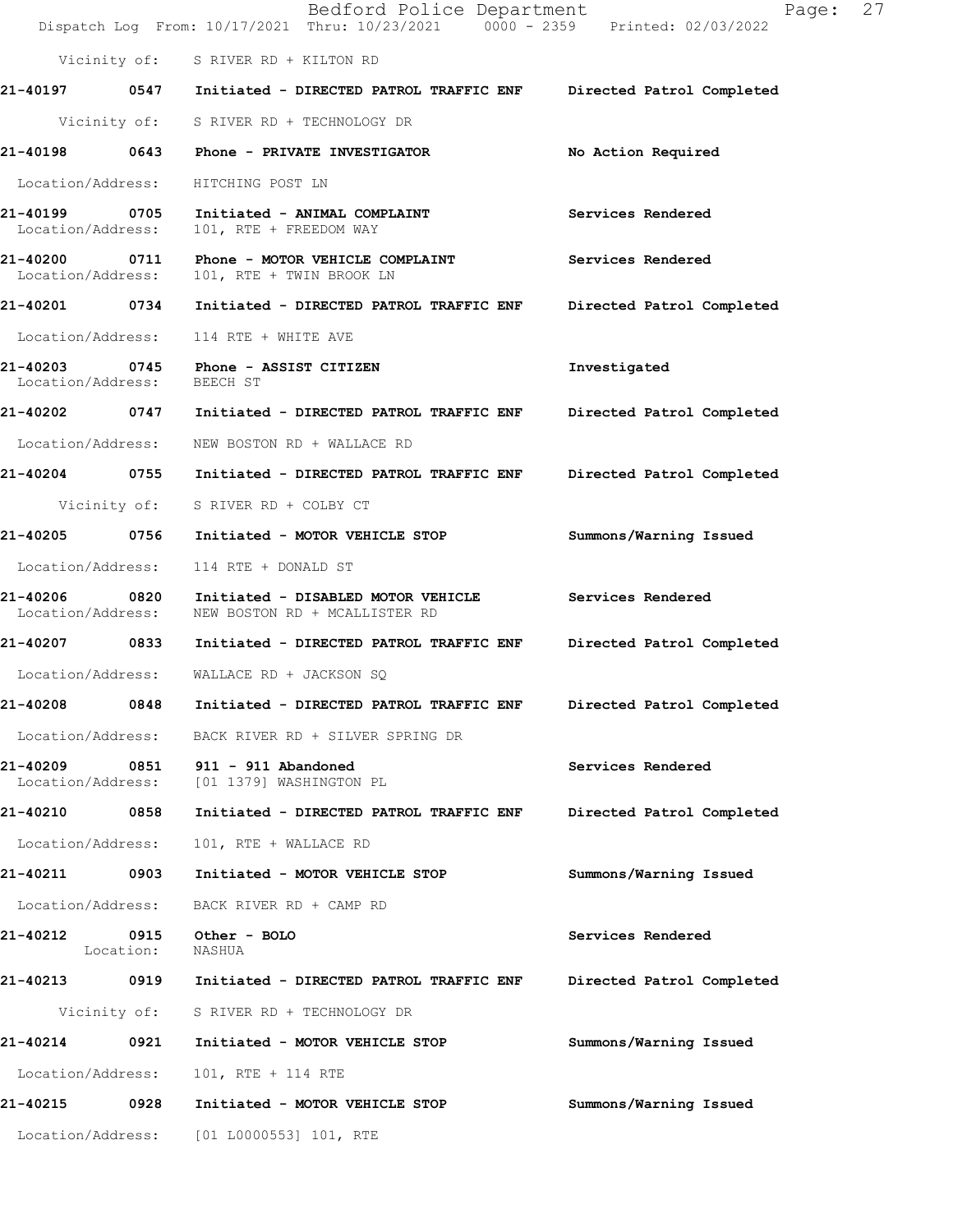|                                    |              | Bedford Police Department<br>Dispatch Log From: 10/17/2021 Thru: 10/23/2021 0000 - 2359 Printed: 02/03/2022 | 27<br>Page:               |  |
|------------------------------------|--------------|-------------------------------------------------------------------------------------------------------------|---------------------------|--|
|                                    |              | Vicinity of: S RIVER RD + KILTON RD                                                                         |                           |  |
|                                    |              | 21-40197 0547 Initiated - DIRECTED PATROL TRAFFIC ENF Directed Patrol Completed                             |                           |  |
|                                    |              | Vicinity of: S RIVER RD + TECHNOLOGY DR                                                                     |                           |  |
|                                    |              | 21-40198 0643 Phone - PRIVATE INVESTIGATOR                                                                  | No Action Required        |  |
| Location/Address:                  |              | HITCHING POST LN                                                                                            |                           |  |
| 21-40199 0705<br>Location/Address: |              | Initiated - ANIMAL COMPLAINT<br>101, RTE + FREEDOM WAY                                                      | Services Rendered         |  |
| Location/Address:                  |              | 21-40200 0711 Phone - MOTOR VEHICLE COMPLAINT<br>101, RTE + TWIN BROOK LN                                   | Services Rendered         |  |
|                                    |              | 21-40201  0734  Initiated - DIRECTED PATROL TRAFFIC ENF                                                     | Directed Patrol Completed |  |
| Location/Address:                  |              | 114 RTE + WHITE AVE                                                                                         |                           |  |
| Location/Address:                  |              | 21-40203 0745 Phone - ASSIST CITIZEN<br>BEECH ST                                                            | Investigated              |  |
|                                    |              | 21-40202  0747  Initiated - DIRECTED PATROL TRAFFIC ENF                                                     | Directed Patrol Completed |  |
| Location/Address:                  |              | NEW BOSTON RD + WALLACE RD                                                                                  |                           |  |
|                                    |              | 21-40204 0755 Initiated - DIRECTED PATROL TRAFFIC ENF                                                       | Directed Patrol Completed |  |
|                                    |              | Vicinity of: S RIVER RD + COLBY CT                                                                          |                           |  |
| 21-40205 0756                      |              | Initiated - MOTOR VEHICLE STOP                                                                              | Summons/Warning Issued    |  |
| Location/Address:                  |              | 114 RTE + DONALD ST                                                                                         |                           |  |
| 21-40206 0820<br>Location/Address: |              | Initiated - DISABLED MOTOR VEHICLE<br>NEW BOSTON RD + MCALLISTER RD                                         | Services Rendered         |  |
| 21-40207 0833                      |              | Initiated - DIRECTED PATROL TRAFFIC ENF                                                                     | Directed Patrol Completed |  |
|                                    |              | Location/Address: WALLACE RD + JACKSON SQ                                                                   |                           |  |
| 21-40208                           | 0848         | Initiated - DIRECTED PATROL TRAFFIC ENF                                                                     | Directed Patrol Completed |  |
| Location/Address:                  |              | BACK RIVER RD + SILVER SPRING DR                                                                            |                           |  |
| 21-40209<br>Location/Address:      | 0851         | $911 - 911$ Abandoned<br>[01 1379] WASHINGTON PL                                                            | Services Rendered         |  |
| 21-40210                           | 0858         | Initiated - DIRECTED PATROL TRAFFIC ENF                                                                     | Directed Patrol Completed |  |
| Location/Address:                  |              | 101, RTE + WALLACE RD                                                                                       |                           |  |
| 21-40211                           | 0903         | Initiated - MOTOR VEHICLE STOP                                                                              | Summons/Warning Issued    |  |
| Location/Address:                  |              | BACK RIVER RD + CAMP RD                                                                                     |                           |  |
| 21-40212 0915                      | Location:    | Other - BOLO<br>NASHUA                                                                                      | Services Rendered         |  |
| 21-40213 0919                      |              | Initiated - DIRECTED PATROL TRAFFIC ENF                                                                     | Directed Patrol Completed |  |
|                                    | Vicinity of: | S RIVER RD + TECHNOLOGY DR                                                                                  |                           |  |
| 21-40214                           | 0921         | Initiated - MOTOR VEHICLE STOP                                                                              | Summons/Warning Issued    |  |
| Location/Address:                  |              | 101, RTE + 114 RTE                                                                                          |                           |  |
| 21-40215 0928                      |              | Initiated - MOTOR VEHICLE STOP                                                                              | Summons/Warning Issued    |  |
| Location/Address:                  |              | [01 L0000553] 101, RTE                                                                                      |                           |  |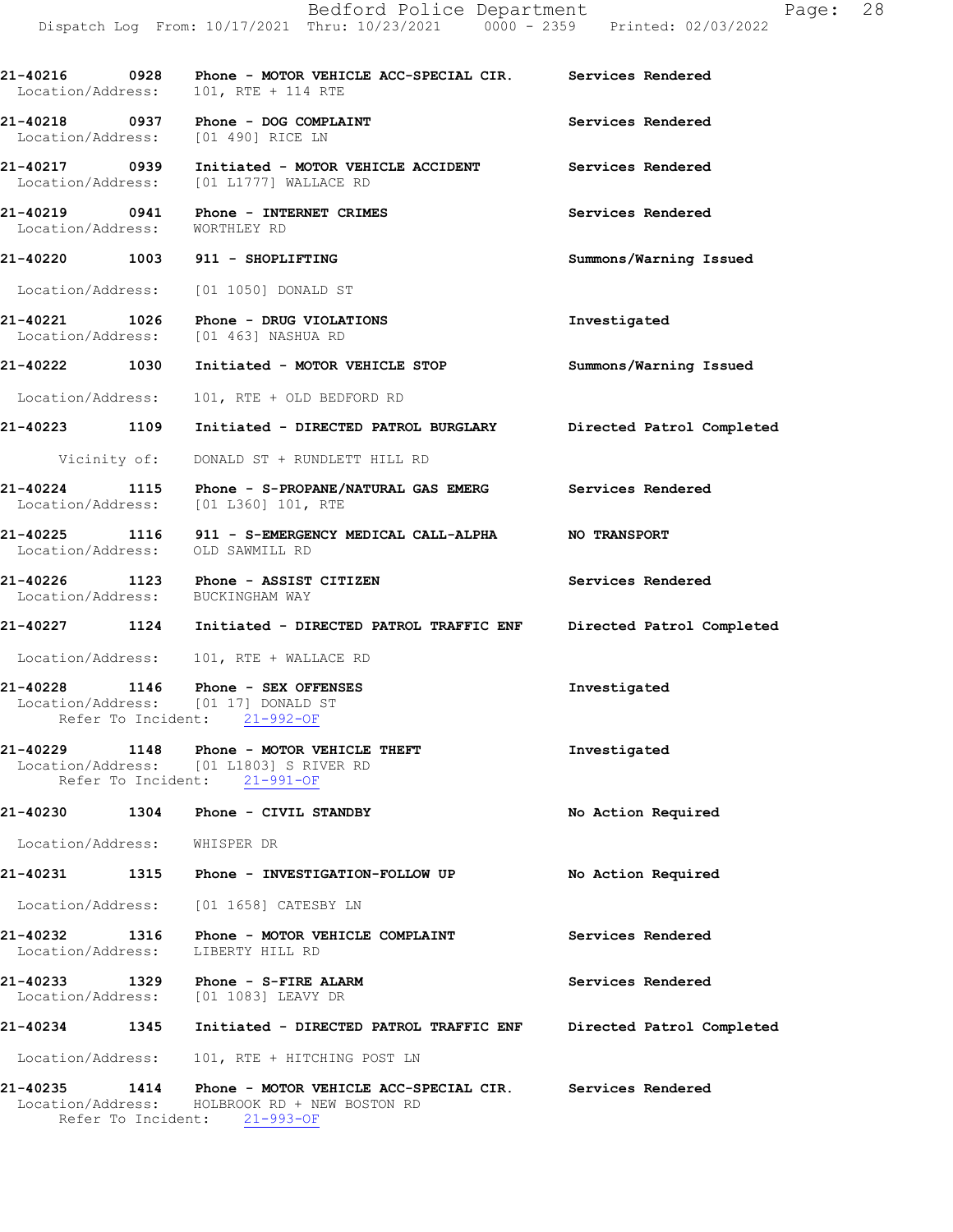21-40216 0928 Phone - MOTOR VEHICLE ACC-SPECIAL CIR. Services Rendered<br>Location/Address: 101, RTE + 114 RTE Location/Address: 21-40218 0937 Phone - DOG COMPLAINT Services Rendered Services Rendered Services Rendered Location/Address: 21-40217 0939 Initiated - MOTOR VEHICLE ACCIDENT Services Rendered Location/Address: [01 L1777] WALLACE RD Location/Address: 21-40219 0941 Phone - INTERNET CRIMES Services Rendered Location/Address: WORTHLEY RD 21-40220 1003 911 - SHOPLIFTING Summons/Warning Issued Location/Address: [01 1050] DONALD ST 21-40221 1026 Phone - DRUG VIOLATIONS 100 Phone Investigated Location/Address: [01 463] NASHUA RD 21-40222 1030 Initiated - MOTOR VEHICLE STOP Summons/Warning Issued Location/Address: 101, RTE + OLD BEDFORD RD 21-40223 1109 Initiated - DIRECTED PATROL BURGLARY Directed Patrol Completed Vicinity of: DONALD ST + RUNDLETT HILL RD 21-40224 1115 Phone - S-PROPANE/NATURAL GAS EMERG Services Rendered<br>Location/Address: [01 L360] 101, RTE Location/Address: 21-40225 1116 911 - S-EMERGENCY MEDICAL CALL-ALPHA NO TRANSPORT Location/Address: OLD SAWMILL RD 21-40226 1123 Phone - ASSIST CITIZEN Services Rendered Location/Address: BUCKINGHAM WAY Location/Address: 21-40227 1124 Initiated - DIRECTED PATROL TRAFFIC ENF Directed Patrol Completed Location/Address: 101, RTE + WALLACE RD 21-40228 1146 Phone - SEX OFFENSES 1nvestigated Investigated Location/Address: [01 17] DONALD ST Location/Address: Refer To Incident: 21-992-OF 21-40229 1148 Phone - MOTOR VEHICLE THEFT **Investigated** Location/Address: [01 L1803] S RIVER RD Refer To Incident: 21-991-OF 21-40230 1304 Phone - CIVIL STANDBY No Action Required Location/Address: WHISPER DR 21-40231 1315 Phone - INVESTIGATION-FOLLOWUP No Action Required Location/Address: [01 1658] CATESBY LN 21-40232 1316 Phone - MOTOR VEHICLE COMPLAINT Services Rendered Location/Address: LIBERTY HILL RD Location/Address: 21-40233 1329 Phone - S-FIRE ALARM Services Rendered Location/Address: [01 1083] LEAVY DR Location/Address: 21-40234 1345 Initiated - DIRECTED PATROL TRAFFIC ENF Directed Patrol Completed Location/Address: 101, RTE + HITCHING POST LN 21-40235 1414 Phone - MOTOR VEHICLE ACC-SPECIAL CIR. Services Rendered<br>Location/Address: HOLBROOK RD + NEW BOSTON RD HOLBROOK RD + NEW BOSTON RD Refer To Incident: 21-993-OF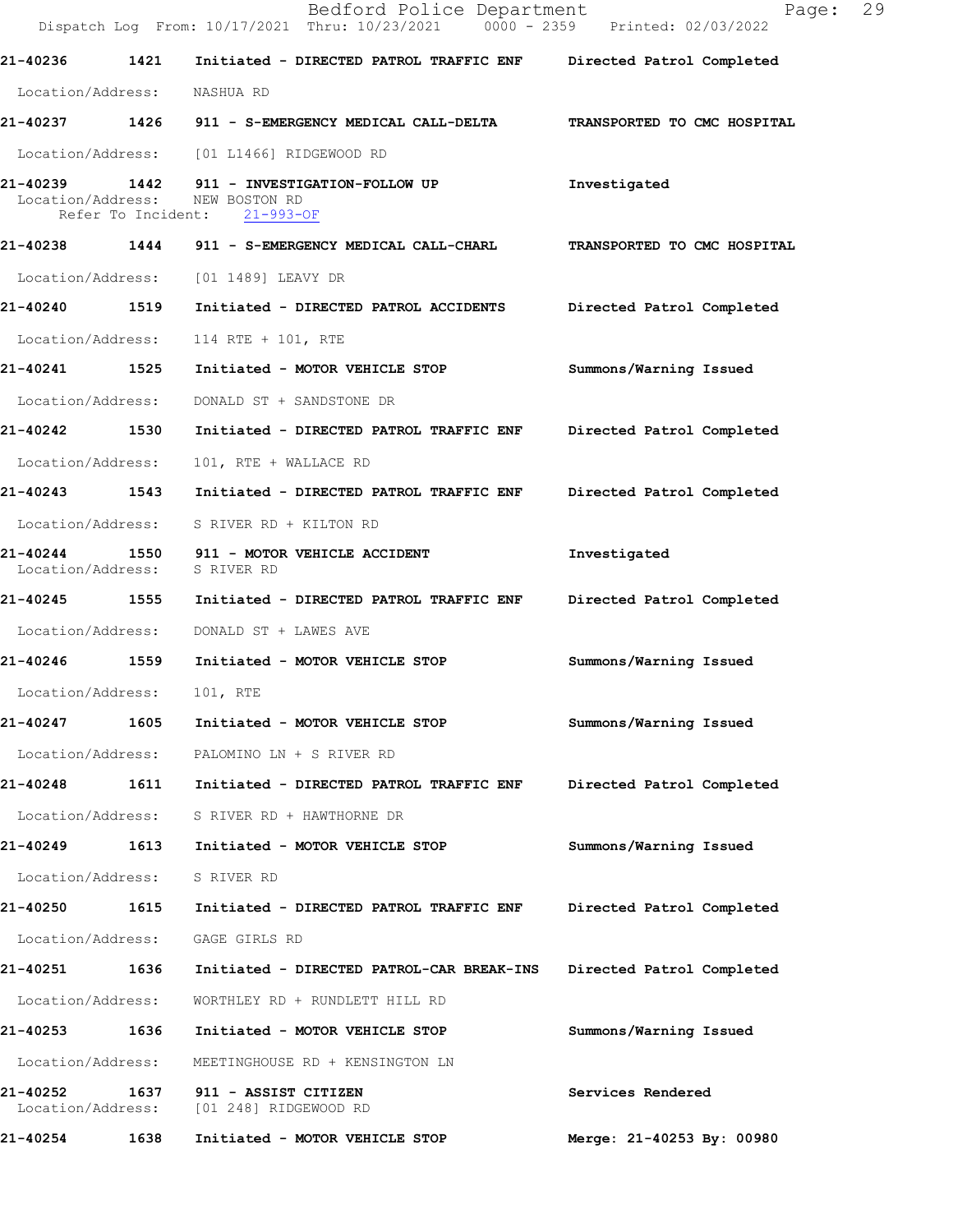|                               |      | Bedford Police Department<br>Dispatch Log From: 10/17/2021 Thru: 10/23/2021 0000 - 2359 Printed: 02/03/2022    | 29<br>Page:                 |
|-------------------------------|------|----------------------------------------------------------------------------------------------------------------|-----------------------------|
| 21-40236                      | 1421 | Initiated - DIRECTED PATROL TRAFFIC ENF Directed Patrol Completed                                              |                             |
| Location/Address:             |      | NASHUA RD                                                                                                      |                             |
|                               |      | 21-40237 1426 911 - S-EMERGENCY MEDICAL CALL-DELTA TRANSPORTED TO CMC HOSPITAL                                 |                             |
|                               |      | Location/Address: [01 L1466] RIDGEWOOD RD                                                                      |                             |
|                               |      | 21-40239 1442 911 - INVESTIGATION-FOLLOW UP<br>Location/Address: NEW BOSTON RD<br>Refer To Incident: 21-993-OF | Investigated                |
|                               |      | 21-40238 1444 911 - S-EMERGENCY MEDICAL CALL-CHARL                                                             | TRANSPORTED TO CMC HOSPITAL |
|                               |      | Location/Address: [01 1489] LEAVY DR                                                                           |                             |
| 21-40240 1519                 |      | Initiated - DIRECTED PATROL ACCIDENTS                                                                          | Directed Patrol Completed   |
| Location/Address:             |      | 114 RTE + 101, RTE                                                                                             |                             |
| 21-40241 1525                 |      | Initiated - MOTOR VEHICLE STOP                                                                                 | Summons/Warning Issued      |
| Location/Address:             |      | DONALD ST + SANDSTONE DR                                                                                       |                             |
| 21-40242 1530                 |      | Initiated - DIRECTED PATROL TRAFFIC ENF Directed Patrol Completed                                              |                             |
| Location/Address:             |      | 101, RTE + WALLACE RD                                                                                          |                             |
|                               |      | 21-40243   1543   Initiated - DIRECTED PATROL TRAFFIC ENF                                                      | Directed Patrol Completed   |
|                               |      | Location/Address: S RIVER RD + KILTON RD                                                                       |                             |
| Location/Address: S RIVER RD  |      | 21-40244 1550 911 - MOTOR VEHICLE ACCIDENT                                                                     | Investigated                |
|                               |      | 21-40245  1555  Initiated - DIRECTED PATROL TRAFFIC ENF                                                        | Directed Patrol Completed   |
| Location/Address:             |      | DONALD ST + LAWES AVE                                                                                          |                             |
| 21-40246 1559                 |      | Initiated - MOTOR VEHICLE STOP                                                                                 | Summons/Warning Issued      |
| Location/Address:             |      | 101, RTE                                                                                                       |                             |
| 21-40247                      | 1605 | Initiated - MOTOR VEHICLE STOP                                                                                 | Summons/Warning Issued      |
| Location/Address:             |      | PALOMINO LN + S RIVER RD                                                                                       |                             |
| 21-40248                      | 1611 | Initiated - DIRECTED PATROL TRAFFIC ENF                                                                        | Directed Patrol Completed   |
| Location/Address:             |      | S RIVER RD + HAWTHORNE DR                                                                                      |                             |
| 21-40249                      | 1613 | Initiated - MOTOR VEHICLE STOP                                                                                 | Summons/Warning Issued      |
| Location/Address:             |      | S RIVER RD                                                                                                     |                             |
| 21-40250                      | 1615 | Initiated - DIRECTED PATROL TRAFFIC ENF                                                                        | Directed Patrol Completed   |
| Location/Address:             |      | GAGE GIRLS RD                                                                                                  |                             |
| 21-40251                      | 1636 | Initiated - DIRECTED PATROL-CAR BREAK-INS                                                                      | Directed Patrol Completed   |
| Location/Address:             |      | WORTHLEY RD + RUNDLETT HILL RD                                                                                 |                             |
| 21-40253                      | 1636 | Initiated - MOTOR VEHICLE STOP                                                                                 | Summons/Warning Issued      |
| Location/Address:             |      | MEETINGHOUSE RD + KENSINGTON LN                                                                                |                             |
| 21-40252<br>Location/Address: | 1637 | 911 - ASSIST CITIZEN<br>[01 248] RIDGEWOOD RD                                                                  | Services Rendered           |
| 21-40254                      | 1638 | Initiated - MOTOR VEHICLE STOP                                                                                 | Merge: 21-40253 By: 00980   |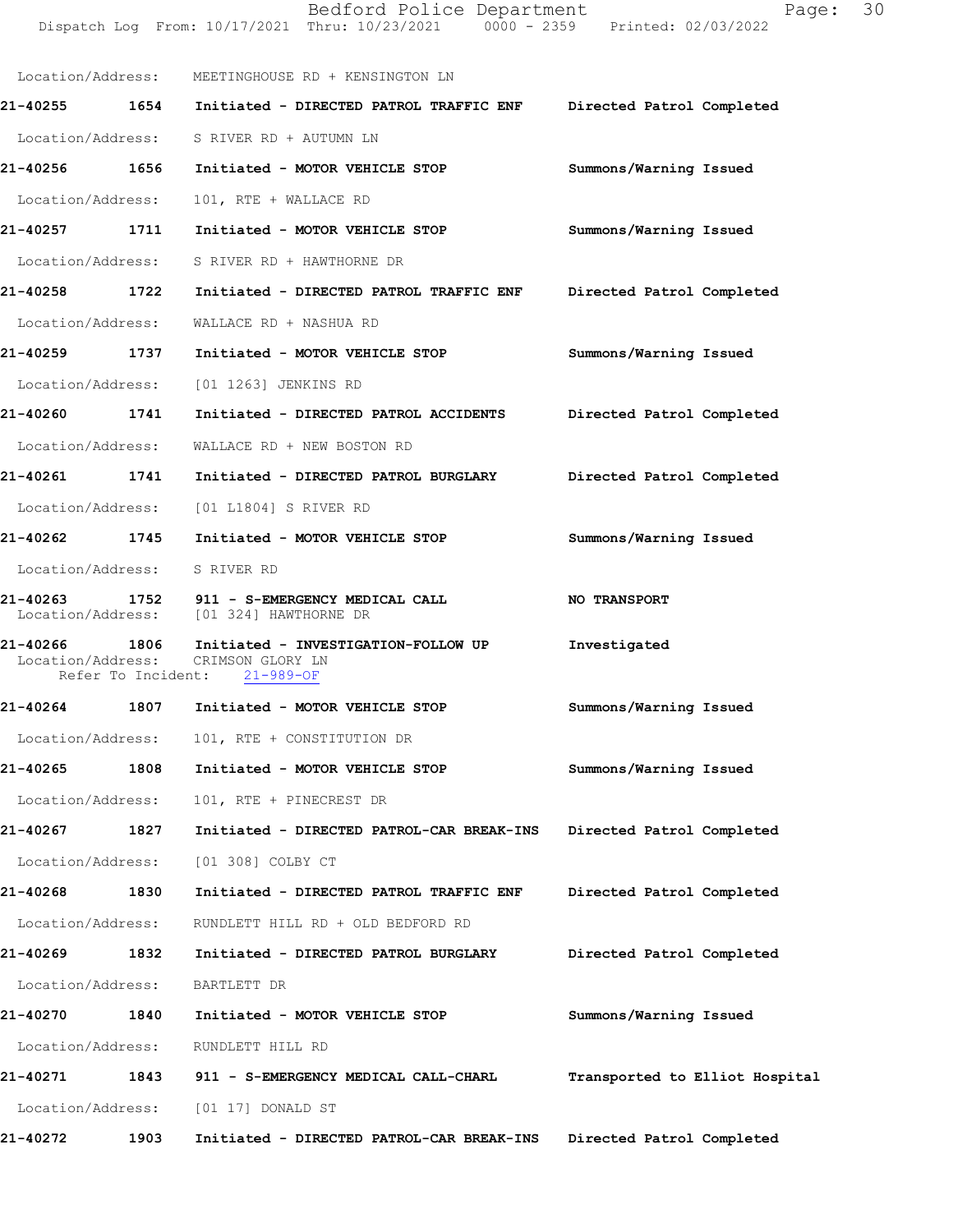|                                                          |      | Bedford Police Department<br>Dispatch Log From: 10/17/2021 Thru: 10/23/2021 0000 - 2359 Printed: 02/03/2022 | Page:                          | 30 |
|----------------------------------------------------------|------|-------------------------------------------------------------------------------------------------------------|--------------------------------|----|
|                                                          |      | Location/Address: MEETINGHOUSE RD + KENSINGTON LN                                                           |                                |    |
|                                                          |      | 21-40255    1654    Initiated - DIRECTED PATROL TRAFFIC ENF                                                 | Directed Patrol Completed      |    |
|                                                          |      | Location/Address: S RIVER RD + AUTUMN LN                                                                    |                                |    |
| 21-40256 1656                                            |      | Initiated - MOTOR VEHICLE STOP                                                                              | Summons/Warning Issued         |    |
| Location/Address:                                        |      | 101, RTE + WALLACE RD                                                                                       |                                |    |
| 21-40257 1711                                            |      | Initiated - MOTOR VEHICLE STOP                                                                              | Summons/Warning Issued         |    |
|                                                          |      | Location/Address: S RIVER RD + HAWTHORNE DR                                                                 |                                |    |
| 21-40258 1722                                            |      | Initiated - DIRECTED PATROL TRAFFIC ENF                                                                     | Directed Patrol Completed      |    |
| Location/Address:                                        |      | WALLACE RD + NASHUA RD                                                                                      |                                |    |
| 21-40259 1737                                            |      | Initiated - MOTOR VEHICLE STOP                                                                              | Summons/Warning Issued         |    |
| Location/Address:                                        |      | [01 1263] JENKINS RD                                                                                        |                                |    |
| 21-40260 1741                                            |      | Initiated - DIRECTED PATROL ACCIDENTS                                                                       | Directed Patrol Completed      |    |
| Location/Address:                                        |      | WALLACE RD + NEW BOSTON RD                                                                                  |                                |    |
| 21-40261 1741                                            |      | Initiated - DIRECTED PATROL BURGLARY                                                                        | Directed Patrol Completed      |    |
| Location/Address:                                        |      | [01 L1804] S RIVER RD                                                                                       |                                |    |
| 21-40262 1745                                            |      | Initiated - MOTOR VEHICLE STOP                                                                              | Summons/Warning Issued         |    |
| Location/Address:                                        |      | S RIVER RD                                                                                                  |                                |    |
|                                                          |      | 21-40263 1752 911 - S-EMERGENCY MEDICAL CALL<br>Location/Address: [01 324] HAWTHORNE DR                     | NO TRANSPORT                   |    |
| 21-40266 1806<br>Location/Address:<br>Refer To Incident: |      | Initiated - INVESTIGATION-FOLLOW UP<br>CRIMSON GLORY LN<br>$21 - 989 - OF$                                  | Investigated                   |    |
| 21-40264                                                 | 1807 | Initiated - MOTOR VEHICLE STOP                                                                              | Summons/Warning Issued         |    |
| Location/Address:                                        |      | 101, RTE + CONSTITUTION DR                                                                                  |                                |    |
| 21-40265                                                 | 1808 | Initiated - MOTOR VEHICLE STOP                                                                              | Summons/Warning Issued         |    |
| Location/Address:                                        |      | 101, RTE + PINECREST DR                                                                                     |                                |    |
| 21-40267                                                 | 1827 | Initiated - DIRECTED PATROL-CAR BREAK-INS                                                                   | Directed Patrol Completed      |    |
| Location/Address:                                        |      | [01 308] COLBY CT                                                                                           |                                |    |
| 21-40268                                                 | 1830 | Initiated - DIRECTED PATROL TRAFFIC ENF                                                                     | Directed Patrol Completed      |    |
| Location/Address:                                        |      | RUNDLETT HILL RD + OLD BEDFORD RD                                                                           |                                |    |
| 21-40269                                                 | 1832 | Initiated - DIRECTED PATROL BURGLARY                                                                        | Directed Patrol Completed      |    |
| Location/Address:                                        |      | BARTLETT DR                                                                                                 |                                |    |
| 21-40270                                                 | 1840 | Initiated - MOTOR VEHICLE STOP                                                                              | Summons/Warning Issued         |    |
| Location/Address:                                        |      | RUNDLETT HILL RD                                                                                            |                                |    |
| 21-40271                                                 | 1843 | 911 - S-EMERGENCY MEDICAL CALL-CHARL                                                                        | Transported to Elliot Hospital |    |
| Location/Address:                                        |      | [01 17] DONALD ST                                                                                           |                                |    |
| 21-40272                                                 | 1903 | Initiated - DIRECTED PATROL-CAR BREAK-INS                                                                   | Directed Patrol Completed      |    |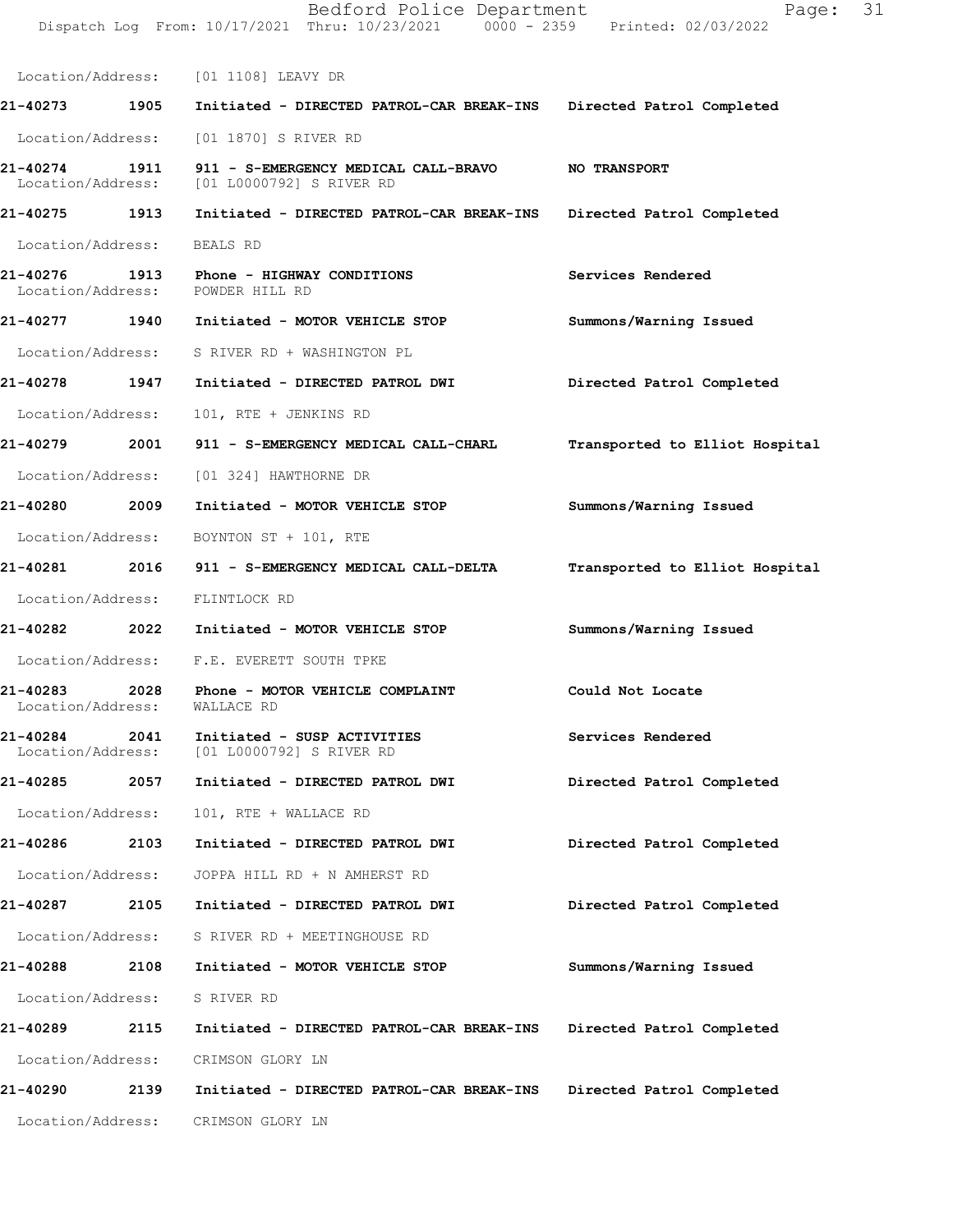|                                          |      | Dispatch Log From: 10/17/2021 Thru: 10/23/2021 0000 - 2359 Printed: 02/03/2022    |                                |
|------------------------------------------|------|-----------------------------------------------------------------------------------|--------------------------------|
|                                          |      | Location/Address: [01 1108] LEAVY DR                                              |                                |
|                                          |      | 21-40273 1905 Initiated - DIRECTED PATROL-CAR BREAK-INS Directed Patrol Completed |                                |
|                                          |      | Location/Address: [01 1870] S RIVER RD                                            |                                |
| 21-40274<br>Location/Address:            | 1911 | 911 - S-EMERGENCY MEDICAL CALL-BRAVO NO TRANSPORT<br>[01 L0000792] S RIVER RD     |                                |
| 21-40275 1913                            |      | Initiated - DIRECTED PATROL-CAR BREAK-INS                                         | Directed Patrol Completed      |
| Location/Address: BEALS RD               |      |                                                                                   |                                |
|                                          |      | 21-40276 1913 Phone - HIGHWAY CONDITIONS<br>Location/Address: POWDER HILL RD      | Services Rendered              |
| 21-40277 1940                            |      | Initiated - MOTOR VEHICLE STOP                                                    | Summons/Warning Issued         |
|                                          |      | Location/Address: S RIVER RD + WASHINGTON PL                                      |                                |
| 21-40278 1947                            |      | Initiated - DIRECTED PATROL DWI                                                   | Directed Patrol Completed      |
| Location/Address:                        |      | 101, RTE + JENKINS RD                                                             |                                |
| 21-40279 2001                            |      | 911 - S-EMERGENCY MEDICAL CALL-CHARL                                              | Transported to Elliot Hospital |
|                                          |      | Location/Address: [01 324] HAWTHORNE DR                                           |                                |
| 21-40280 2009                            |      | Initiated - MOTOR VEHICLE STOP                                                    | Summons/Warning Issued         |
|                                          |      | Location/Address: BOYNTON ST + 101, RTE                                           |                                |
| 21-40281 2016                            |      | 911 - S-EMERGENCY MEDICAL CALL-DELTA                                              | Transported to Elliot Hospital |
|                                          |      | Location/Address: FLINTLOCK RD                                                    |                                |
| 21-40282 2022                            |      | Initiated - MOTOR VEHICLE STOP                                                    | Summons/Warning Issued         |
|                                          |      | Location/Address: F.E. EVERETT SOUTH TPKE                                         |                                |
| 21-40283<br>Location/Address: WALLACE RD | 2028 | Phone - MOTOR VEHICLE COMPLAINT                                                   | Could Not Locate               |
| 21-40284<br>Location/Address:            | 2041 | Initiated - SUSP ACTIVITIES<br>[01 L0000792] S RIVER RD                           | Services Rendered              |
| 21-40285                                 | 2057 | Initiated - DIRECTED PATROL DWI                                                   | Directed Patrol Completed      |
| Location/Address:                        |      | 101, RTE + WALLACE RD                                                             |                                |
| 21-40286                                 | 2103 | Initiated - DIRECTED PATROL DWI                                                   | Directed Patrol Completed      |
| Location/Address:                        |      | JOPPA HILL RD + N AMHERST RD                                                      |                                |
| 21-40287                                 | 2105 | Initiated - DIRECTED PATROL DWI                                                   | Directed Patrol Completed      |
| Location/Address:                        |      | S RIVER RD + MEETINGHOUSE RD                                                      |                                |
| 21-40288                                 | 2108 | Initiated - MOTOR VEHICLE STOP                                                    | Summons/Warning Issued         |
| Location/Address:                        |      | S RIVER RD                                                                        |                                |
| 21-40289                                 | 2115 | Initiated - DIRECTED PATROL-CAR BREAK-INS                                         | Directed Patrol Completed      |
| Location/Address:                        |      | CRIMSON GLORY LN                                                                  |                                |
| 21-40290                                 | 2139 | Initiated - DIRECTED PATROL-CAR BREAK-INS                                         | Directed Patrol Completed      |
| Location/Address:                        |      | CRIMSON GLORY LN                                                                  |                                |
|                                          |      |                                                                                   |                                |

Bedford Police Department Page: 31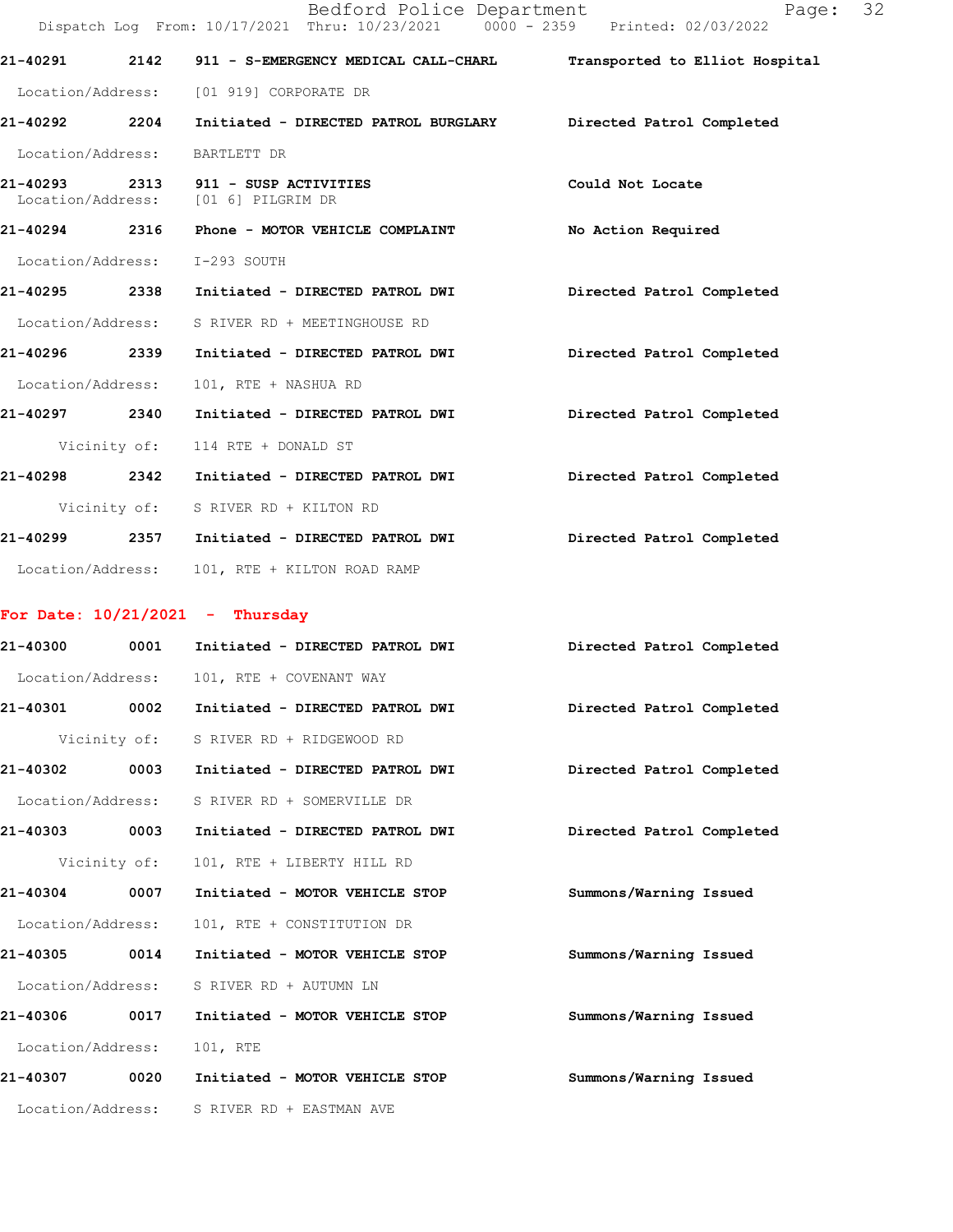|                   |              | Bedford Police Department<br>Dispatch Log From: 10/17/2021 Thru: 10/23/2021 0000 - 2359 Printed: 02/03/2022 | Page:<br>32                    |
|-------------------|--------------|-------------------------------------------------------------------------------------------------------------|--------------------------------|
|                   |              | 21-40291 2142 911 - S-EMERGENCY MEDICAL CALL-CHARL                                                          | Transported to Elliot Hospital |
|                   |              | Location/Address: [01 919] CORPORATE DR                                                                     |                                |
|                   |              | 21-40292 2204 Initiated - DIRECTED PATROL BURGLARY Directed Patrol Completed                                |                                |
|                   |              | Location/Address: BARTLETT DR                                                                               |                                |
|                   |              | 21-40293 2313 911 - SUSP ACTIVITIES<br>Location/Address: [01 6] PILGRIM DR                                  | Could Not Locate               |
|                   |              | 21-40294 2316 Phone - MOTOR VEHICLE COMPLAINT                                                               | No Action Required             |
|                   |              | Location/Address: I-293 SOUTH                                                                               |                                |
|                   |              | 21-40295 2338 Initiated - DIRECTED PATROL DWI                                                               | Directed Patrol Completed      |
|                   |              | Location/Address: S RIVER RD + MEETINGHOUSE RD                                                              |                                |
|                   |              | 21-40296  2339    Initiated - DIRECTED PATROL DWI                                                           | Directed Patrol Completed      |
| Location/Address: |              | 101, RTE + NASHUA RD                                                                                        |                                |
|                   |              | 21-40297 2340 Initiated - DIRECTED PATROL DWI                                                               | Directed Patrol Completed      |
|                   |              | Vicinity of: 114 RTE + DONALD ST                                                                            |                                |
|                   |              | 21-40298 2342 Initiated - DIRECTED PATROL DWI                                                               | Directed Patrol Completed      |
|                   |              | Vicinity of: S RIVER RD + KILTON RD                                                                         |                                |
|                   |              | 21-40299  2357  Initiated - DIRECTED PATROL DWI                                                             | Directed Patrol Completed      |
|                   |              | Location/Address: 101, RTE + KILTON ROAD RAMP                                                               |                                |
|                   |              | For Date: $10/21/2021$ - Thursday                                                                           |                                |
|                   |              | 21-40300 0001 Initiated - DIRECTED PATROL DWI                                                               | Directed Patrol Completed      |
|                   |              | Location/Address: 101, RTE + COVENANT WAY                                                                   |                                |
| 21-40301          | 0002         | Initiated - DIRECTED PATROL DWI                                                                             | Directed Patrol Completed      |
|                   | Vicinity of: | S RIVER RD + RIDGEWOOD RD                                                                                   |                                |
| 21-40302          | 0003         | Initiated - DIRECTED PATROL DWI                                                                             | Directed Patrol Completed      |
| Location/Address: |              | S RIVER RD + SOMERVILLE DR                                                                                  |                                |
| 21-40303 0003     |              | Initiated - DIRECTED PATROL DWI                                                                             | Directed Patrol Completed      |
|                   | Vicinity of: | 101, RTE + LIBERTY HILL RD                                                                                  |                                |
| 21-40304          | 0007         | Initiated - MOTOR VEHICLE STOP                                                                              | Summons/Warning Issued         |
| Location/Address: |              | 101, RTE + CONSTITUTION DR                                                                                  |                                |
| 21-40305 0014     |              | Initiated - MOTOR VEHICLE STOP                                                                              | Summons/Warning Issued         |
| Location/Address: |              | S RIVER RD + AUTUMN LN                                                                                      |                                |
| 21-40306          | 0017         | Initiated - MOTOR VEHICLE STOP                                                                              | Summons/Warning Issued         |
| Location/Address: |              | 101, RTE                                                                                                    |                                |
| 21-40307          | 0020         | Initiated - MOTOR VEHICLE STOP                                                                              | Summons/Warning Issued         |
| Location/Address: |              | S RIVER RD + EASTMAN AVE                                                                                    |                                |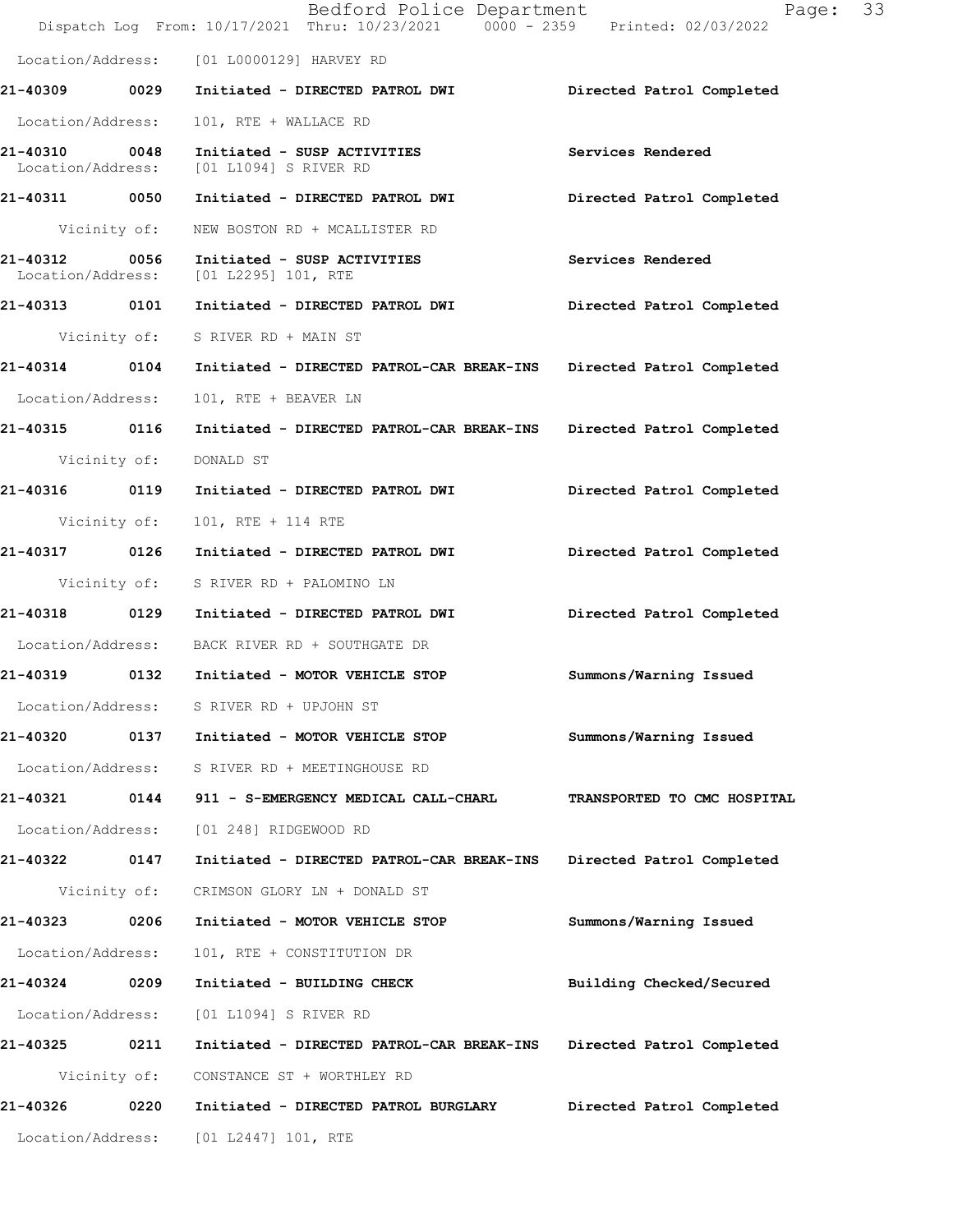|                                    |              | Bedford Police Department<br>Dispatch Log From: 10/17/2021 Thru: 10/23/2021 0000 - 2359 Printed: 02/03/2022 | Page:<br>33                 |
|------------------------------------|--------------|-------------------------------------------------------------------------------------------------------------|-----------------------------|
|                                    |              | Location/Address: [01 L0000129] HARVEY RD                                                                   |                             |
|                                    |              | 21-40309 0029 Initiated - DIRECTED PATROL DWI       Directed Patrol Completed                               |                             |
| Location/Address:                  |              | 101, RTE + WALLACE RD                                                                                       |                             |
| 21-40310 0048<br>Location/Address: |              | Initiated - SUSP ACTIVITIES<br>[01 L1094] S RIVER RD                                                        | Services Rendered           |
| 21-40311 0050                      |              | Initiated - DIRECTED PATROL DWI                                                                             | Directed Patrol Completed   |
| Vicinity of:                       |              | NEW BOSTON RD + MCALLISTER RD                                                                               |                             |
| 21-40312 0056                      |              | Initiated - SUSP ACTIVITIES<br>Location/Address: [01 L2295] 101, RTE                                        | Services Rendered           |
| 21-40313 0101                      |              | Initiated - DIRECTED PATROL DWI Directed Patrol Completed                                                   |                             |
|                                    |              | Vicinity of: S RIVER RD + MAIN ST                                                                           |                             |
|                                    |              | 21-40314 0104 Initiated - DIRECTED PATROL-CAR BREAK-INS Directed Patrol Completed                           |                             |
| Location/Address:                  |              | 101, RTE + BEAVER LN                                                                                        |                             |
| 21-40315 0116                      |              | Initiated - DIRECTED PATROL-CAR BREAK-INS                                                                   | Directed Patrol Completed   |
|                                    |              | Vicinity of: DONALD ST                                                                                      |                             |
|                                    |              |                                                                                                             | Directed Patrol Completed   |
|                                    |              | Vicinity of: 101, RTE + 114 RTE                                                                             |                             |
|                                    |              | 21-40317 0126 Initiated - DIRECTED PATROL DWI                                                               | Directed Patrol Completed   |
|                                    |              | Vicinity of: S RIVER RD + PALOMINO LN                                                                       |                             |
|                                    |              | 21-40318 		 0129 Initiated - DIRECTED PATROL DWI 				 Directed Patrol Completed                             |                             |
|                                    |              | Location/Address: BACK RIVER RD + SOUTHGATE DR                                                              |                             |
|                                    |              | 21-40319 0132 Initiated - MOTOR VEHICLE STOP                                                                | Summons/Warning Issued      |
| Location/Address:                  |              | S RIVER RD + UPJOHN ST                                                                                      |                             |
| 21-40320                           | 0137         | Initiated - MOTOR VEHICLE STOP                                                                              | Summons/Warning Issued      |
| Location/Address:                  |              | S RIVER RD + MEETINGHOUSE RD                                                                                |                             |
| 21-40321                           | 0144         | 911 - S-EMERGENCY MEDICAL CALL-CHARL                                                                        | TRANSPORTED TO CMC HOSPITAL |
| Location/Address:                  |              | [01 248] RIDGEWOOD RD                                                                                       |                             |
| 21-40322 0147                      |              | Initiated - DIRECTED PATROL-CAR BREAK-INS                                                                   | Directed Patrol Completed   |
|                                    | Vicinity of: | CRIMSON GLORY LN + DONALD ST                                                                                |                             |
| 21-40323 0206                      |              | Initiated - MOTOR VEHICLE STOP                                                                              | Summons/Warning Issued      |
| Location/Address:                  |              | 101, RTE + CONSTITUTION DR                                                                                  |                             |
| 21-40324                           | 0209         | Initiated - BUILDING CHECK                                                                                  | Building Checked/Secured    |
| Location/Address:                  |              | [01 L1094] S RIVER RD                                                                                       |                             |
| 21-40325                           | 0211         | Initiated - DIRECTED PATROL-CAR BREAK-INS                                                                   | Directed Patrol Completed   |
|                                    | Vicinity of: | CONSTANCE ST + WORTHLEY RD                                                                                  |                             |
| 21-40326                           | 0220         | Initiated - DIRECTED PATROL BURGLARY                                                                        | Directed Patrol Completed   |
| Location/Address:                  |              | [01 L2447] 101, RTE                                                                                         |                             |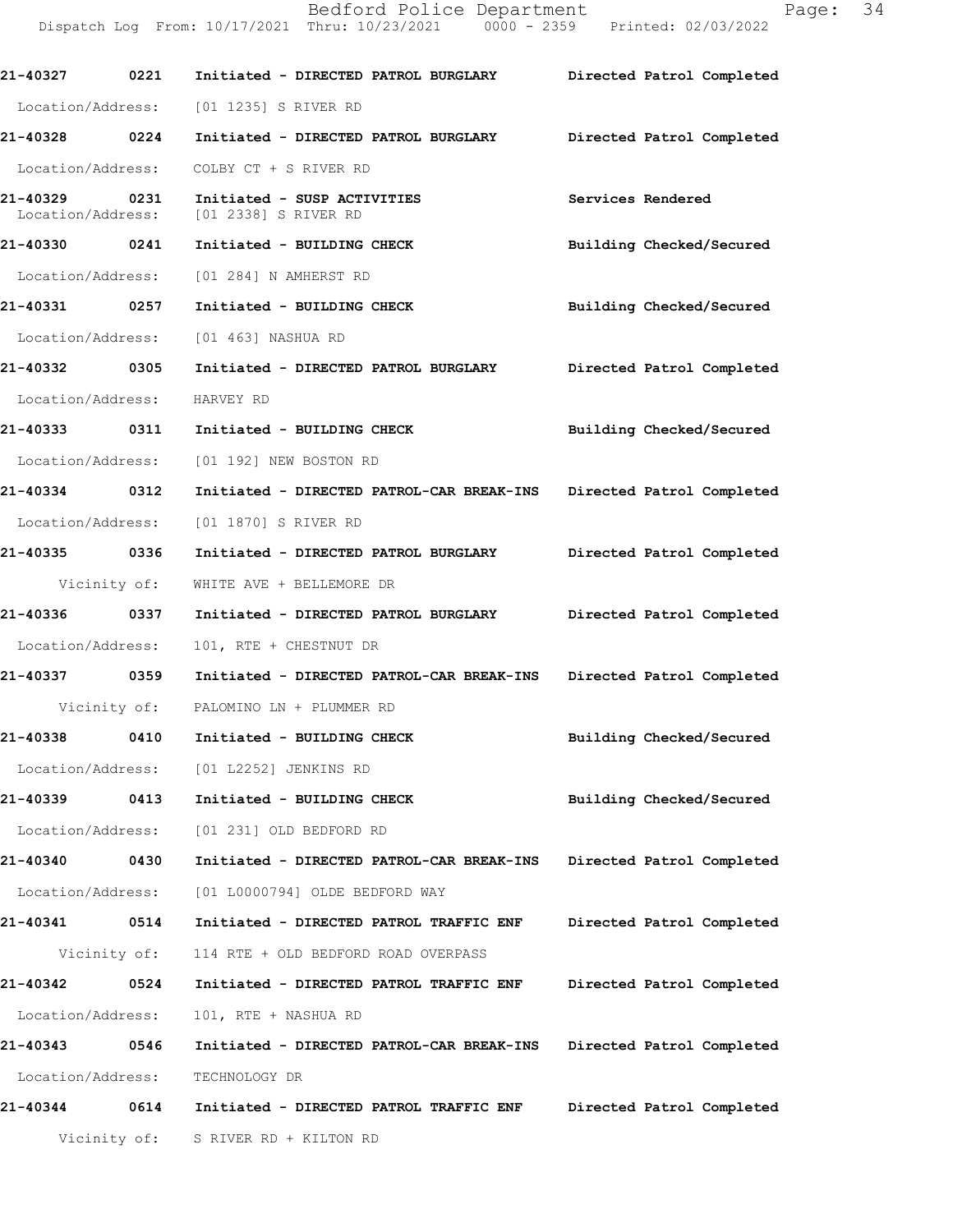21-40327 0221 Initiated - DIRECTED PATROL BURGLARY Directed Patrol Completed Location/Address: [01 1235] S RIVER RD 21-40328 0224 Initiated - DIRECTED PATROL BURGLARY Directed Patrol Completed Location/Address: COLBY CT + S RIVER RD 21-40329 0231 Initiated - SUSP ACTIVITIES Services Rendered Location/Address: [01 2338] S RIVER RD Location/Address: 21-40330 0241 Initiated - BUILDING CHECK Building Checked/Secured Location/Address: [01 284] N AMHERST RD 21-40331 0257 Initiated - BUILDING CHECK Building Checked/Secured Location/Address: [01 463] NASHUA RD 21-40332 0305 Initiated - DIRECTED PATROL BURGLARY Directed Patrol Completed Location/Address: HARVEY RD 21-40333 0311 Initiated - BUILDING CHECK Building Checked/Secured Location/Address: [01 192] NEW BOSTON RD 21-40334 0312 Initiated - DIRECTED PATROL-CAR BREAK-INS Directed Patrol Completed Location/Address: [01 1870] S RIVER RD 21-40335 0336 Initiated - DIRECTED PATROL BURGLARY Directed Patrol Completed Vicinity of: WHITE AVE + BELLEMORE DR 21-40336 0337 Initiated - DIRECTED PATROL BURGLARY Directed Patrol Completed Location/Address: 101, RTE + CHESTNUT DR 21-40337 0359 Initiated - DIRECTED PATROL-CAR BREAK-INS Directed Patrol Completed Vicinity of: PALOMINO LN + PLUMMER RD 21-40338 0410 Initiated - BUILDING CHECK Building Checked/Secured Location/Address: [01 L2252] JENKINS RD 21-403390413 Initiated-BUILDINGCHECK BuildingChecked/Secured Location/Address: [01 231] OLD BEDFORD RD 21-40340 0430 Initiated - DIRECTED PATROL-CAR BREAK-INS Directed Patrol Completed Location/Address: [01 L0000794] OLDE BEDFORD WAY 21-40341 0514 Initiated - DIRECTED PATROL TRAFFIC ENF Directed Patrol Completed Vicinity of: 114 RTE + OLD BEDFORD ROAD OVERPASS 21-40342 0524 Initiated - DIRECTED PATROL TRAFFIC ENF Directed Patrol Completed Location/Address: 101, RTE + NASHUA RD 21-40343 0546 Initiated - DIRECTED PATROL-CAR BREAK-INS Directed Patrol Completed Location/Address: TECHNOLOGY DR 21-40344 0614 Initiated - DIRECTED PATROL TRAFFIC ENF Directed Patrol Completed Vicinity of: S RIVER RD + KILTON RD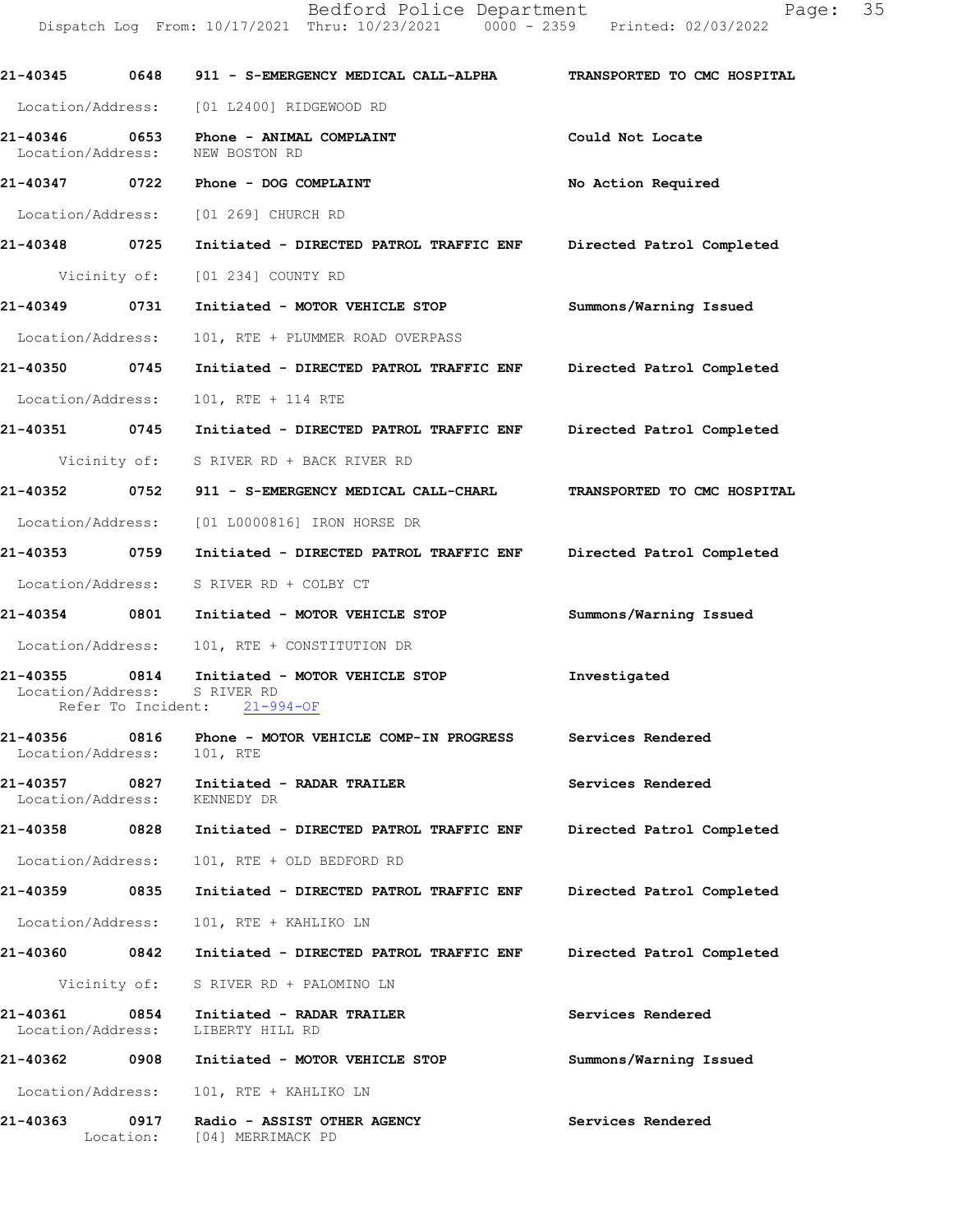| 21-40345                                                 | 0648              | 911 - S-EMERGENCY MEDICAL CALL-ALPHA                                            | TRANSPORTED TO CMC HOSPITAL |
|----------------------------------------------------------|-------------------|---------------------------------------------------------------------------------|-----------------------------|
|                                                          |                   | Location/Address: [01 L2400] RIDGEWOOD RD                                       |                             |
| 21-40346 0653<br>Location/Address:                       |                   | Phone - ANIMAL COMPLAINT<br>NEW BOSTON RD                                       | Could Not Locate            |
| 21-40347                                                 |                   | 0722 Phone - DOG COMPLAINT                                                      | No Action Required          |
|                                                          |                   | Location/Address: [01 269] CHURCH RD                                            |                             |
| 21-40348 0725                                            |                   | Initiated - DIRECTED PATROL TRAFFIC ENF Directed Patrol Completed               |                             |
|                                                          |                   | Vicinity of: [01 234] COUNTY RD                                                 |                             |
| 21-40349 0731                                            |                   | Initiated - MOTOR VEHICLE STOP                                                  | Summons/Warning Issued      |
| Location/Address:                                        |                   | 101, RTE + PLUMMER ROAD OVERPASS                                                |                             |
| 21-40350                                                 | 0745              | Initiated - DIRECTED PATROL TRAFFIC ENF Directed Patrol Completed               |                             |
| Location/Address:                                        |                   | 101, RTE + 114 RTE                                                              |                             |
|                                                          |                   | 21-40351 0745 Initiated - DIRECTED PATROL TRAFFIC ENF Directed Patrol Completed |                             |
|                                                          |                   | Vicinity of: S RIVER RD + BACK RIVER RD                                         |                             |
| 21-40352 0752                                            |                   | 911 - S-EMERGENCY MEDICAL CALL-CHARL TRANSPORTED TO CMC HOSPITAL                |                             |
|                                                          |                   | Location/Address: [01 L0000816] IRON HORSE DR                                   |                             |
| 21-40353 0759                                            |                   | Initiated - DIRECTED PATROL TRAFFIC ENF                                         | Directed Patrol Completed   |
|                                                          |                   | Location/Address: S RIVER RD + COLBY CT                                         |                             |
| 21-40354 0801                                            |                   | Initiated - MOTOR VEHICLE STOP                                                  | Summons/Warning Issued      |
|                                                          |                   | Location/Address: 101, RTE + CONSTITUTION DR                                    |                             |
| 21-40355 0814<br>Location/Address:<br>Refer To Incident: |                   | Initiated - MOTOR VEHICLE STOP<br>S RIVER RD<br>$21 - 994 - OF$                 | Investigated                |
| 21-40356<br>Location/Address:                            | 0816              | Phone - MOTOR VEHICLE COMP-IN PROGRESS<br>101, RTE                              | Services Rendered           |
| 21-40357<br>Location/Address:                            | 0827              | Initiated - RADAR TRAILER<br>KENNEDY DR                                         | Services Rendered           |
| 21-40358                                                 | 0828              | Initiated - DIRECTED PATROL TRAFFIC ENF                                         | Directed Patrol Completed   |
| Location/Address:                                        |                   | 101, RTE + OLD BEDFORD RD                                                       |                             |
| 21-40359                                                 | 0835              | Initiated - DIRECTED PATROL TRAFFIC ENF                                         | Directed Patrol Completed   |
| Location/Address:                                        |                   | 101, RTE + KAHLIKO LN                                                           |                             |
| 21-40360                                                 | 0842              | Initiated - DIRECTED PATROL TRAFFIC ENF                                         | Directed Patrol Completed   |
|                                                          |                   | Vicinity of: S RIVER RD + PALOMINO LN                                           |                             |
| 21-40361<br>Location/Address:                            | 0854              | Initiated - RADAR TRAILER<br>LIBERTY HILL RD                                    | Services Rendered           |
| 21-40362                                                 | 0908              | Initiated - MOTOR VEHICLE STOP                                                  | Summons/Warning Issued      |
|                                                          |                   | Location/Address: 101, RTE + KAHLIKO LN                                         |                             |
| 21-40363                                                 | 0917<br>Location: | Radio - ASSIST OTHER AGENCY<br>[04] MERRIMACK PD                                | Services Rendered           |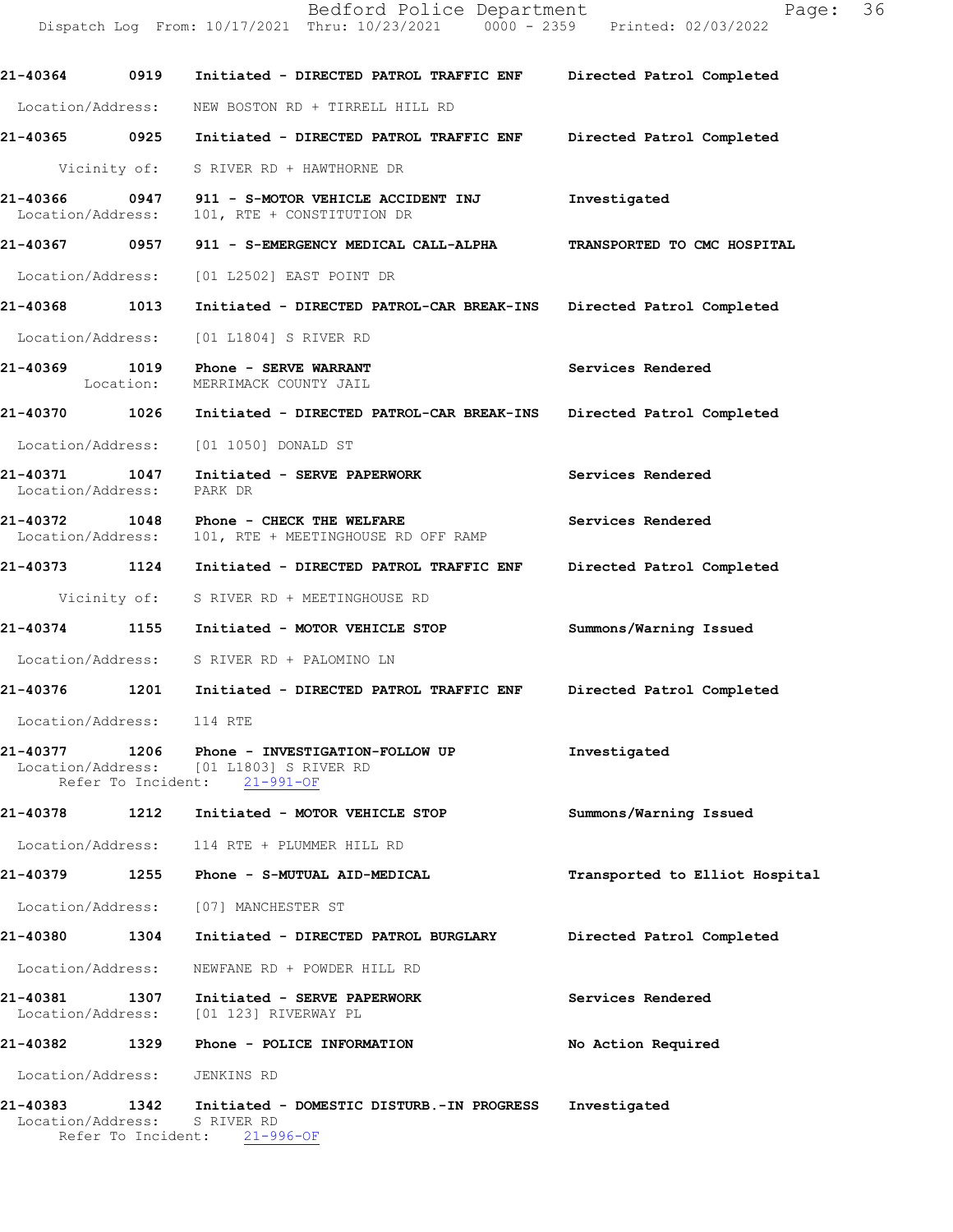Bedford Police Department Fage: 36 Dispatch Log From: 10/17/2021 Thru: 10/23/2021 0000 - 2359 Printed: 02/03/2022 21-40364 0919 Initiated - DIRECTED PATROL TRAFFIC ENF Directed Patrol Completed Location/Address: NEW BOSTON RD + TIRRELL HILL RD 21-40365 0925 Initiated - DIRECTED PATROL TRAFFIC ENF Directed Patrol Completed Vicinity of: S RIVER RD + HAWTHORNE DR 21-40366 0947 911 - S-MOTOR VEHICLE ACCIDENT INJ Investigated<br>Location/Address: 101, RTE + CONSTITUTION DR 101, RTE + CONSTITUTION DR 21-40367 0957 911 - S-EMERGENCY MEDICAL CALL-ALPHA TRANSPORTED TO CMC HOSPITAL Location/Address: [01 L2502] EAST POINT DR 21-40368 1013 Initiated - DIRECTED PATROL-CAR BREAK-INS Directed Patrol Completed Location/Address: [01 L1804] S RIVER RD 21-40369 1019 Phone - SERVE WARRANT Services Rendered Services Rendered Services Rendered MERRIMACK COUNTY JAIL 21-40370 1026 Initiated - DIRECTED PATROL-CAR BREAK-INS Directed Patrol Completed Location/Address: [01 1050] DONALD ST 21-40371 1047 Initiated - SERVE PAPERWORK Services Rendered Location/Address: PARK DR 21-40372 1048 Phone - CHECK THE WELFARE Services Rendered Location/Address: 101, RTE + MEETINGHOUSE RD OFF RAMP 101, RTE + MEETINGHOUSE RD OFF RAMP 21-40373 1124 Initiated - DIRECTED PATROL TRAFFIC ENF Directed Patrol Completed Vicinity of: S RIVER RD + MEETINGHOUSE RD 21-40374 1155 Initiated - MOTOR VEHICLE STOP Summons/Warning Issued Location/Address: S RIVER RD + PALOMINO LN 21-40376 1201 Initiated - DIRECTED PATROL TRAFFIC ENF Directed Patrol Completed Location/Address: 114 RTE 21-40377 1206 Phone - INVESTIGATION-FOLLOWUP Investigated<br>Location/Address: [01 L1803] S RIVER RD [01 L1803] S RIVER RD<br>ent: 21-991-OF Refer To Incident: 21-40378 1212 Initiated - MOTOR VEHICLE STOP Summons/Warning Issued Location/Address: 114 RTE + PLUMMER HILL RD 21-40379 1255 Phone - S-MUTUAL AID-MEDICAL Transported to Elliot Hospital Location/Address: [07] MANCHESTER ST 21-40380 1304 Initiated - DIRECTED PATROL BURGLARY Directed Patrol Completed Location/Address: NEWFANE RD + POWDER HILL RD 21-40381 1307 Initiated - SERVE PAPERWORK Services Rendered Location/Address: [01 123] RIVERWAY PL [01 123] RIVERWAY PL 21-40382 1329 Phone - POLICE INFORMATION No Action Required Location/Address: JENKINS RD 21-40383 1342 Initiated - DOMESTIC DISTURB.-IN PROGRESS Investigated

Location/Address: SRIVERRD<br>Refer To Incident: 21-996-OF Refer To Incident: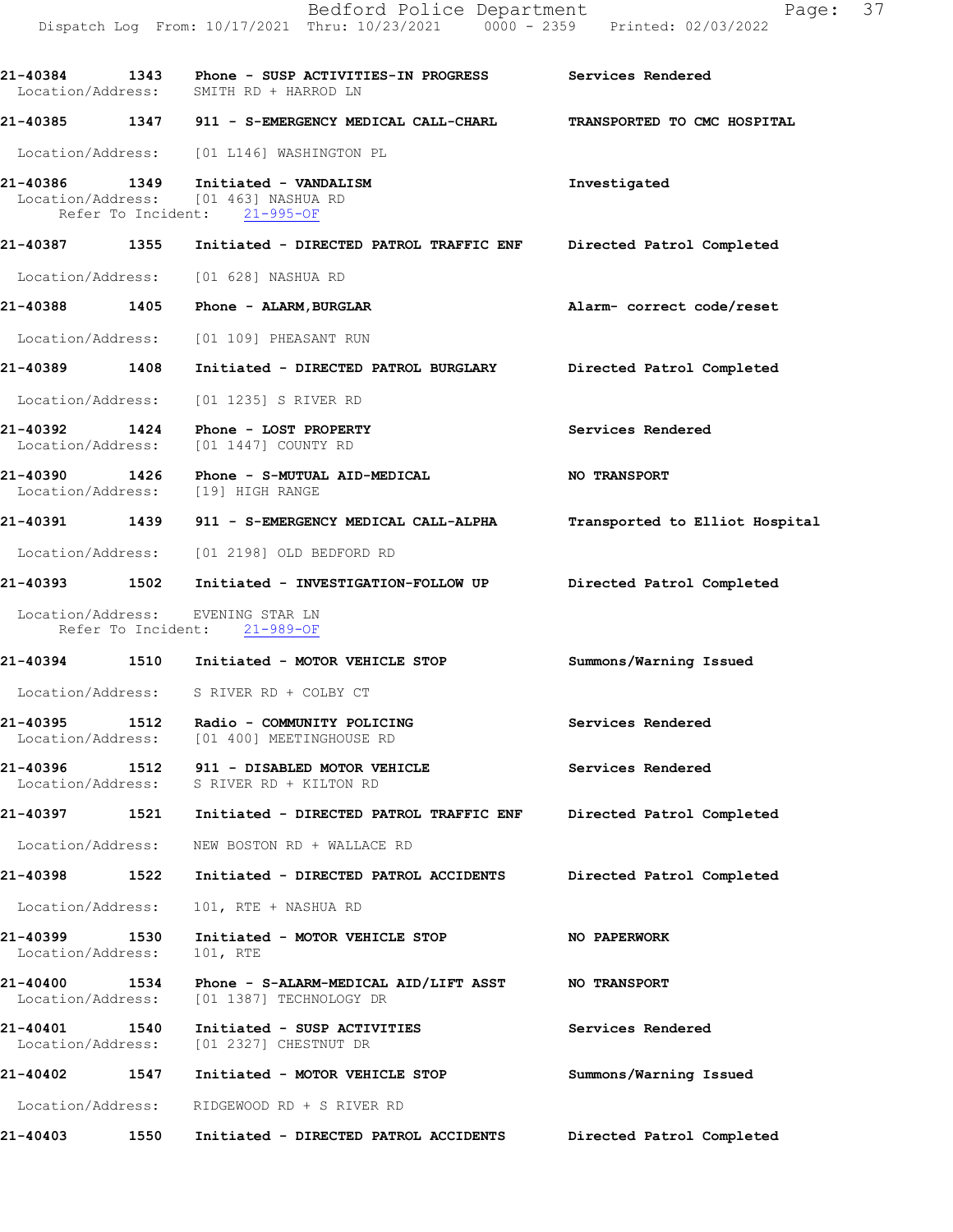21-40384 1343 Phone - SUSPACTIVITIES-INPROGRESS Services Rendered

Location/Address: SMITH RD + HARROD LN

21-40385 1347 911 - S-EMERGENCY MEDICAL CALL-CHARL TRANSPORTED TO CMC HOSPITAL Location/Address: [01 L146] WASHINGTON PL 21-40386 1349 Initiated - VANDALISM 1996 Investigated Investigated Location/Address: [01 463] NASHUA RD Location/Address: [01 463] NASHUA<br>Refer To Incident: 21-995-OF Refer To Incident: 21-40387 1355 Initiated - DIRECTED PATROL TRAFFIC ENF Directed Patrol Completed Location/Address: [01 628] NASHUA RD 21-40388 1405 Phone - ALARM, BURGLAR And Alarm-correctcode/reset Location/Address: [01 109] PHEASANT RUN 21-40389 1408 Initiated - DIRECTED PATROL BURGLARY Directed Patrol Completed Location/Address: [01 1235] S RIVER RD 21-40392 1424 Phone - LOST PROPERTY Services Rendered Location/Address: [01 1447] COUNTY RD [01 1447] COUNTY RD 21-40390 1426 Phone-S-MUTUALAID-MEDICAL NO TRANSPORT Location/Address: [19] HIGH RANGE 21-40391 1439 911 - S-EMERGENCY MEDICAL CALL-ALPHA Transported to Elliot Hospital Location/Address: [01 2198] OLD BEDFORD RD 21-40393 1502 Initiated - INVESTIGATION-FOLLOWUP Directed Patrol Completed Location/Address: EVENING STAR LN Refer To Incident: 21-989-OF 21-40394 1510 Initiated - MOTOR VEHICLE STOP Summons/Warning Issued Location/Address: S RIVER RD + COLBY CT 21-40395 1512 Radio - COMMUNITY POLICING Services Rendered Location/Address: [01 400] MEETINGHOUSE RD 21-40396 1512 911 - DISABLED MOTOR VEHICLE Services Rendered Location/Address: S RIVER RD + KILTON RD 21-40397 1521 Initiated - DIRECTED PATROL TRAFFICENF Directed Patrol Completed Location/Address: NEW BOSTON RD + WALLACE RD 21-40398 1522 Initiated - DIRECTED PATROL ACCIDENTS Directed Patrol Completed Location/Address: 101, RTE + NASHUA RD 21-40399 1530 Initiated - MOTOR VEHICLE STOP NO PAPERWORK<br>Location/Address: 101, RTE Location/Address: 21-40400 1534 Phone - S-ALARM-MEDICAL AID/LIFT ASST NO TRANSPORT<br>Location/Address: [01 1387] TECHNOLOGY DR [01 1387] TECHNOLOGY DR 21-40401 1540 Initiated - SUSPACTIVITIES Services Rendered Location/Address: [01 2327] CHESTNUT DR [01 2327] CHESTNUT DR 21-40402 1547 Initiated - MOTOR VEHICLE STOP Summons/Warning Issued Location/Address: RIDGEWOOD RD + S RIVER RD 21-40403 1550 Initiated - DIRECTED PATROL ACCIDENTS Directed Patrol Completed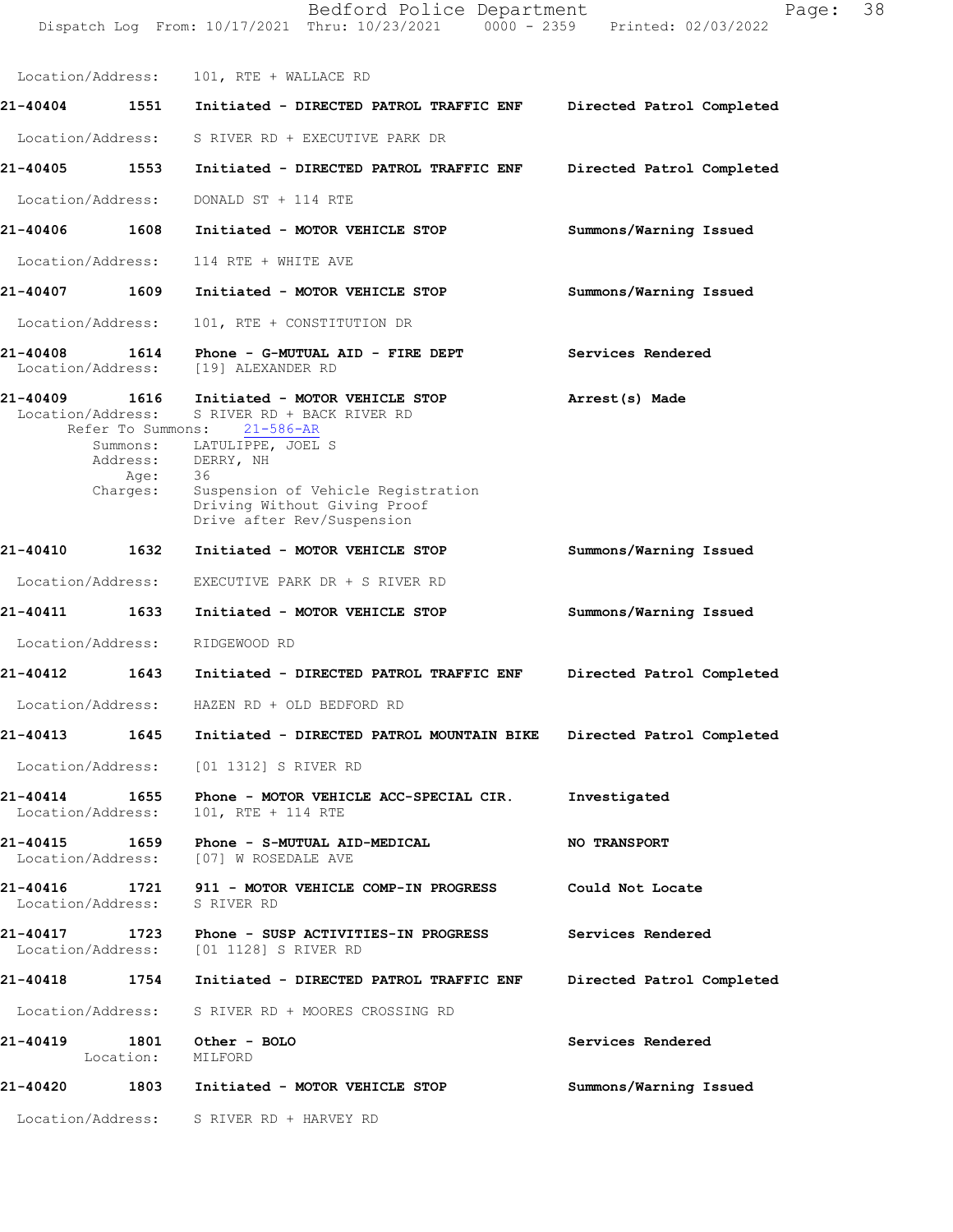Dispatch Log From: 10/17/2021 Thru: 10/23/2021 0000 - 2359 Printed: 02/03/2022 Location/Address: 101, RTE + WALLACE RD 21-40404 1551 Initiated - DIRECTED PATROL TRAFFIC ENF Directed Patrol Completed Location/Address: S RIVER RD + EXECUTIVE PARK DR 21-40405 1553 Initiated - DIRECTED PATROL TRAFFIC ENF Directed Patrol Completed Location/Address: DONALD ST + 114 RTE 21-40406 1608 Initiated - MOTOR VEHICLE STOP Summons/Warning Issued Location/Address: 114 RTE + WHITE AVE 21-40407 1609 Initiated - MOTOR VEHICLE STOP Summons/Warning Issued Location/Address: 101, RTE + CONSTITUTION DR 21-40408 1614 Phone - G-MUTUAL AID - FIRE DEPT Services Rendered Location/Address: [19] ALEXANDER RD 21-40409 1616 Initiated - MOTOR VEHICLE STOP Arrest(s) Made Location/Address: S RIVER RD + BACK RIVER RD<br>Refer To Summons: 21-586-AR Refer To Summons: Summons/Warning Issued Summons/Warning Issued Directed Patrol Completed Directed Patrol Completed Investigated NO TRANSPORT Could Not Locate Services Rendered Directed Patrol Completed Services Rendered Summons/Warning Issued Summons: LATULIPPE, JOEL S<br>Address: DERRY, NH DERRY, NH<br>36 Age:<br>Charges: Suspension of Vehicle Registration Driving Without Giving Proof Drive after Rev/Suspension 21-40410 1632 Initiated - MOTOR VEHICLE STOP Location/Address: EXECUTIVE PARK DR + S RIVER RD 21-40411 1633 Initiated - MOTOR VEHICLE STOP Location/Address: RIDGEWOOD RD 21-40412 1643 Initiated - DIRECTED PATROL TRAFFIC ENF Location/Address: HAZEN RD + OLD BEDFORD RD 21-40413 1645 Initiated - DIRECTED PATROL MOUNTAIN BIKE Location/Address: [01 1312] S RIVER RD 21-40414 1655 Phone - MOTOR VEHICLE ACC-SPECIAL CIR.<br>Location/Address: 101, RTE + 114 RTE Location/Address: 21-40415 1659 Phone - S-MUTUAL AID-MEDICAL<br>Location/Address: [07] W ROSEDALE AVE [07] W ROSEDALE AVE 21-40416 1721 911 - MOTOR VEHICLE COMP-IN PROGRESS<br>Location/Address: S RIVER RD Location/Address: 21-40417 1723 Phone - SUSP ACTIVITIES-IN PROGRESS<br>Location/Address: [01 1128] S RIVER RD [01 1128] S RIVER RD 21-40418 1754 Initiated - DIRECTED PATROL TRAFFIC ENF Location/Address: S RIVER RD + MOORES CROSSING RD 21-40419 1801 Other - BOLO Location: MILFORD 21-40420 1803 Initiated - MOTOR VEHICLE STOP Location/Address: S RIVER RD + HARVEY RD

Bedford Police Department Page: 38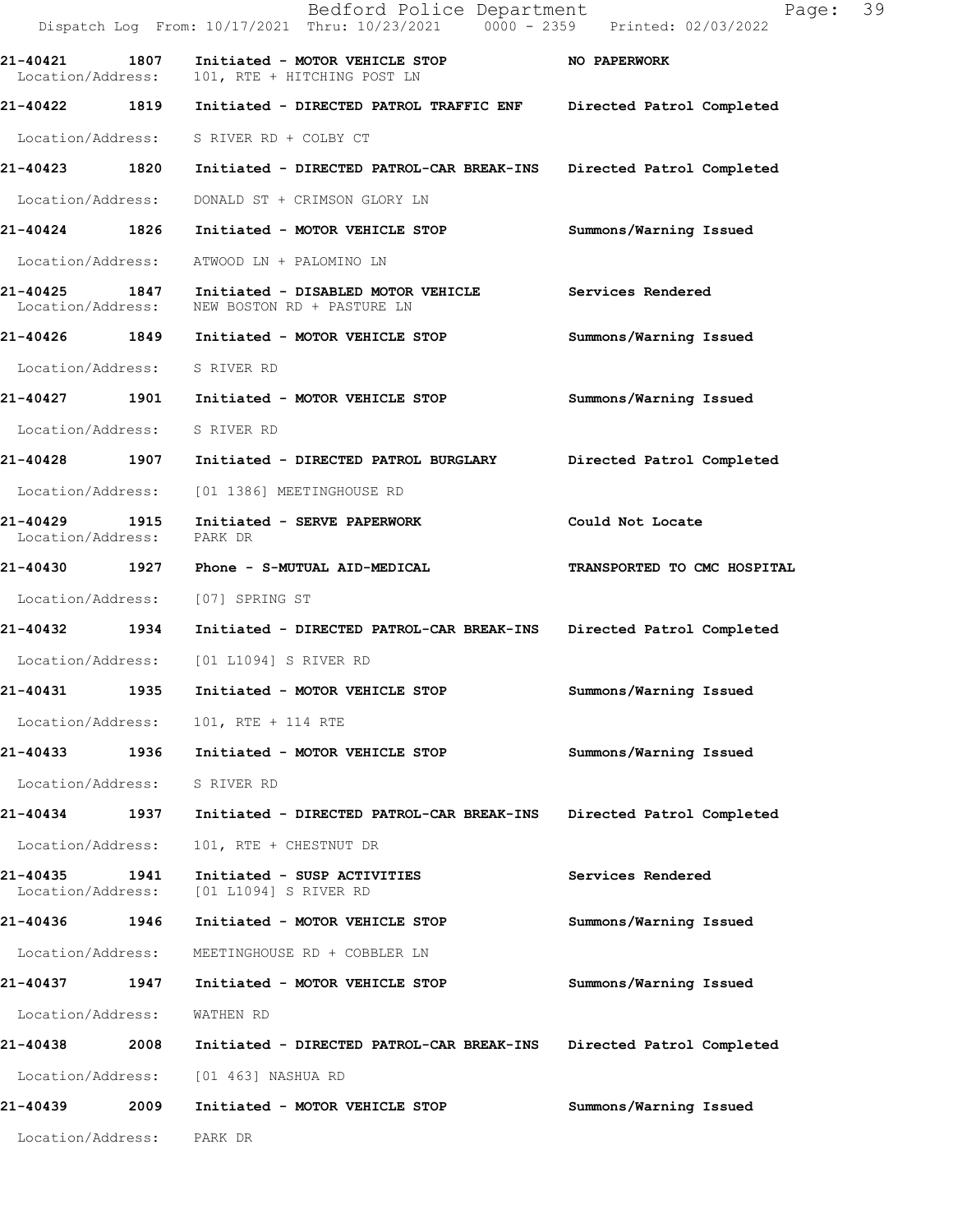|                                       |      | Bedford Police Department<br>Dispatch Log From: 10/17/2021 Thru: 10/23/2021 0000 - 2359 Printed: 02/03/2022 | 39<br>Page:                 |
|---------------------------------------|------|-------------------------------------------------------------------------------------------------------------|-----------------------------|
| 21-40421 1807<br>Location/Address:    |      | Initiated - MOTOR VEHICLE STOP<br>101, RTE + HITCHING POST LN                                               | NO PAPERWORK                |
| 21-40422 1819                         |      | Initiated - DIRECTED PATROL TRAFFIC ENF                                                                     | Directed Patrol Completed   |
|                                       |      | Location/Address: S RIVER RD + COLBY CT                                                                     |                             |
| 21-40423 1820                         |      | Initiated - DIRECTED PATROL-CAR BREAK-INS                                                                   | Directed Patrol Completed   |
| Location/Address:                     |      | DONALD ST + CRIMSON GLORY LN                                                                                |                             |
| 21-40424 1826                         |      | Initiated - MOTOR VEHICLE STOP                                                                              | Summons/Warning Issued      |
| Location/Address:                     |      | ATWOOD LN + PALOMINO LN                                                                                     |                             |
| Location/Address:                     |      | 21-40425 1847 Initiated - DISABLED MOTOR VEHICLE<br>NEW BOSTON RD + PASTURE LN                              | Services Rendered           |
|                                       |      | 21-40426 1849 Initiated - MOTOR VEHICLE STOP                                                                | Summons/Warning Issued      |
| Location/Address: S RIVER RD          |      |                                                                                                             |                             |
|                                       |      | 21-40427 1901 Initiated - MOTOR VEHICLE STOP                                                                | Summons/Warning Issued      |
| Location/Address:                     |      | S RIVER RD                                                                                                  |                             |
| 21-40428 1907                         |      | Initiated - DIRECTED PATROL BURGLARY                                                                        | Directed Patrol Completed   |
| Location/Address:                     |      | [01 1386] MEETINGHOUSE RD                                                                                   |                             |
| 21-40429<br>1915<br>Location/Address: |      | Initiated - SERVE PAPERWORK<br>PARK DR                                                                      | Could Not Locate            |
|                                       |      |                                                                                                             | TRANSPORTED TO CMC HOSPITAL |
| Location/Address:                     |      | [07] SPRING ST                                                                                              |                             |
| 21-40432 1934                         |      | Initiated - DIRECTED PATROL-CAR BREAK-INS                                                                   | Directed Patrol Completed   |
| Location/Address:                     |      | [01 L1094] S RIVER RD                                                                                       |                             |
| 21-40431                              | 1935 | Initiated - MOTOR VEHICLE STOP                                                                              | Summons/Warning Issued      |
| Location/Address:                     |      | 101, RTE + 114 RTE                                                                                          |                             |
| 21-40433                              | 1936 | Initiated - MOTOR VEHICLE STOP                                                                              | Summons/Warning Issued      |
| Location/Address:                     |      | S RIVER RD                                                                                                  |                             |
| 21-40434                              | 1937 | Initiated - DIRECTED PATROL-CAR BREAK-INS                                                                   | Directed Patrol Completed   |
| Location/Address:                     |      | 101, RTE + CHESTNUT DR                                                                                      |                             |
| 21-40435<br>Location/Address:         | 1941 | Initiated - SUSP ACTIVITIES<br>[01 L1094] S RIVER RD                                                        | Services Rendered           |
| 21-40436                              | 1946 | Initiated - MOTOR VEHICLE STOP                                                                              | Summons/Warning Issued      |
| Location/Address:                     |      | MEETINGHOUSE RD + COBBLER LN                                                                                |                             |
| 21-40437                              | 1947 | Initiated - MOTOR VEHICLE STOP                                                                              | Summons/Warning Issued      |
| Location/Address:                     |      | WATHEN RD                                                                                                   |                             |
| 21-40438                              | 2008 | Initiated - DIRECTED PATROL-CAR BREAK-INS                                                                   | Directed Patrol Completed   |
| Location/Address:                     |      | [01 463] NASHUA RD                                                                                          |                             |
| 21-40439                              | 2009 | Initiated - MOTOR VEHICLE STOP                                                                              | Summons/Warning Issued      |
| Location/Address:                     |      | PARK DR                                                                                                     |                             |
|                                       |      |                                                                                                             |                             |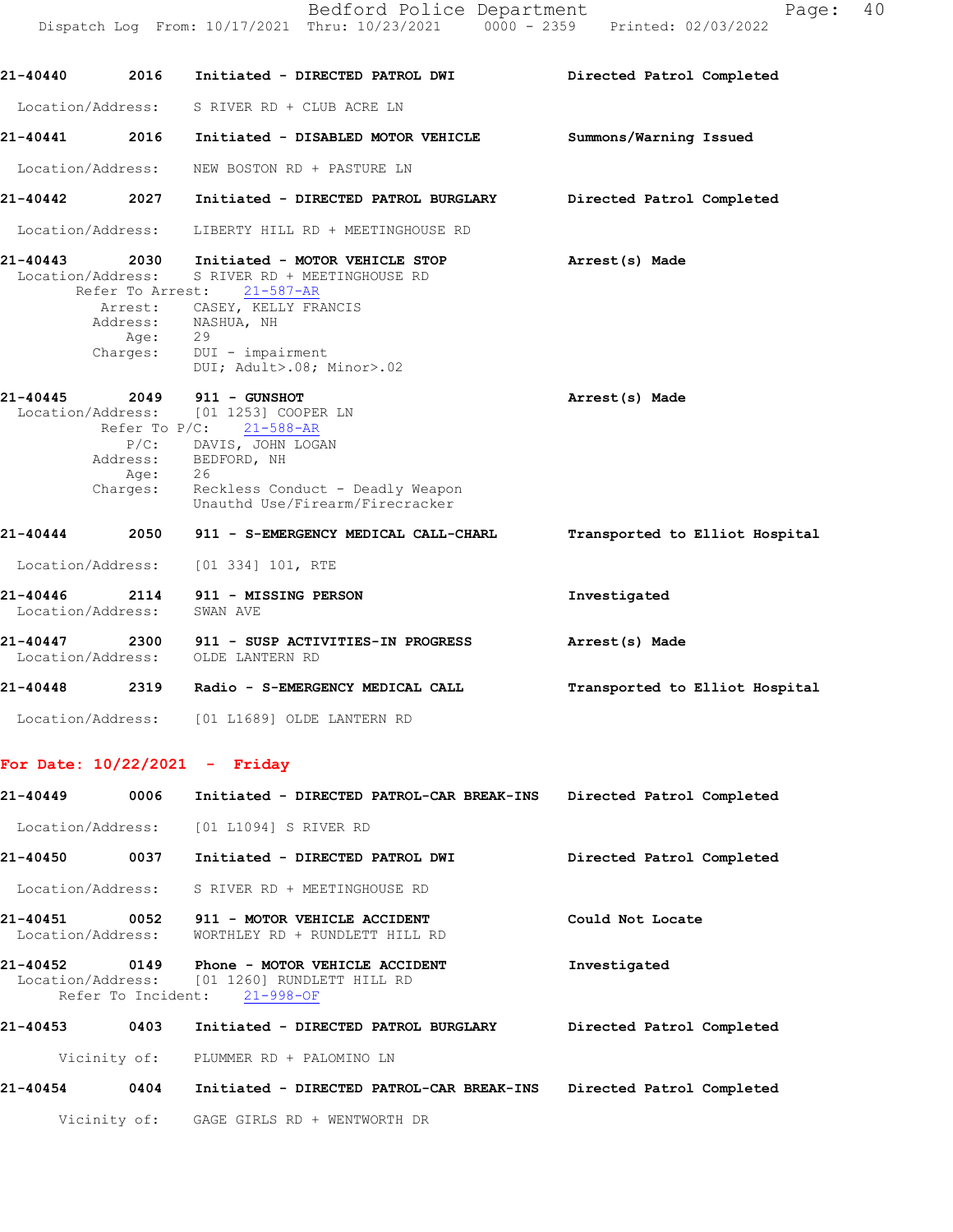|                               |                          | Bedford Police Department<br>Dispatch Log From: 10/17/2021 Thru: 10/23/2021 0000 - 2359 Printed: 02/03/2022                                                                                                              | 40<br>Page:                    |
|-------------------------------|--------------------------|--------------------------------------------------------------------------------------------------------------------------------------------------------------------------------------------------------------------------|--------------------------------|
| 21-40440                      | 2016                     | Initiated - DIRECTED PATROL DWI                                                                                                                                                                                          | Directed Patrol Completed      |
| Location/Address:             |                          | S RIVER RD + CLUB ACRE LN                                                                                                                                                                                                |                                |
| 21-40441                      | 2016                     | Initiated - DISABLED MOTOR VEHICLE                                                                                                                                                                                       | Summons/Warning Issued         |
| Location/Address:             |                          | NEW BOSTON RD + PASTURE LN                                                                                                                                                                                               |                                |
| 21-40442                      | 2027                     | Initiated - DIRECTED PATROL BURGLARY                                                                                                                                                                                     | Directed Patrol Completed      |
| Location/Address:             |                          | LIBERTY HILL RD + MEETINGHOUSE RD                                                                                                                                                                                        |                                |
| Location/Address:             | Age:<br>Charges:         | 21-40443 2030 Initiated - MOTOR VEHICLE STOP<br>S RIVER RD + MEETINGHOUSE RD<br>Refer To Arrest: 21-587-AR<br>Arrest: CASEY, KELLY FRANCIS<br>Address: NASHUA, NH<br>29<br>DUI - impairment<br>DUI; Adult>.08; Minor>.02 | Arrest(s) Made                 |
| 21-40445                      | 2049<br>Age:<br>Charges: | 911 - GUNSHOT<br>Location/Address: [01 1253] COOPER LN<br>Refer To $P/C$ : 21-588-AR<br>P/C: DAVIS, JOHN LOGAN<br>Address: BEDFORD, NH<br>26<br>Reckless Conduct - Deadly Weapon<br>Unauthd Use/Firearm/Firecracker      | Arrest(s) Made                 |
| 21-40444                      | 2050                     | 911 - S-EMERGENCY MEDICAL CALL-CHARL                                                                                                                                                                                     | Transported to Elliot Hospital |
| Location/Address:             |                          | [01 334] 101, RTE                                                                                                                                                                                                        |                                |
| 21-40446<br>Location/Address: | 2114                     | 911 - MISSING PERSON<br>SWAN AVE                                                                                                                                                                                         | Investigated                   |
| 21-40447<br>Location/Address: | 2300                     | 911 - SUSP ACTIVITIES-IN PROGRESS<br>OLDE LANTERN RD                                                                                                                                                                     | Arrest(s) Made                 |
| 21-40448                      | 2319                     | Radio - S-EMERGENCY MEDICAL CALL                                                                                                                                                                                         | Transported to Elliot Hospital |
| Location/Address:             |                          | [01 L1689] OLDE LANTERN RD                                                                                                                                                                                               |                                |

## For Date: 10/22/2021 - Friday

| 21-40449 | 0006               | Initiated - DIRECTED PATROL-CAR BREAK-INS                                             | Directed Patrol Completed |
|----------|--------------------|---------------------------------------------------------------------------------------|---------------------------|
|          |                    | Location/Address: [01 L1094] S RIVER RD                                               |                           |
| 21-40450 |                    | 0037 Initiated - DIRECTED PATROL DWI                                                  | Directed Patrol Completed |
|          |                    | Location/Address: S RIVER RD + MEETINGHOUSE RD                                        |                           |
| 21-40451 |                    | 0052 911 - MOTOR VEHICLE ACCIDENT<br>Location/Address: WORTHLEY RD + RUNDLETT HILL RD | Could Not Locate          |
|          | Refer To Incident: | Location/Address: [01 1260] RUNDLETT HILL RD<br>$21 - 998 - OF$                       | Investigated              |
| 21-40453 | 0403               | Initiated - DIRECTED PATROL BURGLARY                                                  | Directed Patrol Completed |
|          |                    | Vicinity of: PLUMMER RD + PALOMINO LN                                                 |                           |
| 21-40454 | 0404               | Initiated - DIRECTED PATROL-CAR BREAK-INS Directed Patrol Completed                   |                           |
|          |                    | Vicinity of: GAGE GIRLS RD + WENTWORTH DR                                             |                           |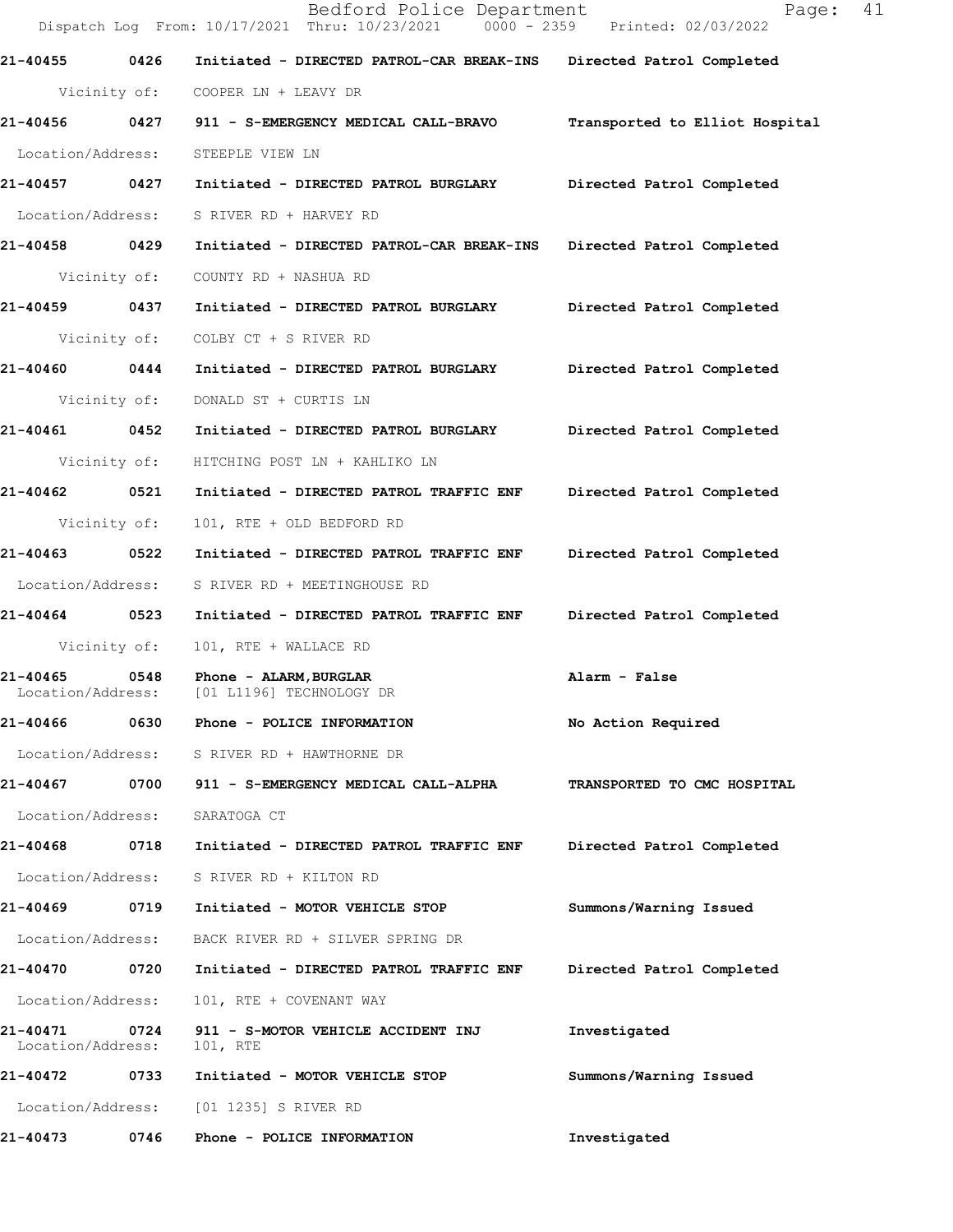|                               |              | Bedford Police Department<br>Dispatch Log From: 10/17/2021 Thru: 10/23/2021 0000 - 2359 Printed: 02/03/2022 | Page: 41                       |
|-------------------------------|--------------|-------------------------------------------------------------------------------------------------------------|--------------------------------|
| 21-40455 0426                 |              | Initiated - DIRECTED PATROL-CAR BREAK-INS Directed Patrol Completed                                         |                                |
|                               |              | Vicinity of: COOPER LN + LEAVY DR                                                                           |                                |
| 21-40456 0427                 |              | 911 - S-EMERGENCY MEDICAL CALL-BRAVO                                                                        | Transported to Elliot Hospital |
| Location/Address:             |              | STEEPLE VIEW LN                                                                                             |                                |
| 21-40457 0427                 |              | Initiated - DIRECTED PATROL BURGLARY Directed Patrol Completed                                              |                                |
| Location/Address:             |              | S RIVER RD + HARVEY RD                                                                                      |                                |
| 21-40458 0429                 |              | Initiated - DIRECTED PATROL-CAR BREAK-INS Directed Patrol Completed                                         |                                |
| Vicinity of:                  |              | COUNTY RD + NASHUA RD                                                                                       |                                |
| 21-40459 0437                 |              | Initiated - DIRECTED PATROL BURGLARY Directed Patrol Completed                                              |                                |
| Vicinity of:                  |              | COLBY CT + S RIVER RD                                                                                       |                                |
| 21-40460 0444                 |              | Initiated - DIRECTED PATROL BURGLARY                                                                        | Directed Patrol Completed      |
|                               | Vicinity of: | DONALD ST + CURTIS LN                                                                                       |                                |
| 21-40461 0452                 |              | Initiated - DIRECTED PATROL BURGLARY                                                                        | Directed Patrol Completed      |
| Vicinity of:                  |              | HITCHING POST LN + KAHLIKO LN                                                                               |                                |
| 21-40462 0521                 |              | Initiated - DIRECTED PATROL TRAFFIC ENF Directed Patrol Completed                                           |                                |
| Vicinity of:                  |              | 101, RTE + OLD BEDFORD RD                                                                                   |                                |
| 21-40463 0522                 |              | Initiated - DIRECTED PATROL TRAFFIC ENF                                                                     | Directed Patrol Completed      |
| Location/Address:             |              | S RIVER RD + MEETINGHOUSE RD                                                                                |                                |
| 21-40464 0523                 |              | Initiated - DIRECTED PATROL TRAFFIC ENF                                                                     | Directed Patrol Completed      |
| Vicinity of:                  |              | 101, RTE + WALLACE RD                                                                                       |                                |
| Location/Address:             |              | 21-40465 0548 Phone - ALARM, BURGLAR<br>[01 L1196] TECHNOLOGY DR                                            | Alarm - False                  |
| 21-40466                      | 0630         | Phone - POLICE INFORMATION                                                                                  | No Action Required             |
|                               |              | Location/Address: S RIVER RD + HAWTHORNE DR                                                                 |                                |
| 21-40467                      | 0700         | 911 - S-EMERGENCY MEDICAL CALL-ALPHA                                                                        | TRANSPORTED TO CMC HOSPITAL    |
| Location/Address:             |              | SARATOGA CT                                                                                                 |                                |
| 21-40468                      | 0718         | Initiated - DIRECTED PATROL TRAFFIC ENF                                                                     | Directed Patrol Completed      |
| Location/Address:             |              | S RIVER RD + KILTON RD                                                                                      |                                |
| 21-40469                      | 0719         | Initiated - MOTOR VEHICLE STOP                                                                              | Summons/Warning Issued         |
| Location/Address:             |              | BACK RIVER RD + SILVER SPRING DR                                                                            |                                |
| 21-40470 0720                 |              | Initiated - DIRECTED PATROL TRAFFIC ENF                                                                     | Directed Patrol Completed      |
| Location/Address:             |              | 101, RTE + COVENANT WAY                                                                                     |                                |
| 21-40471<br>Location/Address: | 0724         | 911 - S-MOTOR VEHICLE ACCIDENT INJ<br>101, RTE                                                              | Investigated                   |
| 21-40472                      | 0733         | Initiated - MOTOR VEHICLE STOP                                                                              | Summons/Warning Issued         |
| Location/Address:             |              | [01 1235] S RIVER RD                                                                                        |                                |
| 21-40473                      | 0746         | Phone - POLICE INFORMATION                                                                                  | Investigated                   |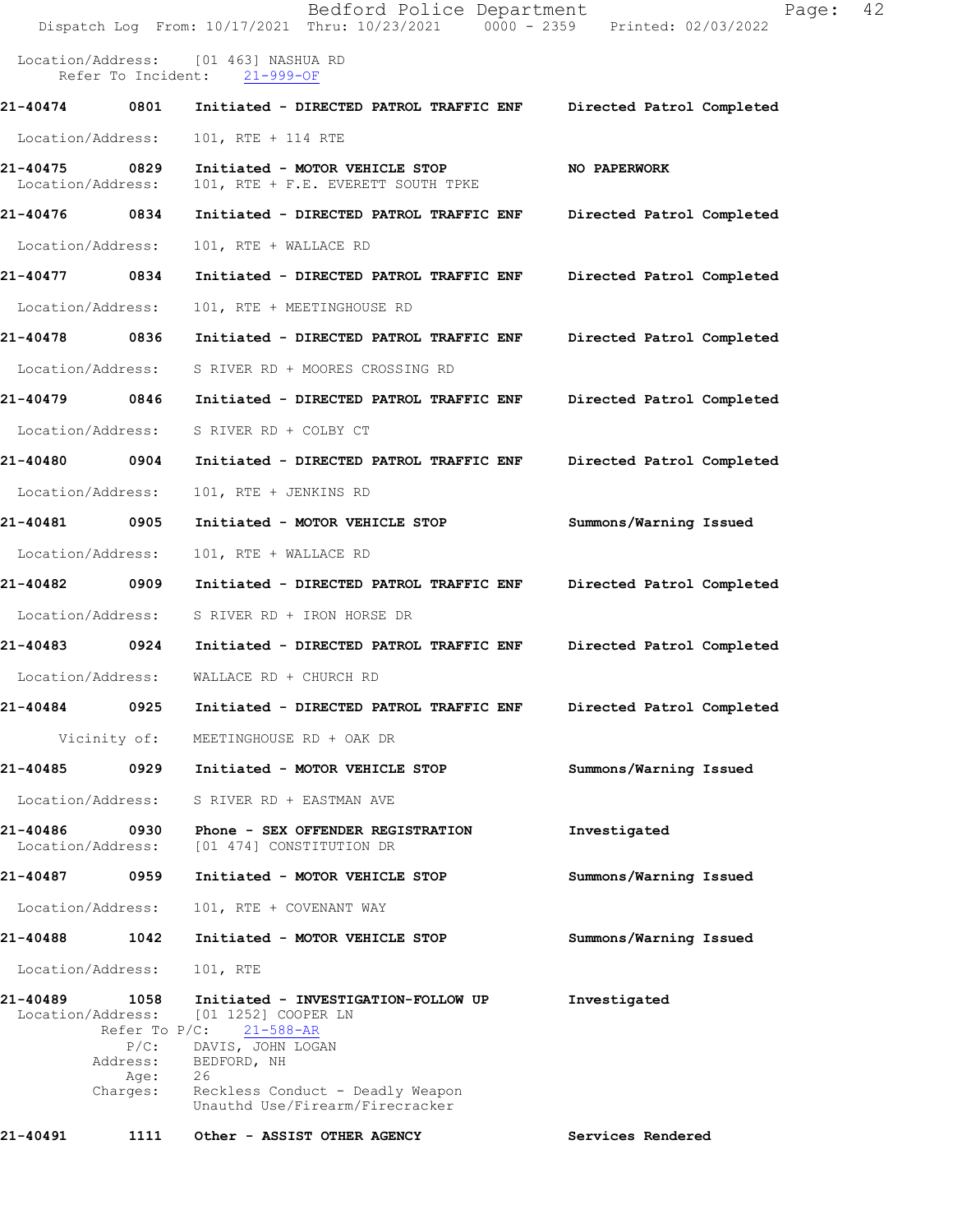|                               |                                                                                          | Bedford Police Department<br>Dispatch Log From: 10/17/2021 Thru: 10/23/2021 0000 - 2359 Printed: 02/03/2022                                                                                    | Page:                     | 42 |
|-------------------------------|------------------------------------------------------------------------------------------|------------------------------------------------------------------------------------------------------------------------------------------------------------------------------------------------|---------------------------|----|
| Location/Address:             | Refer To Incident:                                                                       | [01 463] NASHUA RD<br>$21 - 999 - OF$                                                                                                                                                          |                           |    |
| 21-40474                      | 0801                                                                                     | Initiated - DIRECTED PATROL TRAFFIC ENF                                                                                                                                                        | Directed Patrol Completed |    |
| Location/Address:             |                                                                                          | 101, RTE + 114 RTE                                                                                                                                                                             |                           |    |
| 21-40475<br>Location/Address: | 0829                                                                                     | Initiated - MOTOR VEHICLE STOP<br>101, RTE + F.E. EVERETT SOUTH TPKE                                                                                                                           | NO PAPERWORK              |    |
| 21-40476                      | 0834                                                                                     | Initiated - DIRECTED PATROL TRAFFIC ENF                                                                                                                                                        | Directed Patrol Completed |    |
| Location/Address:             |                                                                                          | 101, RTE + WALLACE RD                                                                                                                                                                          |                           |    |
| 21-40477                      | 0834                                                                                     | Initiated - DIRECTED PATROL TRAFFIC ENF                                                                                                                                                        | Directed Patrol Completed |    |
| Location/Address:             |                                                                                          | 101, RTE + MEETINGHOUSE RD                                                                                                                                                                     |                           |    |
| 21-40478                      | 0836                                                                                     | Initiated - DIRECTED PATROL TRAFFIC ENF                                                                                                                                                        | Directed Patrol Completed |    |
| Location/Address:             |                                                                                          | S RIVER RD + MOORES CROSSING RD                                                                                                                                                                |                           |    |
| 21-40479                      | 0846                                                                                     | Initiated - DIRECTED PATROL TRAFFIC ENF                                                                                                                                                        | Directed Patrol Completed |    |
| Location/Address:             |                                                                                          | S RIVER RD + COLBY CT                                                                                                                                                                          |                           |    |
| 21-40480                      | 0904                                                                                     | Initiated - DIRECTED PATROL TRAFFIC ENF                                                                                                                                                        | Directed Patrol Completed |    |
| Location/Address:             |                                                                                          | 101, RTE + JENKINS RD                                                                                                                                                                          |                           |    |
| 21-40481                      | 0905                                                                                     | Initiated - MOTOR VEHICLE STOP                                                                                                                                                                 | Summons/Warning Issued    |    |
| Location/Address:             |                                                                                          | 101, RTE + WALLACE RD                                                                                                                                                                          |                           |    |
| 21-40482                      | 0909                                                                                     | Initiated - DIRECTED PATROL TRAFFIC ENF                                                                                                                                                        | Directed Patrol Completed |    |
| Location/Address:             |                                                                                          | S RIVER RD + IRON HORSE DR                                                                                                                                                                     |                           |    |
| 21-40483                      | 0924                                                                                     | Initiated - DIRECTED PATROL TRAFFIC ENF                                                                                                                                                        | Directed Patrol Completed |    |
| Location/Address:             |                                                                                          | WALLACE RD + CHURCH RD                                                                                                                                                                         |                           |    |
| 21-40484                      | 0925                                                                                     | Initiated - DIRECTED PATROL TRAFFIC ENF                                                                                                                                                        | Directed Patrol Completed |    |
|                               | Vicinity of:                                                                             | MEETINGHOUSE RD + OAK DR                                                                                                                                                                       |                           |    |
| 21-40485                      | 0929                                                                                     | Initiated - MOTOR VEHICLE STOP                                                                                                                                                                 | Summons/Warning Issued    |    |
| Location/Address:             |                                                                                          | S RIVER RD + EASTMAN AVE                                                                                                                                                                       |                           |    |
| 21-40486<br>Location/Address: | 0930                                                                                     | Phone - SEX OFFENDER REGISTRATION<br>[01 474] CONSTITUTION DR                                                                                                                                  | Investigated              |    |
| 21-40487                      | 0959                                                                                     | Initiated - MOTOR VEHICLE STOP                                                                                                                                                                 | Summons/Warning Issued    |    |
| Location/Address:             |                                                                                          | 101, RTE + COVENANT WAY                                                                                                                                                                        |                           |    |
| 21-40488                      | 1042                                                                                     | Initiated - MOTOR VEHICLE STOP                                                                                                                                                                 | Summons/Warning Issued    |    |
| Location/Address:             |                                                                                          | 101, RTE                                                                                                                                                                                       |                           |    |
| 21-40489                      | 1058<br>Location/Address:<br>Refer To $P/C$ :<br>$P/C$ :<br>Address:<br>Age:<br>Charges: | Initiated - INVESTIGATION-FOLLOW UP<br>[01 1252] COOPER LN<br>$21 - 588 - AR$<br>DAVIS, JOHN LOGAN<br>BEDFORD, NH<br>26<br>Reckless Conduct - Deadly Weapon<br>Unauthd Use/Firearm/Firecracker | Investigated              |    |
| 21-40491                      | 1111                                                                                     | Other - ASSIST OTHER AGENCY                                                                                                                                                                    | Services Rendered         |    |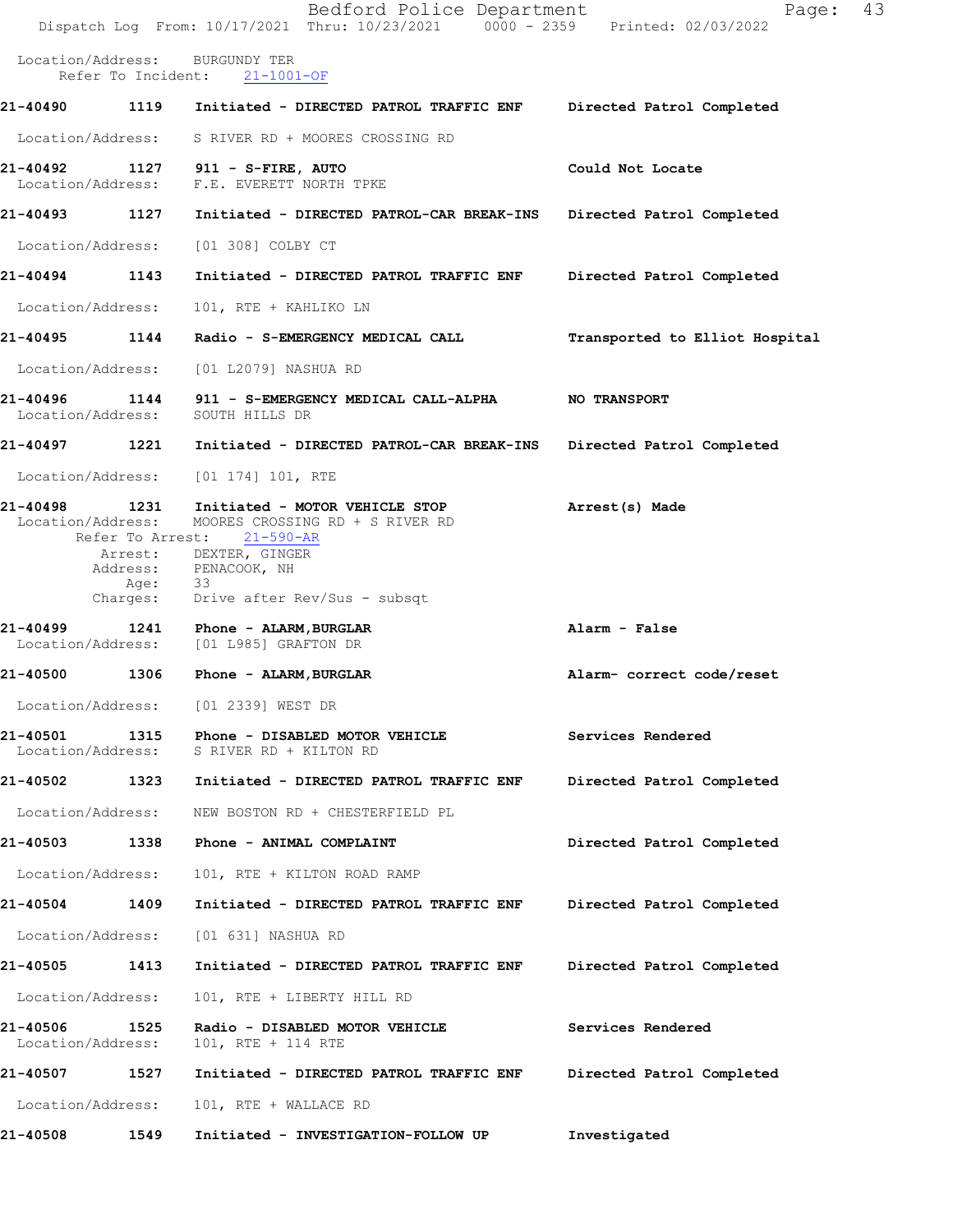|                               |                          | Bedford Police Department<br>Dispatch Log From: 10/17/2021 Thru: 10/23/2021 0000 - 2359 Printed: 02/03/2022 | Page:                          | 43 |
|-------------------------------|--------------------------|-------------------------------------------------------------------------------------------------------------|--------------------------------|----|
| Location/Address:             | Refer To Incident:       | <b>BURGUNDY TER</b><br>$21 - 1001 - OF$                                                                     |                                |    |
| 21-40490                      |                          | 1119 Initiated - DIRECTED PATROL TRAFFIC ENF                                                                | Directed Patrol Completed      |    |
|                               |                          | Location/Address: S RIVER RD + MOORES CROSSING RD                                                           |                                |    |
| 21-40492<br>Location/Address: | 1127                     | 911 - S-FIRE, AUTO<br>F.E. EVERETT NORTH TPKE                                                               | Could Not Locate               |    |
| 21-40493 1127                 |                          | Initiated - DIRECTED PATROL-CAR BREAK-INS                                                                   | Directed Patrol Completed      |    |
| Location/Address:             |                          | [01 308] COLBY CT                                                                                           |                                |    |
| 21-40494                      | 1143                     | Initiated - DIRECTED PATROL TRAFFIC ENF                                                                     | Directed Patrol Completed      |    |
| Location/Address:             |                          | 101, RTE + KAHLIKO LN                                                                                       |                                |    |
| 21-40495                      | 1144                     | Radio - S-EMERGENCY MEDICAL CALL                                                                            | Transported to Elliot Hospital |    |
| Location/Address:             |                          | [01 L2079] NASHUA RD                                                                                        |                                |    |
| Location/Address:             |                          | 21-40496 1144 911 - S-EMERGENCY MEDICAL CALL-ALPHA<br>SOUTH HILLS DR                                        | <b>NO TRANSPORT</b>            |    |
| 21-40497                      | 1221                     | Initiated - DIRECTED PATROL-CAR BREAK-INS                                                                   | Directed Patrol Completed      |    |
| Location/Address:             |                          | [01 174] 101, RTE                                                                                           |                                |    |
| 21-40498<br>Location/Address: | 1231<br>Refer To Arrest: | Initiated - MOTOR VEHICLE STOP<br>MOORES CROSSING RD + S RIVER RD<br>$21 - 590 - AR$                        | Arrest(s) Made                 |    |
|                               |                          | Arrest: DEXTER, GINGER<br>Address: PENACOOK, NH                                                             |                                |    |
|                               | Age: 33<br>Charges:      | Drive after Rev/Sus - subsqt                                                                                |                                |    |
| 21-40499<br>Location/Address: |                          | 1241 Phone - ALARM, BURGLAR<br>[01 L985] GRAFTON DR                                                         | Alarm - False                  |    |
| 21-40500                      | 1306                     | Phone - ALARM, BURGLAR                                                                                      | Alarm- correct code/reset      |    |
| Location/Address:             |                          | [01 2339] WEST DR                                                                                           |                                |    |
| 21-40501<br>Location/Address: | 1315                     | Phone - DISABLED MOTOR VEHICLE<br>S RIVER RD + KILTON RD                                                    | Services Rendered              |    |
| 21-40502 1323                 |                          | Initiated - DIRECTED PATROL TRAFFIC ENF                                                                     | Directed Patrol Completed      |    |
| Location/Address:             |                          | NEW BOSTON RD + CHESTERFIELD PL                                                                             |                                |    |
| 21-40503 1338                 |                          | Phone - ANIMAL COMPLAINT                                                                                    | Directed Patrol Completed      |    |
| Location/Address:             |                          | 101, RTE + KILTON ROAD RAMP                                                                                 |                                |    |
| 21-40504                      | 1409                     | Initiated - DIRECTED PATROL TRAFFIC ENF                                                                     | Directed Patrol Completed      |    |
| Location/Address:             |                          | [01 631] NASHUA RD                                                                                          |                                |    |
| 21-40505                      | 1413                     | Initiated - DIRECTED PATROL TRAFFIC ENF                                                                     | Directed Patrol Completed      |    |
| Location/Address:             |                          | 101, RTE + LIBERTY HILL RD                                                                                  |                                |    |
| 21-40506<br>Location/Address: | 1525                     | Radio - DISABLED MOTOR VEHICLE<br>101, RTE + 114 RTE                                                        | Services Rendered              |    |
| 21-40507                      | 1527                     | Initiated - DIRECTED PATROL TRAFFIC ENF                                                                     | Directed Patrol Completed      |    |
| Location/Address:             |                          | 101, RTE + WALLACE RD                                                                                       |                                |    |
| 21-40508                      | 1549                     | Initiated - INVESTIGATION-FOLLOW UP                                                                         | Investigated                   |    |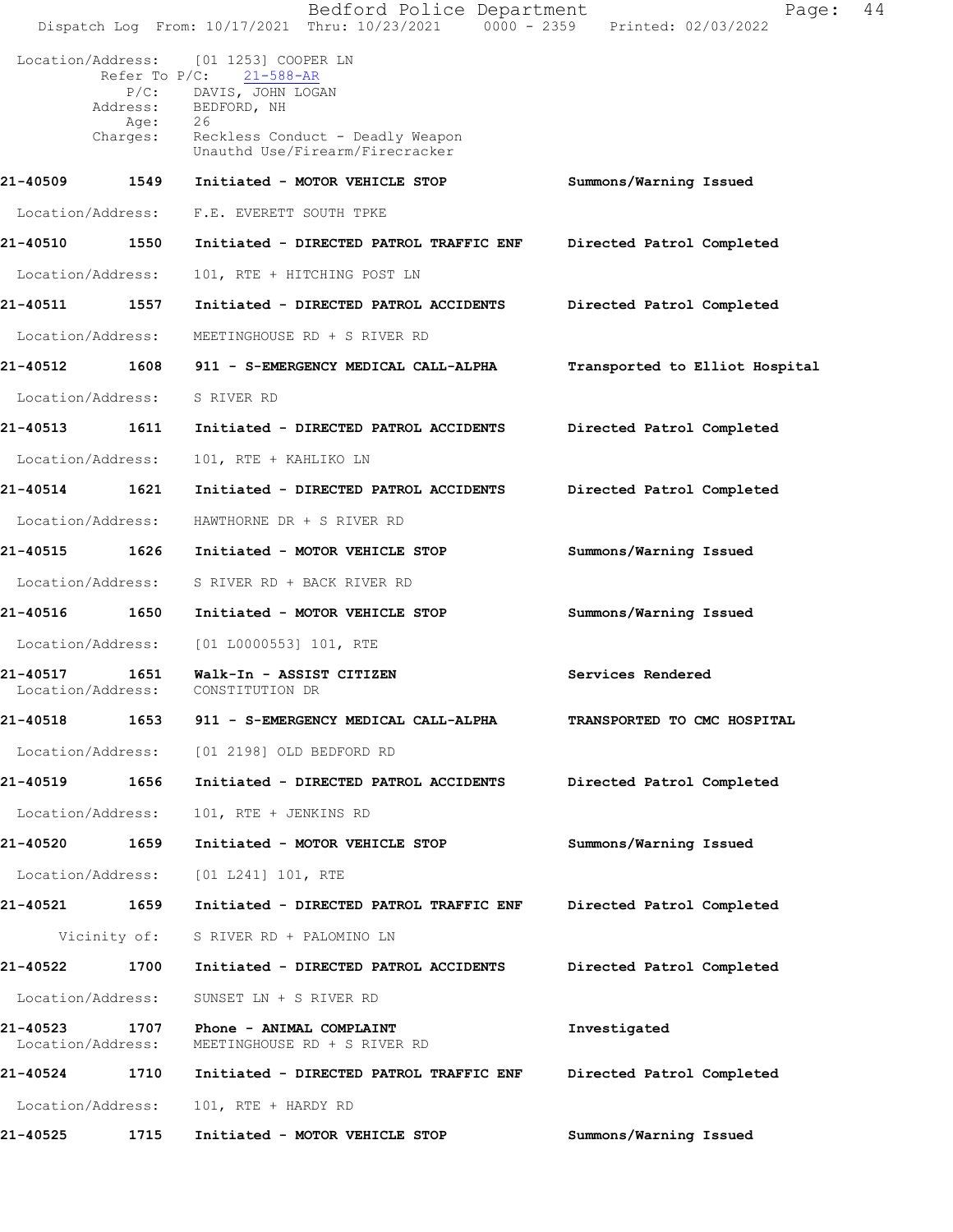|                               |                   | Bedford Police Department<br>Dispatch Log From: 10/17/2021 Thru: 10/23/2021 0000 - 2359 Printed: 02/03/2022                                                                                        | Page:                          | 44 |
|-------------------------------|-------------------|----------------------------------------------------------------------------------------------------------------------------------------------------------------------------------------------------|--------------------------------|----|
|                               | Age:<br>Charges:  | Location/Address: [01 1253] COOPER LN<br>Refer To $P/C$ : 21-588-AR<br>P/C: DAVIS, JOHN LOGAN<br>Address: BEDFORD, NH<br>26<br>Reckless Conduct - Deadly Weapon<br>Unauthd Use/Firearm/Firecracker |                                |    |
| 21-40509                      | 1549              | Initiated - MOTOR VEHICLE STOP                                                                                                                                                                     | Summons/Warning Issued         |    |
|                               | Location/Address: | F.E. EVERETT SOUTH TPKE                                                                                                                                                                            |                                |    |
| 21-40510                      | 1550              | Initiated - DIRECTED PATROL TRAFFIC ENF                                                                                                                                                            | Directed Patrol Completed      |    |
| Location/Address:             |                   | 101, RTE + HITCHING POST LN                                                                                                                                                                        |                                |    |
| 21-40511                      | 1557              | Initiated - DIRECTED PATROL ACCIDENTS                                                                                                                                                              | Directed Patrol Completed      |    |
| Location/Address:             |                   | MEETINGHOUSE RD + S RIVER RD                                                                                                                                                                       |                                |    |
| 21-40512 1608                 |                   | 911 - S-EMERGENCY MEDICAL CALL-ALPHA                                                                                                                                                               | Transported to Elliot Hospital |    |
| Location/Address:             |                   | S RIVER RD                                                                                                                                                                                         |                                |    |
| 21-40513                      | 1611              | Initiated - DIRECTED PATROL ACCIDENTS                                                                                                                                                              | Directed Patrol Completed      |    |
| Location/Address:             |                   | 101, RTE + KAHLIKO LN                                                                                                                                                                              |                                |    |
| 21-40514                      | 1621              | Initiated - DIRECTED PATROL ACCIDENTS                                                                                                                                                              | Directed Patrol Completed      |    |
| Location/Address:             |                   | HAWTHORNE DR + S RIVER RD                                                                                                                                                                          |                                |    |
| 21-40515 1626                 |                   | Initiated - MOTOR VEHICLE STOP                                                                                                                                                                     | Summons/Warning Issued         |    |
|                               | Location/Address: | S RIVER RD + BACK RIVER RD                                                                                                                                                                         |                                |    |
| 21-40516                      | 1650              | Initiated - MOTOR VEHICLE STOP                                                                                                                                                                     | Summons/Warning Issued         |    |
| Location/Address:             |                   | [01 L0000553] 101, RTE                                                                                                                                                                             |                                |    |
| 21-40517 1651                 | Location/Address: | Walk-In - ASSIST CITIZEN<br>CONSTITUTION DR                                                                                                                                                        | Services Rendered              |    |
| 21-40518                      | 1653              | 911 - S-EMERGENCY MEDICAL CALL-ALPHA                                                                                                                                                               | TRANSPORTED TO CMC HOSPITAL    |    |
|                               | Location/Address: | [01 2198] OLD BEDFORD RD                                                                                                                                                                           |                                |    |
| 21-40519                      | 1656              | Initiated - DIRECTED PATROL ACCIDENTS                                                                                                                                                              | Directed Patrol Completed      |    |
| Location/Address:             |                   | 101, RTE + JENKINS RD                                                                                                                                                                              |                                |    |
| 21-40520 1659                 |                   | Initiated - MOTOR VEHICLE STOP                                                                                                                                                                     | Summons/Warning Issued         |    |
|                               | Location/Address: | [01 L241] 101, RTE                                                                                                                                                                                 |                                |    |
| 21-40521                      | 1659              | Initiated - DIRECTED PATROL TRAFFIC ENF                                                                                                                                                            | Directed Patrol Completed      |    |
|                               | Vicinity of:      | S RIVER RD + PALOMINO LN                                                                                                                                                                           |                                |    |
| 21-40522                      | 1700              | Initiated - DIRECTED PATROL ACCIDENTS                                                                                                                                                              | Directed Patrol Completed      |    |
| Location/Address:             |                   | SUNSET LN + S RIVER RD                                                                                                                                                                             |                                |    |
| 21-40523<br>Location/Address: | 1707              | Phone - ANIMAL COMPLAINT<br>MEETINGHOUSE RD + S RIVER RD                                                                                                                                           | Investigated                   |    |
| 21-40524                      | 1710              | Initiated - DIRECTED PATROL TRAFFIC ENF                                                                                                                                                            | Directed Patrol Completed      |    |
|                               | Location/Address: | 101, RTE + HARDY RD                                                                                                                                                                                |                                |    |
| 21-40525                      | 1715              | Initiated - MOTOR VEHICLE STOP                                                                                                                                                                     | Summons/Warning Issued         |    |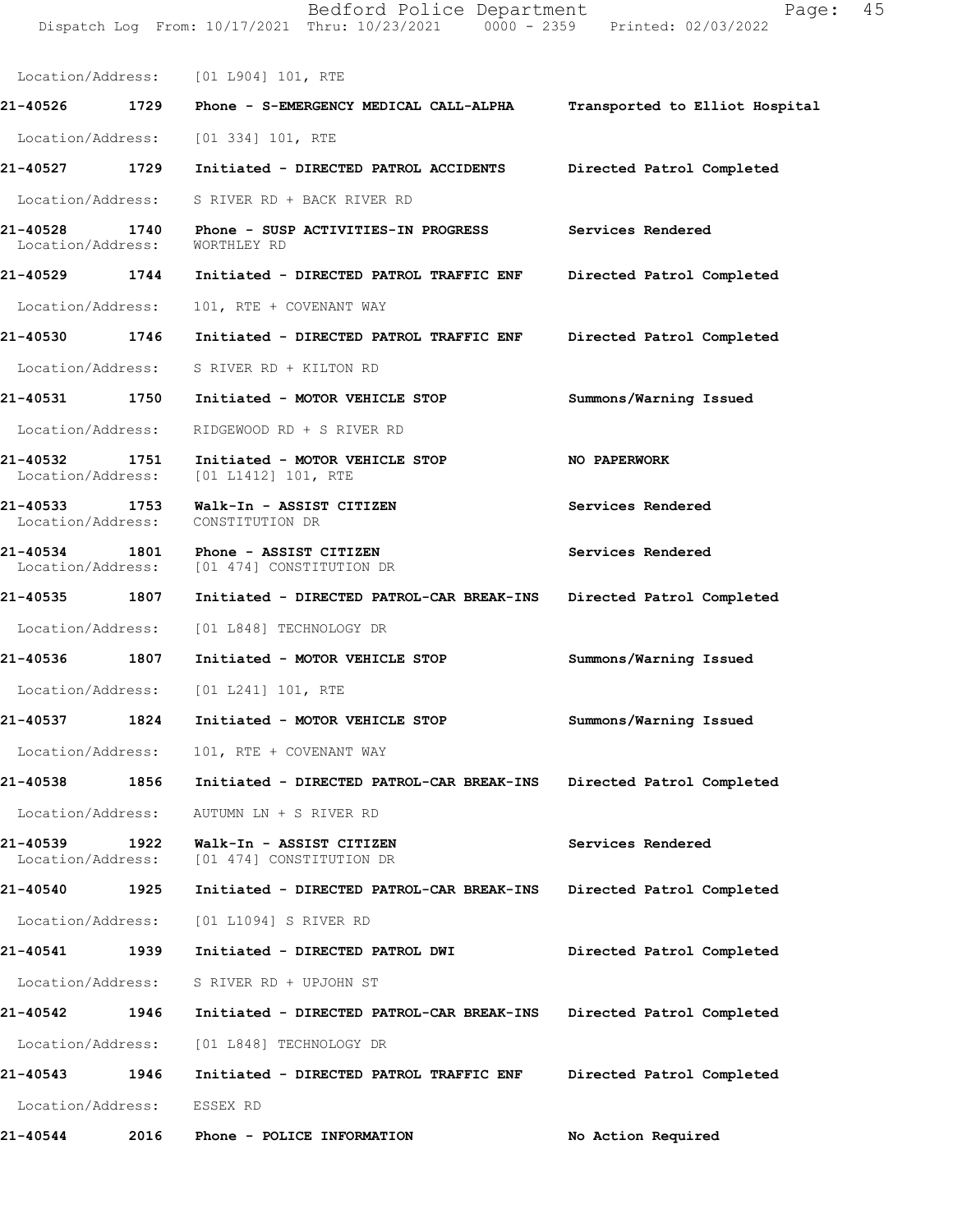Dispatch Log From: 10/17/2021 Thru: 10/23/2021 0000 - 2359 Printed: 02/03/2022 Location/Address: [01 L904] 101, RTE 21-40526 1729 Phone - S-EMERGENCY MEDICAL CALL-ALPHA Transported to Elliot Hospital Location/Address: [01 334] 101, RTE 21-40527 1729 Initiated - DIRECTED PATROL ACCIDENTS Directed Patrol Completed Location/Address: S RIVER RD + BACK RIVER RD 21-40528 1740 Phone - SUSP ACTIVITIES-IN PROGRESS Services Rendered<br>Location/Address: WORTHLEY RD Location/Address: 21-40529 1744 Initiated - DIRECTED PATROL TRAFFIC ENF Directed Patrol Completed Location/Address: 101, RTE + COVENANT WAY 21-40530 1746 Initiated - DIRECTED PATROL TRAFFIC ENF Directed Patrol Completed Location/Address: S RIVER RD + KILTON RD 21-40531 1750 Initiated - MOTOR VEHICLE STOP Summons/Warning Issued Location/Address: RIDGEWOOD RD + S RIVER RD 21-40532 1751 Initiated - MOTOR VEHICLE STOP NO PAPERWORK<br>Location/Address: [01 L1412] 101, RTE [01 L1412] 101, RTE 21-40533 1753 Walk-In - ASSIST CITIZEN Services Rendered Location/Address: CONSTITUTION DR Location/Address: 21-40534 1801 Phone - ASSIST CITIZEN Services Rendered Location/Address: [01 474] CONSTITUTION DR [01 474] CONSTITUTION DR 21-40535 1807 Initiated - DIRECTED PATROL-CAR BREAK-INS Directed Patrol Completed Location/Address: [01 L848] TECHNOLOGY DR 21-40536 1807 Initiated - MOTOR VEHICLE STOP Summons/Warning Issued Location/Address: [01 L241] 101, RTE 21-40537 1824 Initiated - MOTOR VEHICLE STOP Summons/Warning Issued Location/Address: 101, RTE + COVENANT WAY 21-40538 1856 Initiated - DIRECTED PATROL-CAR BREAK-INS Directed Patrol Completed Location/Address: AUTUMN LN + S RIVER RD 21-40539 1922 Walk-In - ASSIST CITIZEN Services Rendered<br>
Location/Address: [01 474] CONSTITUTION DR [01 474] CONSTITUTION DR 21-40540 1925 Initiated - DIRECTED PATROL-CAR BREAK-INS Directed Patrol Completed Location/Address: [01 L1094] S RIVER RD 21-40541 1939 Initiated - DIRECTED PATROL DWI Directed Patrol Completed Location/Address: S RIVER RD + UPJOHN ST 21-40542 1946 Initiated - DIRECTED PATROL-CAR BREAK-INS Directed Patrol Completed Location/Address: [01 L848] TECHNOLOGY DR 21-40543 1946 Initiated - DIRECTED PATROL TRAFFIC ENF Directed Patrol Completed Location/Address: ESSEX RD 21-40544 2016 Phone - POLICE INFORMATION No Action Required

Bedford Police Department Fage: 45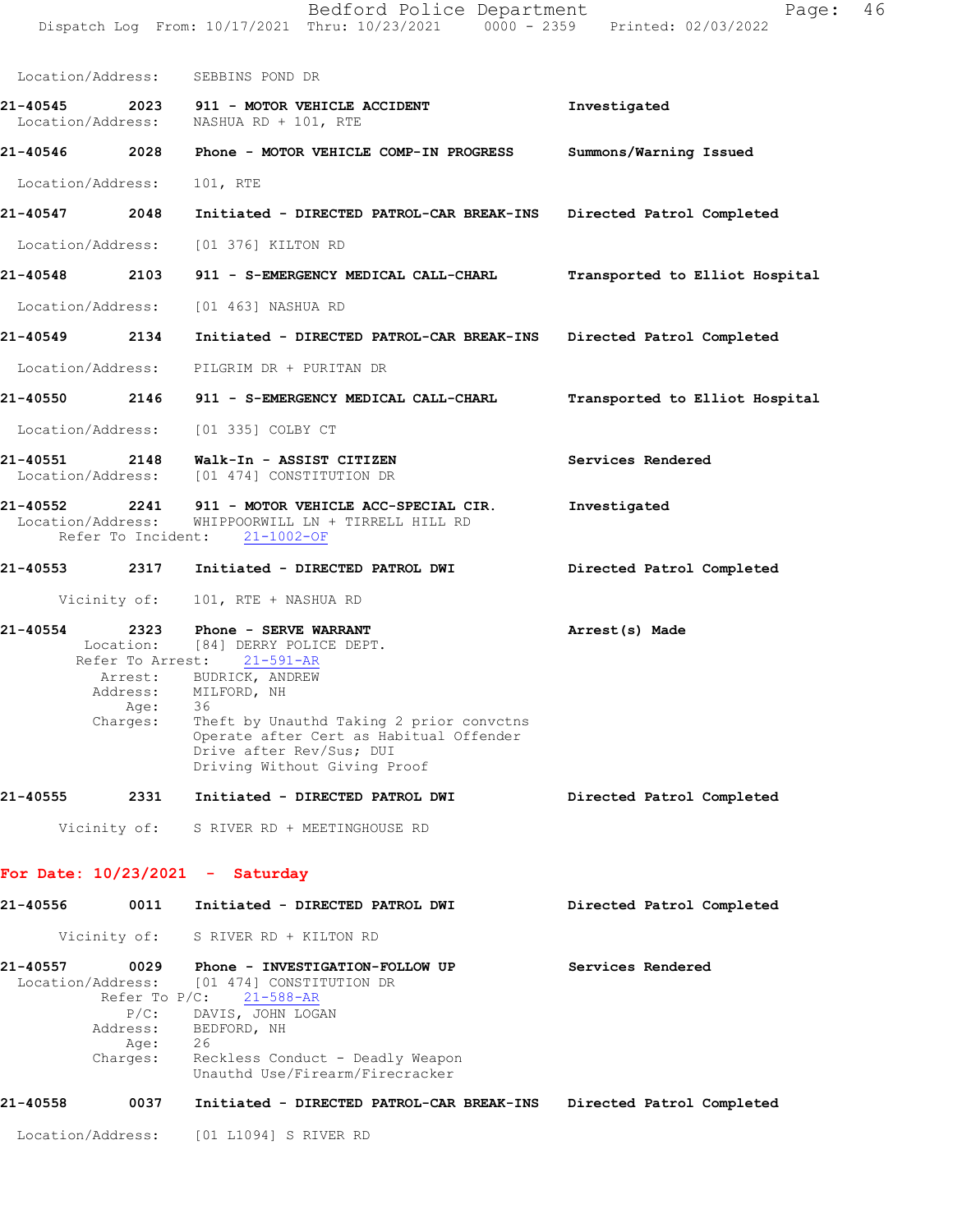|                   |                  | Location/Address: SEBBINS POND DR                                                                                                                                                                                                                                                                    |                                |
|-------------------|------------------|------------------------------------------------------------------------------------------------------------------------------------------------------------------------------------------------------------------------------------------------------------------------------------------------------|--------------------------------|
|                   |                  | 21-40545  2023  911 - MOTOR VEHICLE ACCIDENT<br>Location/Address: NASHUA RD + 101, RTE                                                                                                                                                                                                               | Investigated                   |
| 21-40546<br>2028  |                  | Phone - MOTOR VEHICLE COMP-IN PROGRESS                                                                                                                                                                                                                                                               | Summons/Warning Issued         |
| Location/Address: |                  | 101, RTE                                                                                                                                                                                                                                                                                             |                                |
| 21-40547 2048     |                  | Initiated - DIRECTED PATROL-CAR BREAK-INS Directed Patrol Completed                                                                                                                                                                                                                                  |                                |
|                   |                  | Location/Address: [01 376] KILTON RD                                                                                                                                                                                                                                                                 |                                |
| 21-40548 2103     |                  | 911 - S-EMERGENCY MEDICAL CALL-CHARL                                                                                                                                                                                                                                                                 | Transported to Elliot Hospital |
|                   |                  | Location/Address: [01 463] NASHUA RD                                                                                                                                                                                                                                                                 |                                |
| 21-40549 2134     |                  | Initiated - DIRECTED PATROL-CAR BREAK-INS Directed Patrol Completed                                                                                                                                                                                                                                  |                                |
|                   |                  | Location/Address: PILGRIM DR + PURITAN DR                                                                                                                                                                                                                                                            |                                |
|                   |                  | 21-40550 2146 911 - S-EMERGENCY MEDICAL CALL-CHARL                                                                                                                                                                                                                                                   | Transported to Elliot Hospital |
|                   |                  | Location/Address: [01 335] COLBY CT                                                                                                                                                                                                                                                                  |                                |
| 21-40551 2148     |                  | Walk-In - ASSIST CITIZEN<br>Location/Address: [01 474] CONSTITUTION DR                                                                                                                                                                                                                               | Services Rendered              |
| 21-40552          |                  | 2241 911 - MOTOR VEHICLE ACC-SPECIAL CIR.<br>Location/Address: WHIPPOORWILL LN + TIRRELL HILL RD<br>Refer To Incident: 21-1002-OF                                                                                                                                                                    | Investigated                   |
| 21-40553 2317     |                  | Initiated - DIRECTED PATROL DWI                                                                                                                                                                                                                                                                      | Directed Patrol Completed      |
|                   | Vicinity of:     | 101, RTE + NASHUA RD                                                                                                                                                                                                                                                                                 |                                |
| 21-40554 2323     | Age:<br>Charges: | Phone - SERVE WARRANT<br>Location: [84] DERRY POLICE DEPT.<br>Refer To Arrest: 21-591-AR<br>Arrest: BUDRICK, ANDREW<br>Address: MILFORD, NH<br>36<br>Theft by Unauthd Taking 2 prior convctns<br>Operate after Cert as Habitual Offender<br>Drive after Rev/Sus; DUI<br>Driving Without Giving Proof | Arrest(s) Made                 |
| 21-40555          | 2331             | Initiated - DIRECTED PATROL DWI                                                                                                                                                                                                                                                                      | Directed Patrol Completed      |
|                   |                  | Vicinity of: S RIVER RD + MEETINGHOUSE RD                                                                                                                                                                                                                                                            |                                |
|                   |                  | For Date: $10/23/2021 -$ Saturday                                                                                                                                                                                                                                                                    |                                |
| 21-40556          | 0011             | Initiated - DIRECTED PATROL DWI                                                                                                                                                                                                                                                                      | Directed Patrol Completed      |
|                   |                  | Vicinity of: S RIVER RD + KILTON RD                                                                                                                                                                                                                                                                  |                                |

| 21-40557 | 0029<br>Address:<br>Age: | Phone - INVESTIGATION-FOLLOW UP<br>Location/Address: [01 474] CONSTITUTION DR<br>Refer To $P/C$ : 21-588-AR<br>P/C: DAVIS, JOHN LOGAN<br>BEDFORD, NH<br>26 |  | Services Rendered |                           |
|----------|--------------------------|------------------------------------------------------------------------------------------------------------------------------------------------------------|--|-------------------|---------------------------|
|          | Charges:                 | Reckless Conduct - Deadly Weapon<br>Unauthd Use/Firearm/Firecracker                                                                                        |  |                   |                           |
| 21-40558 | 0037                     | Initiated - DIRECTED PATROL-CAR BREAK-INS                                                                                                                  |  |                   | Directed Patrol Completed |

Location/Address: [01 L1094] S RIVER RD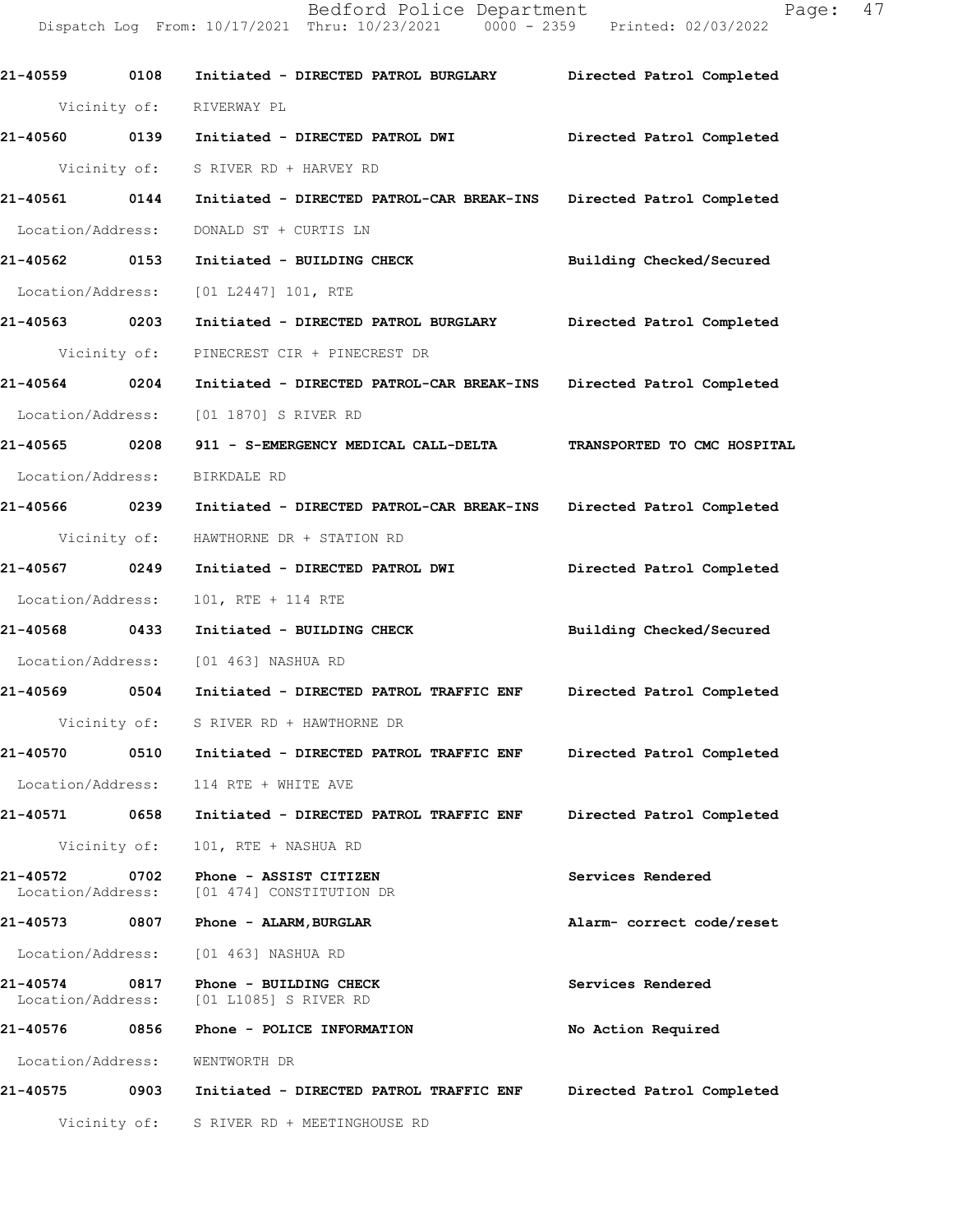Bedford Police Department Page: 47 Dispatch Log From: 10/17/2021 Thru: 10/23/2021 0000 - 2359 Printed: 02/03/2022

21-40559 0108 Initiated - DIRECTED PATROL BURGLARY Directed Patrol Completed Vicinity of: RIVERWAY PL 21-40560 0139 Initiated - DIRECTED PATROL DWI Directed Patrol Completed Vicinity of: S RIVER RD + HARVEY RD 21-40561 0144 Initiated - DIRECTED PATROL-CAR BREAK-INS Directed Patrol Completed Location/Address: DONALD ST + CURTIS LN 21-40562 0153 Initiated - BUILDING CHECK Building Checked/Secured Location/Address: [01 L2447] 101, RTE 21-40563 0203 Initiated - DIRECTED PATROL BURGLARY Directed Patrol Completed Vicinity of: PINECREST CIR + PINECREST DR 21-40564 0204 Initiated - DIRECTED PATROL-CAR BREAK-INS Directed Patrol Completed Location/Address: [01 1870] S RIVER RD 21-40565 0208 911 - S-EMERGENCY MEDICAL CALL-DELTA TRANSPORTED TO CMC HOSPITAL Location/Address: BIRKDALE RD 21-40566 0239 Initiated - DIRECTED PATROL-CAR BREAK-INS Directed Patrol Completed Vicinity of: HAWTHORNE DR + STATION RD 21-40567 0249 Initiated - DIRECTED PATROL DWI Directed Patrol Completed Location/Address: 101, RTE + 114 RTE 21-40568 0433 Initiated - BUILDING CHECK Building Checked/Secured Location/Address: [01 463] NASHUA RD 21-40569 0504 Initiated - DIRECTED PATROL TRAFFICENF Directed Patrol Completed Vicinity of: S RIVER RD + HAWTHORNE DR 21-40570 0510 Initiated - DIRECTED PATROL TRAFFICENF Directed Patrol Completed Location/Address: 114 RTE + WHITE AVE 21-40571 0658 Initiated - DIRECTED PATROL TRAFFICENF Directed Patrol Completed Vicinity of: 101, RTE + NASHUA RD 21-40572 0702 Phone - ASSIST CITIZEN Services Rendered Services Rendered Seculiary of the Services Rendered [01 474] CONSTITUTION DR 21-40573 0807 Phone - ALARM, BURGLAR Alarm-correctcode/reset Location/Address: [01 463] NASHUA RD 21-40574 0817 Phone - BUILDING CHECK Services Rendered Services Rendered Section/Address: [01 L1085] S RIVER RD [01 L1085] S RIVER RD 21-40576 0856 Phone - POLICE INFORMATION No Action Required Location/Address: WENTWORTH DR 21-40575 0903 Initiated - DIRECTED PATROL TRAFFIC ENF Directed Patrol Completed Vicinity of: S RIVER RD + MEETINGHOUSE RD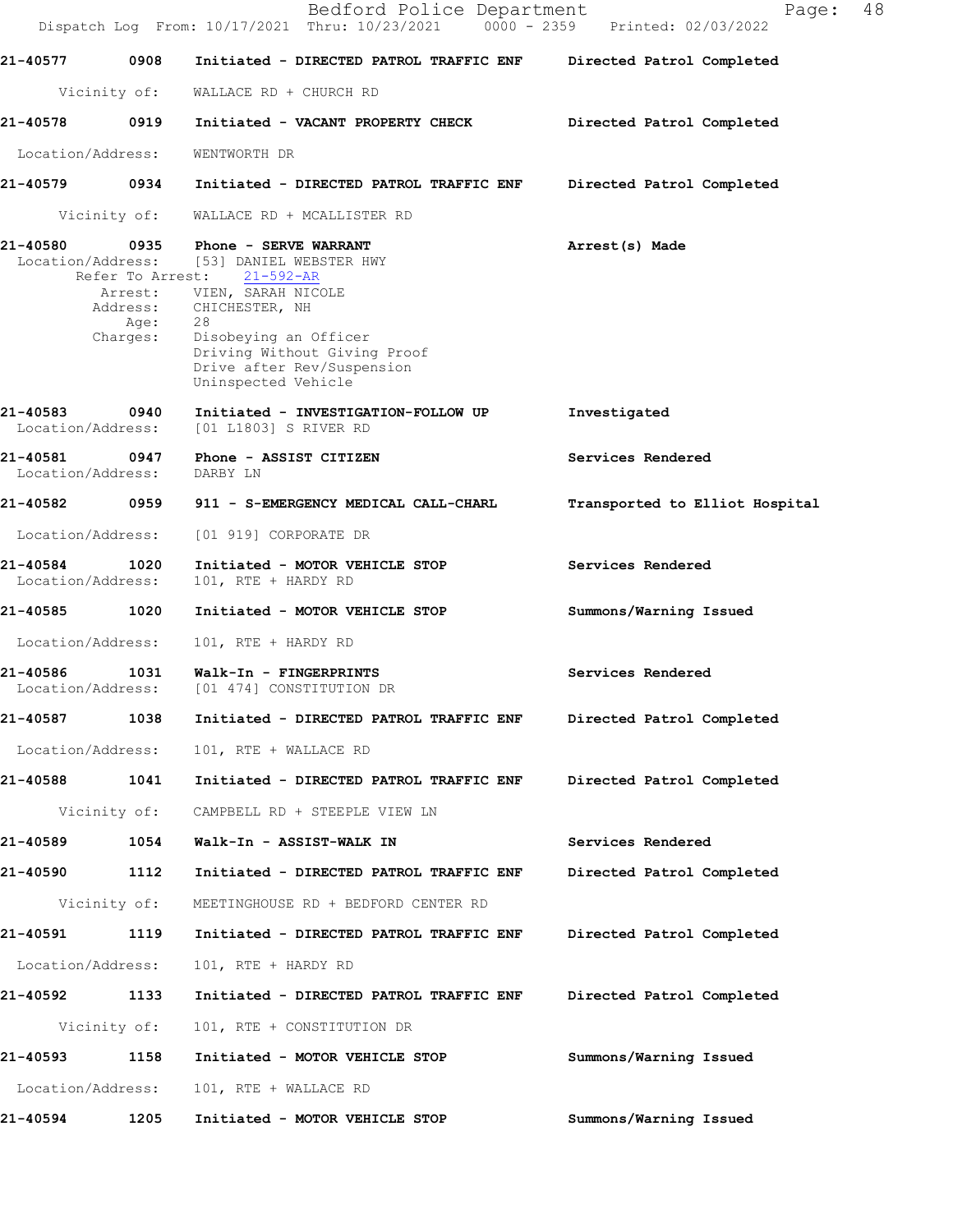|                                    |                                      | Bedford Police Department<br>Dispatch Log From: 10/17/2021 Thru: 10/23/2021 0000 - 2359 Printed: 02/03/2022                                                                                                                                                             | 48<br>Page:                    |
|------------------------------------|--------------------------------------|-------------------------------------------------------------------------------------------------------------------------------------------------------------------------------------------------------------------------------------------------------------------------|--------------------------------|
| 21-40577                           | 0908                                 | Initiated - DIRECTED PATROL TRAFFIC ENF                                                                                                                                                                                                                                 | Directed Patrol Completed      |
|                                    | Vicinity of:                         | WALLACE RD + CHURCH RD                                                                                                                                                                                                                                                  |                                |
| 21-40578                           | 0919                                 | Initiated - VACANT PROPERTY CHECK                                                                                                                                                                                                                                       | Directed Patrol Completed      |
| Location/Address:                  |                                      | WENTWORTH DR                                                                                                                                                                                                                                                            |                                |
| 21-40579 0934                      |                                      | Initiated - DIRECTED PATROL TRAFFIC ENF                                                                                                                                                                                                                                 | Directed Patrol Completed      |
|                                    | Vicinity of:                         | WALLACE RD + MCALLISTER RD                                                                                                                                                                                                                                              |                                |
| 21-40580                           | Refer To Arrest:<br>Age:<br>Charges: | 0935 Phone - SERVE WARRANT<br>Location/Address: [53] DANIEL WEBSTER HWY<br>$21 - 592 - AR$<br>Arrest: VIEN, SARAH NICOLE<br>Address: CHICHESTER, NH<br>28<br>Disobeying an Officer<br>Driving Without Giving Proof<br>Drive after Rev/Suspension<br>Uninspected Vehicle | Arrest(s) Made                 |
| 21-40583<br>Location/Address:      | 0940                                 | Initiated - INVESTIGATION-FOLLOW UP<br>[01 L1803] S RIVER RD                                                                                                                                                                                                            | Investigated                   |
| 21-40581<br>Location/Address:      | 0947                                 | Phone - ASSIST CITIZEN<br>DARBY LN                                                                                                                                                                                                                                      | Services Rendered              |
| 21-40582                           | 0959                                 | 911 - S-EMERGENCY MEDICAL CALL-CHARL                                                                                                                                                                                                                                    | Transported to Elliot Hospital |
| Location/Address:                  |                                      | [01 919] CORPORATE DR                                                                                                                                                                                                                                                   |                                |
| 21-40584 1020<br>Location/Address: |                                      | Initiated - MOTOR VEHICLE STOP<br>101, RTE + HARDY RD                                                                                                                                                                                                                   | Services Rendered              |
| 21-40585 1020                      |                                      | Initiated - MOTOR VEHICLE STOP                                                                                                                                                                                                                                          | Summons/Warning Issued         |
| Location/Address:                  |                                      | 101, RTE + HARDY RD                                                                                                                                                                                                                                                     |                                |
| 21-40586<br>Location/Address:      | 1031                                 | Walk-In - FINGERPRINTS<br>[01 474] CONSTITUTION DR                                                                                                                                                                                                                      | Services Rendered              |
| 21-40587                           | 1038                                 | Initiated - DIRECTED PATROL TRAFFIC ENF                                                                                                                                                                                                                                 | Directed Patrol Completed      |
| Location/Address:                  |                                      | 101, RTE + WALLACE RD                                                                                                                                                                                                                                                   |                                |
| 21-40588                           | 1041                                 | Initiated - DIRECTED PATROL TRAFFIC ENF                                                                                                                                                                                                                                 | Directed Patrol Completed      |
|                                    | Vicinity of:                         | CAMPBELL RD + STEEPLE VIEW LN                                                                                                                                                                                                                                           |                                |
| 21-40589                           | 1054                                 | Walk-In - ASSIST-WALK IN                                                                                                                                                                                                                                                | Services Rendered              |
| 21-40590                           | 1112                                 | Initiated - DIRECTED PATROL TRAFFIC ENF                                                                                                                                                                                                                                 | Directed Patrol Completed      |
|                                    | Vicinity of:                         | MEETINGHOUSE RD + BEDFORD CENTER RD                                                                                                                                                                                                                                     |                                |
| 21-40591                           | 1119                                 | Initiated - DIRECTED PATROL TRAFFIC ENF                                                                                                                                                                                                                                 | Directed Patrol Completed      |
| Location/Address:                  |                                      | 101, RTE + HARDY RD                                                                                                                                                                                                                                                     |                                |
| 21-40592                           | 1133                                 | Initiated - DIRECTED PATROL TRAFFIC ENF                                                                                                                                                                                                                                 | Directed Patrol Completed      |
|                                    | Vicinity of:                         | 101, RTE + CONSTITUTION DR                                                                                                                                                                                                                                              |                                |
| 21-40593                           | 1158                                 | Initiated - MOTOR VEHICLE STOP                                                                                                                                                                                                                                          | Summons/Warning Issued         |
| Location/Address:                  |                                      | 101, RTE + WALLACE RD                                                                                                                                                                                                                                                   |                                |
| 21-40594                           | 1205                                 | Initiated - MOTOR VEHICLE STOP                                                                                                                                                                                                                                          | Summons/Warning Issued         |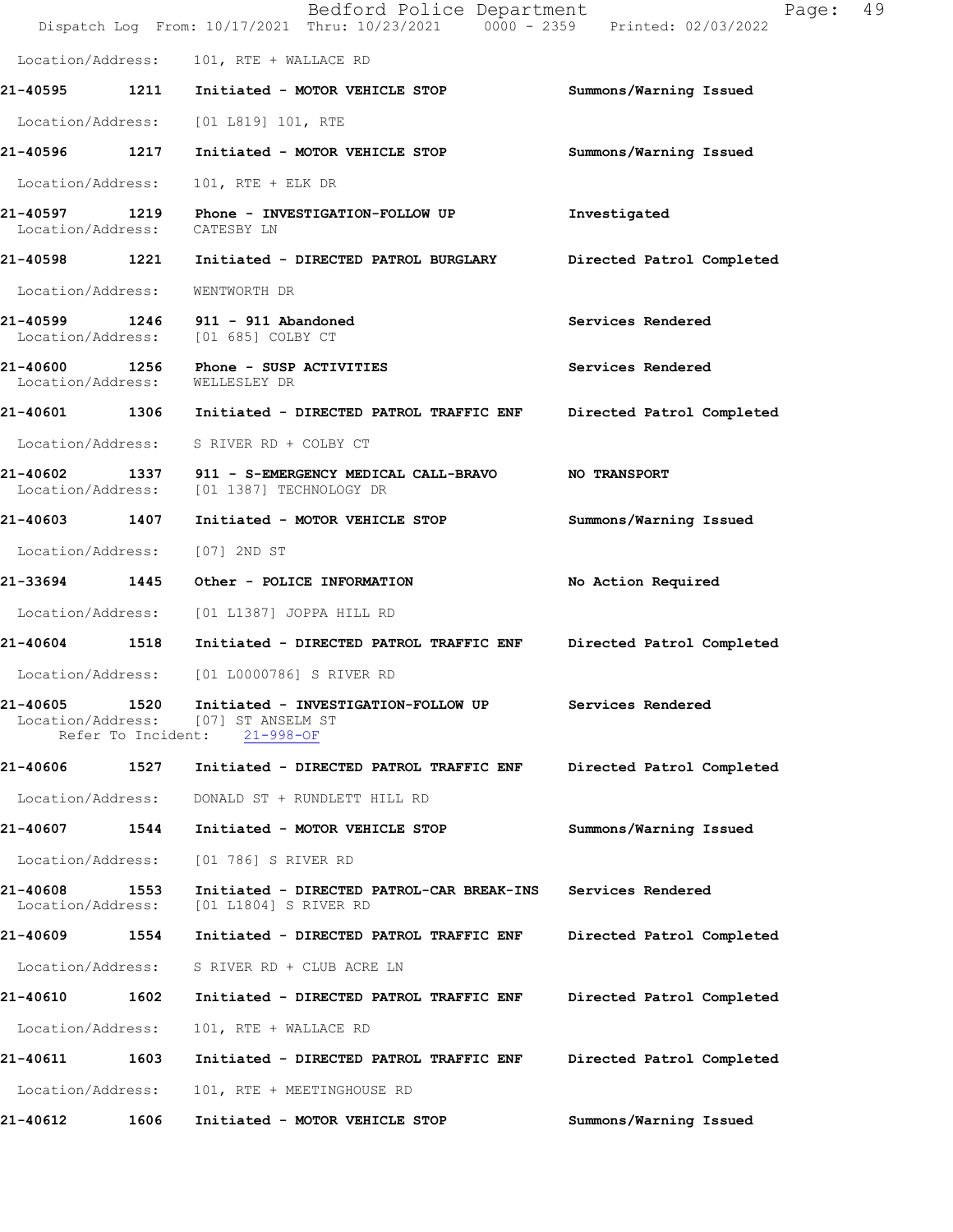|                                    |                            | Bedford Police Department<br>Dispatch Log From: 10/17/2021 Thru: 10/23/2021 0000 - 2359 Printed: 02/03/2022 | 49<br>Page:               |
|------------------------------------|----------------------------|-------------------------------------------------------------------------------------------------------------|---------------------------|
|                                    |                            | Location/Address: 101, RTE + WALLACE RD                                                                     |                           |
|                                    |                            | 21-40595 1211 Initiated - MOTOR VEHICLE STOP                                                                | Summons/Warning Issued    |
|                                    |                            | Location/Address: [01 L819] 101, RTE                                                                        |                           |
| 21-40596 1217                      |                            | Initiated - MOTOR VEHICLE STOP                                                                              | Summons/Warning Issued    |
| Location/Address:                  |                            | $101$ , RTE + ELK DR                                                                                        |                           |
| 21-40597 1219<br>Location/Address: |                            | Phone - INVESTIGATION-FOLLOW UP<br>CATESBY LN                                                               | Investigated              |
|                                    |                            | 21-40598 1221 Initiated - DIRECTED PATROL BURGLARY                                                          | Directed Patrol Completed |
| Location/Address:                  |                            | WENTWORTH DR                                                                                                |                           |
|                                    |                            | 21-40599 1246 911 - 911 Abandoned<br>Location/Address: [01 685] COLBY CT                                    | Services Rendered         |
|                                    |                            | 21-40600 1256 Phone - SUSP ACTIVITIES<br>Location/Address: WELLESLEY DR                                     | Services Rendered         |
|                                    |                            | 21-40601 1306 Initiated - DIRECTED PATROL TRAFFIC ENF                                                       | Directed Patrol Completed |
|                                    |                            | Location/Address: S RIVER RD + COLBY CT                                                                     |                           |
| Location/Address:                  |                            | 21-40602 1337 911 - S-EMERGENCY MEDICAL CALL-BRAVO NO TRANSPORT<br>[01 1387] TECHNOLOGY DR                  |                           |
|                                    |                            | 21-40603 1407 Initiated - MOTOR VEHICLE STOP                                                                | Summons/Warning Issued    |
| Location/Address: [07] 2ND ST      |                            |                                                                                                             |                           |
|                                    |                            | 21-33694 1445 Other - POLICE INFORMATION                                                                    | No Action Required        |
|                                    |                            | Location/Address: [01 L1387] JOPPA HILL RD                                                                  |                           |
|                                    |                            | 21-40604 1518 Initiated - DIRECTED PATROL TRAFFIC ENF                                                       | Directed Patrol Completed |
|                                    |                            | Location/Address: [01 L0000786] S RIVER RD                                                                  |                           |
| 21-40605<br>Location/Address:      | 1520<br>Refer To Incident: | Initiated - INVESTIGATION-FOLLOW UP<br>[07] ST ANSELM ST<br>$21 - 998 - OF$                                 | Services Rendered         |
| 21-40606 1527                      |                            | Initiated - DIRECTED PATROL TRAFFIC ENF                                                                     | Directed Patrol Completed |
| Location/Address:                  |                            | DONALD ST + RUNDLETT HILL RD                                                                                |                           |
| 21-40607                           | 1544                       | Initiated - MOTOR VEHICLE STOP                                                                              | Summons/Warning Issued    |
| Location/Address:                  |                            | [01 786] S RIVER RD                                                                                         |                           |
| 21-40608<br>Location/Address:      | 1553                       | Initiated - DIRECTED PATROL-CAR BREAK-INS<br>[01 L1804] S RIVER RD                                          | Services Rendered         |
| 21-40609 1554                      |                            | Initiated - DIRECTED PATROL TRAFFIC ENF                                                                     | Directed Patrol Completed |
| Location/Address:                  |                            | S RIVER RD + CLUB ACRE LN                                                                                   |                           |
| 21-40610                           | 1602                       | Initiated - DIRECTED PATROL TRAFFIC ENF                                                                     | Directed Patrol Completed |
| Location/Address:                  |                            | 101, RTE + WALLACE RD                                                                                       |                           |
| 21-40611                           | 1603                       | Initiated - DIRECTED PATROL TRAFFIC ENF                                                                     | Directed Patrol Completed |
| Location/Address:                  |                            | 101, RTE + MEETINGHOUSE RD                                                                                  |                           |
| 21-40612                           | 1606                       | Initiated - MOTOR VEHICLE STOP                                                                              | Summons/Warning Issued    |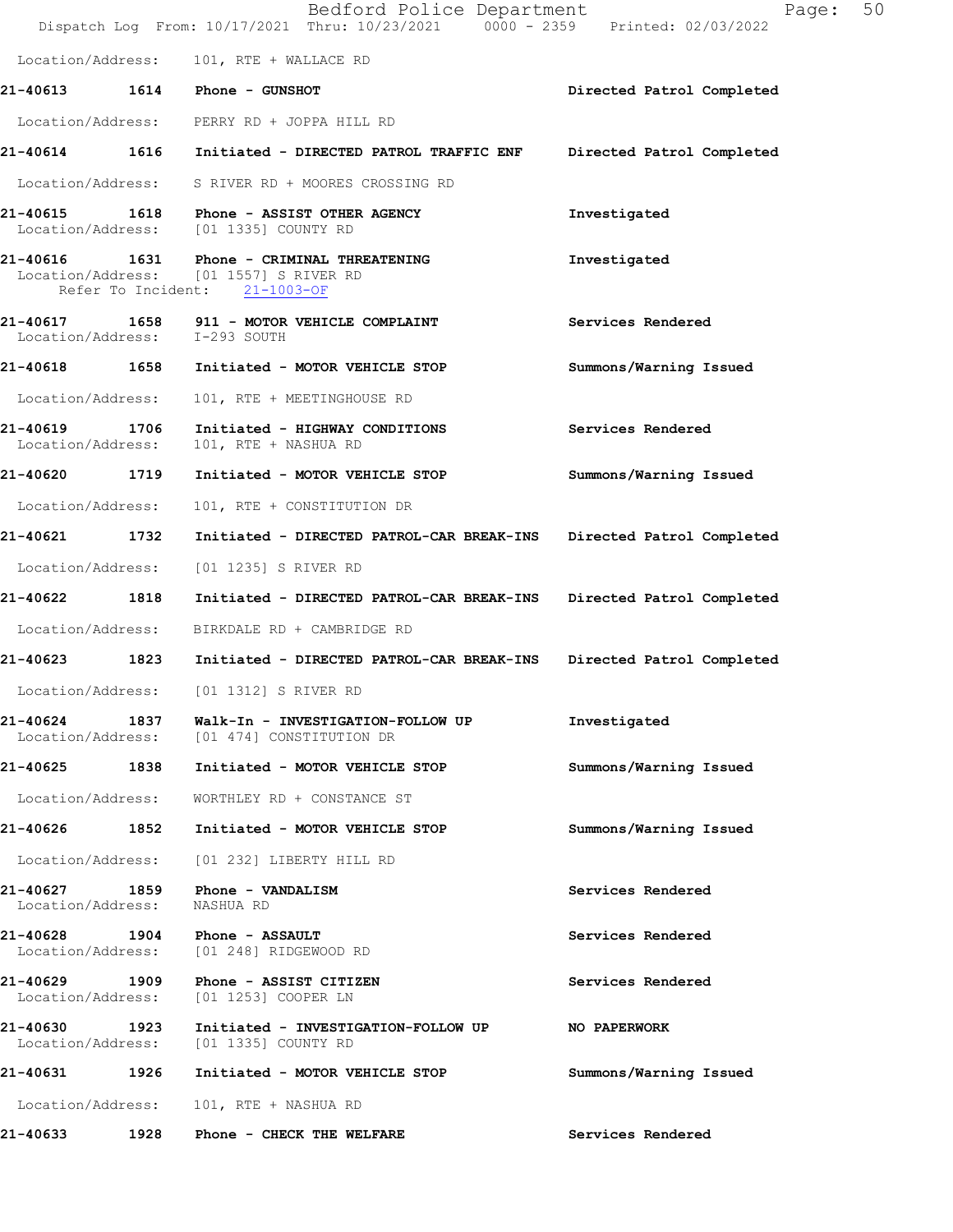|                                    |      | Bedford Police Department<br>Dispatch Log From: 10/17/2021 Thru: 10/23/2021 0000 - 2359 Printed: 02/03/2022           | Page:                     | 50 |
|------------------------------------|------|-----------------------------------------------------------------------------------------------------------------------|---------------------------|----|
|                                    |      | Location/Address: 101, RTE + WALLACE RD                                                                               |                           |    |
|                                    |      | 21-40613   1614   Phone - GUNSHOT                                                                                     | Directed Patrol Completed |    |
|                                    |      | Location/Address: PERRY RD + JOPPA HILL RD                                                                            |                           |    |
|                                    |      | 21-40614 1616 Initiated - DIRECTED PATROL TRAFFIC ENF                                                                 | Directed Patrol Completed |    |
|                                    |      | Location/Address: S RIVER RD + MOORES CROSSING RD                                                                     |                           |    |
|                                    |      | 21-40615 1618 Phone - ASSIST OTHER AGENCY<br>Location/Address: [01 1335] COUNTY RD                                    | Investigated              |    |
|                                    |      | 21-40616 1631 Phone - CRIMINAL THREATENING<br>Location/Address: [01 1557] S RIVER RD<br>Refer To Incident: 21-1003-OF | Investigated              |    |
|                                    |      | 21-40617 1658 911 - MOTOR VEHICLE COMPLAINT<br>Location/Address: I-293 SOUTH                                          | Services Rendered         |    |
|                                    |      | 21-40618 1658 Initiated - MOTOR VEHICLE STOP                                                                          | Summons/Warning Issued    |    |
| Location/Address:                  |      | 101, RTE + MEETINGHOUSE RD                                                                                            |                           |    |
| 21-40619<br>Location/Address:      | 1706 | Initiated - HIGHWAY CONDITIONS<br>101, RTE + NASHUA RD                                                                | Services Rendered         |    |
| 21-40620 1719                      |      | Initiated - MOTOR VEHICLE STOP                                                                                        | Summons/Warning Issued    |    |
| Location/Address:                  |      | 101, RTE + CONSTITUTION DR                                                                                            |                           |    |
| 21-40621 1732                      |      | Initiated - DIRECTED PATROL-CAR BREAK-INS                                                                             | Directed Patrol Completed |    |
| Location/Address:                  |      | [01 1235] S RIVER RD                                                                                                  |                           |    |
| 21-40622                           | 1818 | Initiated - DIRECTED PATROL-CAR BREAK-INS Directed Patrol Completed                                                   |                           |    |
| Location/Address:                  |      | BIRKDALE RD + CAMBRIDGE RD                                                                                            |                           |    |
| 21-40623 1823                      |      | Initiated - DIRECTED PATROL-CAR BREAK-INS                                                                             | Directed Patrol Completed |    |
| Location/Address:                  |      | [01 1312] S RIVER RD                                                                                                  |                           |    |
| Location/Address:                  |      | 21-40624 1837 Walk-In - INVESTIGATION-FOLLOW UP<br>[01 474] CONSTITUTION DR                                           | Investigated              |    |
| 21-40625 1838                      |      | Initiated - MOTOR VEHICLE STOP                                                                                        | Summons/Warning Issued    |    |
| Location/Address:                  |      | WORTHLEY RD + CONSTANCE ST                                                                                            |                           |    |
| 21-40626 1852                      |      | Initiated - MOTOR VEHICLE STOP                                                                                        | Summons/Warning Issued    |    |
| Location/Address:                  |      | [01 232] LIBERTY HILL RD                                                                                              |                           |    |
| Location/Address:                  |      | 21-40627 1859 Phone - VANDALISM<br>NASHUA RD                                                                          | Services Rendered         |    |
| 21-40628 1904<br>Location/Address: |      | <b>Phone - ASSAULT</b><br>[01 248] RIDGEWOOD RD                                                                       | Services Rendered         |    |
| 21-40629 1909<br>Location/Address: |      | Phone - ASSIST CITIZEN<br>[01 1253] COOPER LN                                                                         | Services Rendered         |    |
| 21-40630 1923<br>Location/Address: |      | Initiated - INVESTIGATION-FOLLOW UP<br>[01 1335] COUNTY RD                                                            | NO PAPERWORK              |    |
| 21-40631                           | 1926 | Initiated - MOTOR VEHICLE STOP                                                                                        | Summons/Warning Issued    |    |
| Location/Address:                  |      | 101, RTE + NASHUA RD                                                                                                  |                           |    |
| 21-40633                           | 1928 | Phone - CHECK THE WELFARE                                                                                             | Services Rendered         |    |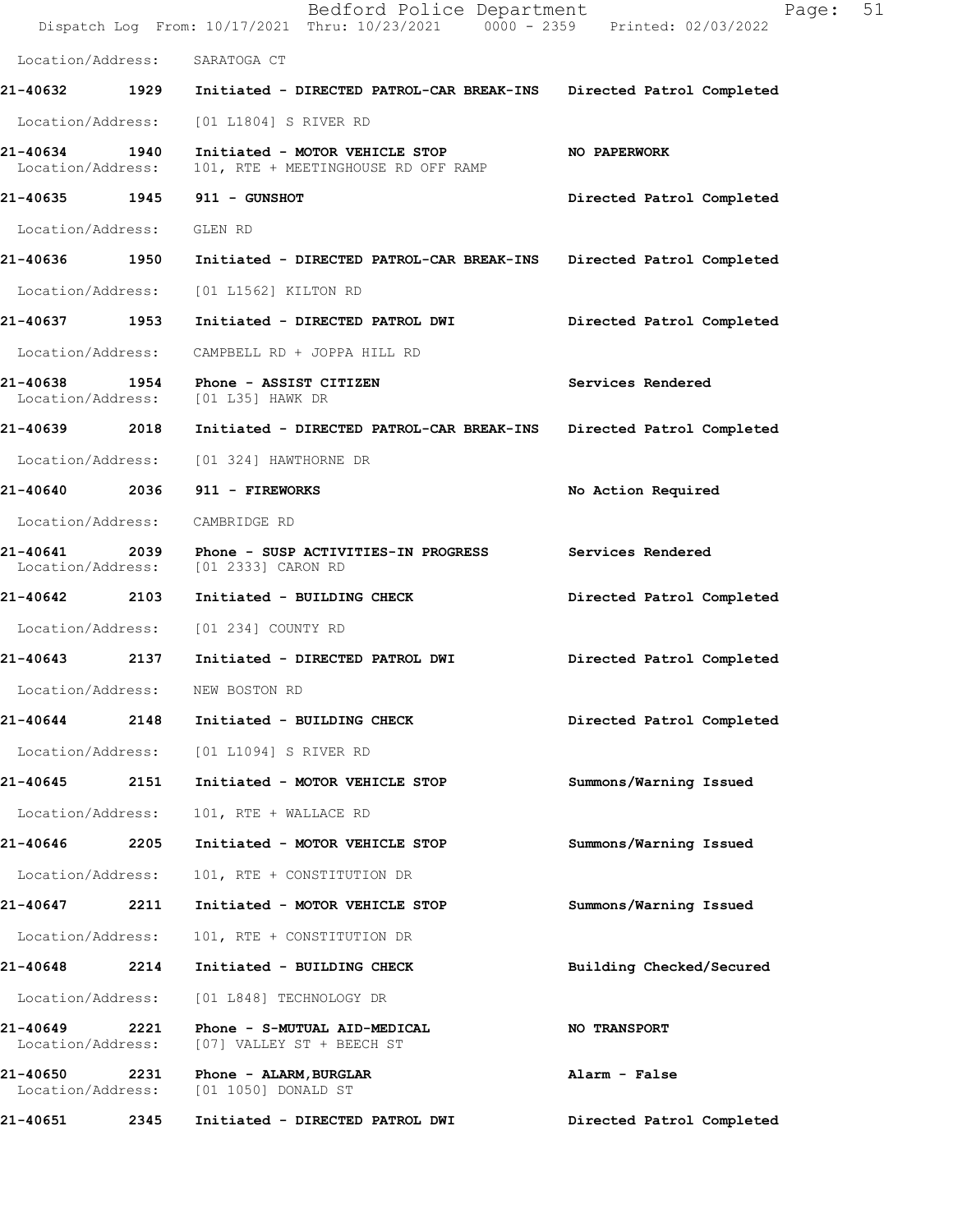|                                    |      | Bedford Police Department<br>Dispatch Log From: 10/17/2021 Thru: 10/23/2021 0000 - 2359 Printed: 02/03/2022 | 51<br>Page:               |
|------------------------------------|------|-------------------------------------------------------------------------------------------------------------|---------------------------|
| Location/Address:                  |      | SARATOGA CT                                                                                                 |                           |
| 21-40632 1929                      |      | Initiated - DIRECTED PATROL-CAR BREAK-INS                                                                   | Directed Patrol Completed |
| Location/Address:                  |      | [01 L1804] S RIVER RD                                                                                       |                           |
| 21-40634 1940<br>Location/Address: |      | Initiated - MOTOR VEHICLE STOP<br>101, RTE + MEETINGHOUSE RD OFF RAMP                                       | NO PAPERWORK              |
| 21-40635 1945                      |      | 911 - GUNSHOT                                                                                               | Directed Patrol Completed |
| Location/Address:                  |      | GLEN RD                                                                                                     |                           |
| 21-40636 1950                      |      | Initiated - DIRECTED PATROL-CAR BREAK-INS                                                                   | Directed Patrol Completed |
| Location/Address:                  |      | [01 L1562] KILTON RD                                                                                        |                           |
| 21-40637 1953                      |      | Initiated - DIRECTED PATROL DWI                                                                             | Directed Patrol Completed |
| Location/Address:                  |      | CAMPBELL RD + JOPPA HILL RD                                                                                 |                           |
| Location/Address:                  |      | 21-40638 1954 Phone - ASSIST CITIZEN<br>[01 L35] HAWK DR                                                    | Services Rendered         |
| 21-40639 2018                      |      | Initiated - DIRECTED PATROL-CAR BREAK-INS                                                                   | Directed Patrol Completed |
|                                    |      | Location/Address: [01 324] HAWTHORNE DR                                                                     |                           |
| 21-40640 2036                      |      | 911 - FIREWORKS                                                                                             | No Action Required        |
| Location/Address:                  |      | CAMBRIDGE RD                                                                                                |                           |
| 21-40641<br>Location/Address:      |      | 2039 Phone - SUSP ACTIVITIES-IN PROGRESS<br>[01 2333] CARON RD                                              | Services Rendered         |
| 21-40642                           | 2103 | Initiated - BUILDING CHECK                                                                                  | Directed Patrol Completed |
|                                    |      | Location/Address: [01 234] COUNTY RD                                                                        |                           |
| 21-40643                           | 2137 | Initiated - DIRECTED PATROL DWI                                                                             | Directed Patrol Completed |
| Location/Address:                  |      | NEW BOSTON RD                                                                                               |                           |
| 21-40644                           | 2148 | Initiated - BUILDING CHECK                                                                                  | Directed Patrol Completed |
| Location/Address:                  |      | [01 L1094] S RIVER RD                                                                                       |                           |
| 21-40645                           | 2151 | Initiated - MOTOR VEHICLE STOP                                                                              | Summons/Warning Issued    |
| Location/Address:                  |      | 101, RTE + WALLACE RD                                                                                       |                           |
| 21-40646                           | 2205 | Initiated - MOTOR VEHICLE STOP                                                                              | Summons/Warning Issued    |
| Location/Address:                  |      | 101, RTE + CONSTITUTION DR                                                                                  |                           |
| 21-40647                           | 2211 | Initiated - MOTOR VEHICLE STOP                                                                              | Summons/Warning Issued    |
| Location/Address:                  |      | 101, RTE + CONSTITUTION DR                                                                                  |                           |
| 21-40648                           | 2214 | Initiated - BUILDING CHECK                                                                                  | Building Checked/Secured  |
| Location/Address:                  |      | [01 L848] TECHNOLOGY DR                                                                                     |                           |
| 21-40649<br>Location/Address:      | 2221 | Phone - S-MUTUAL AID-MEDICAL<br>[07] VALLEY ST + BEECH ST                                                   | <b>NO TRANSPORT</b>       |
| 21-40650<br>Location/Address:      | 2231 | Phone - ALARM, BURGLAR<br>[01 1050] DONALD ST                                                               | Alarm - False             |
| 21-40651                           | 2345 | Initiated - DIRECTED PATROL DWI                                                                             | Directed Patrol Completed |